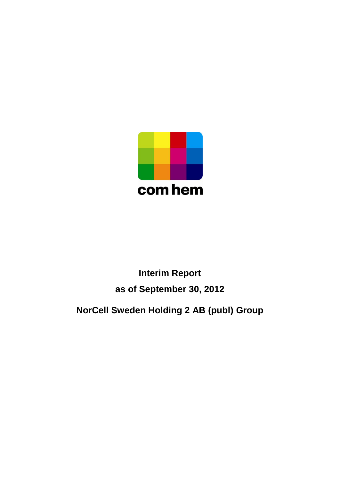

# **Interim Report as of September 30, 2012**

# **NorCell Sweden Holding 2 AB (publ) Group**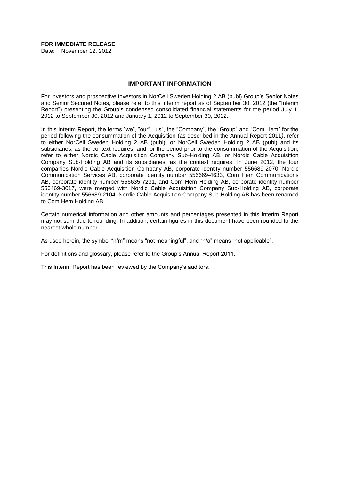# **FOR IMMEDIATE RELEASE**

Date: November 12, 2012

#### **IMPORTANT INFORMATION**

For investors and prospective investors in NorCell Sweden Holding 2 AB (publ) Group"s Senior Notes and Senior Secured Notes, please refer to this interim report as of September 30, 2012 (the "Interim Report") presenting the Group"s condensed consolidated financial statements for the period July 1, 2012 to September 30, 2012 and January 1, 2012 to September 30, 2012.

In this Interim Report, the terms "we", "our", "us", the "Company", the "Group" and "Com Hem" for the period following the consummation of the Acquisition (as described in the Annual Report 2011*)*, refer to either NorCell Sweden Holding 2 AB (publ), or NorCell Sweden Holding 2 AB (publ) and its subsidiaries, as the context requires, and for the period prior to the consummation of the Acquisition, refer to either Nordic Cable Acquisition Company Sub-Holding AB, or Nordic Cable Acquisition Company Sub-Holding AB and its subsidiaries, as the context requires. In June 2012, the four companies Nordic Cable Acquisition Company AB, corporate identity number 556689-2070, Nordic Communication Services AB, corporate identity number 556669-4633, Com Hem Communications AB, corporate identity number 556635-7231, and Com Hem Holding AB, corporate identity number 556469-3017, were merged with Nordic Cable Acquisition Company Sub-Holding AB, corporate identity number 556689-2104. Nordic Cable Acquisition Company Sub-Holding AB has been renamed to Com Hem Holding AB.

Certain numerical information and other amounts and percentages presented in this Interim Report may not sum due to rounding. In addition, certain figures in this document have been rounded to the nearest whole number.

As used herein, the symbol "n/m" means "not meaningful", and "n/a" means "not applicable".

For definitions and glossary, please refer to the Group"s Annual Report 2011.

This Interim Report has been reviewed by the Company"s auditors.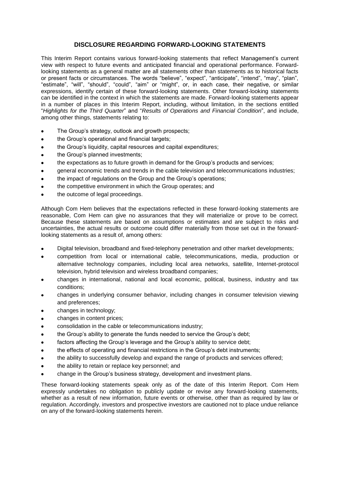## **DISCLOSURE REGARDING FORWARD-LOOKING STATEMENTS**

This Interim Report contains various forward-looking statements that reflect Management"s current view with respect to future events and anticipated financial and operational performance. Forwardlooking statements as a general matter are all statements other than statements as to historical facts or present facts or circumstances. The words "believe", "expect", "anticipate", "intend", "may", "plan", "estimate", "will", "should", "could", "aim" or "might", or, in each case, their negative, or similar expressions, identify certain of these forward-looking statements. Other forward-looking statements can be identified in the context in which the statements are made. Forward-looking statements appear in a number of places in this Interim Report, including, without limitation, in the sections entitled "*Highlights for the Third Quarter*" and "*Results of Operations and Financial Condition*", and include, among other things, statements relating to:

- The Group's strategy, outlook and growth prospects;
- the Group"s operational and financial targets;
- the Group"s liquidity, capital resources and capital expenditures;
- the Group"s planned investments;
- the expectations as to future growth in demand for the Group"s products and services;
- general economic trends and trends in the cable television and telecommunications industries;
- the impact of regulations on the Group and the Group"s operations;
- the competitive environment in which the Group operates; and
- the outcome of legal proceedings.

Although Com Hem believes that the expectations reflected in these forward-looking statements are reasonable, Com Hem can give no assurances that they will materialize or prove to be correct. Because these statements are based on assumptions or estimates and are subject to risks and uncertainties, the actual results or outcome could differ materially from those set out in the forwardlooking statements as a result of, among others:

- Digital television, broadband and fixed-telephony penetration and other market developments;
- competition from local or international cable, telecommunications, media, production or alternative technology companies, including local area networks, satellite, Internet-protocol television, hybrid television and wireless broadband companies;
- changes in international, national and local economic, political, business, industry and tax conditions;
- changes in underlying consumer behavior, including changes in consumer television viewing and preferences;
- changes in technology;
- changes in content prices;
- consolidation in the cable or telecommunications industry;
- the Group's ability to generate the funds needed to service the Group's debt;
- factors affecting the Group's leverage and the Group's ability to service debt;
- the effects of operating and financial restrictions in the Group"s debt instruments;
- the ability to successfully develop and expand the range of products and services offered;
- the ability to retain or replace key personnel; and
- change in the Group"s business strategy, development and investment plans.

These forward-looking statements speak only as of the date of this Interim Report. Com Hem expressly undertakes no obligation to publicly update or revise any forward-looking statements, whether as a result of new information, future events or otherwise, other than as required by law or regulation. Accordingly, investors and prospective investors are cautioned not to place undue reliance on any of the forward-looking statements herein.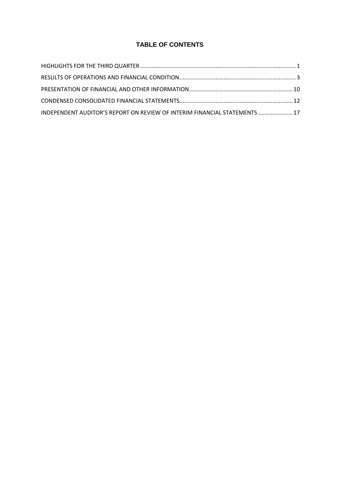# **TABLE OF CONTENTS**

| INDEPENDENT AUDITOR'S REPORT ON REVIEW OF INTERIM FINANCIAL STATEMENTS  17 |  |
|----------------------------------------------------------------------------|--|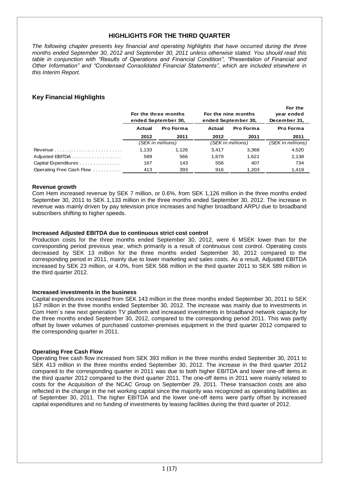# **HIGHLIGHTS FOR THE THIRD QUARTER**

*The following chapter presents key financial and operating highlights that have occurred during the three months ended September 30, 2012 and September 30, 2011 unless otherwise stated. You should read this table in conjunction with "Results of Operations and Financial Condition", "Presentation of Financial and Other Information" and "Condensed Consolidated Financial Statements", which are included elsewhere in this Interim Report.*

# **Key Financial Highlights**

|                          | For the three months<br>ended September 30. |                   | For the nine months<br>ended September 30, | For the<br>year ended<br>December 31, |                   |
|--------------------------|---------------------------------------------|-------------------|--------------------------------------------|---------------------------------------|-------------------|
|                          | Actual                                      | <b>Pro Forma</b>  | Actual                                     | <b>Pro Forma</b>                      | Pro Forma         |
|                          | 2012                                        | 2011              | 2012                                       | 2011                                  | 2011              |
|                          |                                             | (SEK in millions) | (SEK in millions)                          |                                       | (SEK in millions) |
|                          | 1,133                                       | 1.126             | 3,417                                      | 3,368                                 | 4,520             |
| Adjusted EBITDA          | 589                                         | 566               | 1.679                                      | 1.621                                 | 2,138             |
| Capital Expenditures     | 167                                         | 143               | 556                                        | 407                                   | 734               |
| Operating Free Cash Flow | 413                                         | 393               | 916                                        | 1,203                                 | 1,419             |
|                          |                                             |                   |                                            |                                       |                   |

**For the** 

#### **Revenue growth**

Com Hem increased revenue by SEK 7 million, or 0.6%, from SEK 1,126 million in the three months ended September 30, 2011 to SEK 1,133 million in the three months ended September 30, 2012. The increase in revenue was mainly driven by pay television price increases and higher broadband ARPU due to broadband subscribers shifting to higher speeds.

#### **Increased Adjusted EBITDA due to continuous strict cost control**

Production costs for the three months ended September 30, 2012, were 6 MSEK lower than for the corresponding period previous year, which primarily is a result of continuous cost control. Operating costs decreased by SEK 13 million for the three months ended September 30, 2012 compared to the corresponding period in 2011, mainly due to lower marketing and sales costs. As a result, Adjusted EBITDA increased by SEK 23 million, or 4.0%, from SEK 566 million in the third quarter 2011 to SEK 589 million in the third quarter 2012.

#### **Increased investments in the business**

Capital expenditures increased from SEK 143 million in the three months ended September 30, 2011 to SEK 167 million in the three months ended September 30, 2012. The increase was mainly due to investments in Com Hem´s new next generation TV platform and increased investments in broadband network capacity for the three months ended September 30, 2012, compared to the corresponding period 2011. This was partly offset by lower volumes of purchased customer-premises equipment in the third quarter 2012 compared to the corresponding quarter in 2011.

## **Operating Free Cash Flow**

Operating free cash flow increased from SEK 393 million in the three months ended September 30, 2011 to SEK 413 million in the three months ended September 30, 2012. The increase in the third quarter 2012 compared to the corresponding quarter in 2011 was due to both higher EBITDA and lower one-off items in the third quarter 2012 compared to the third quarter 2011. The one-off items in 2011 were mainly related to costs for the Acquisition of the NCAC Group on September 29, 2011. These transaction costs are also reflected in the change in the net working capital since the majority was recognized as operating liabilities as of September 30, 2011. The higher EBITDA and the lower one-off items were partly offset by increased capital expenditures and no funding of investments by leasing facilities during the third quarter of 2012.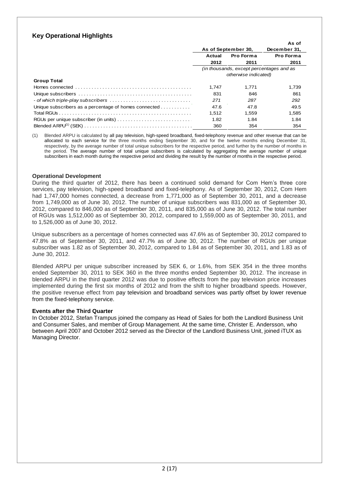# **Key Operational Highlights**

|                                                                                                                    |                      |                                          | As of        |  |
|--------------------------------------------------------------------------------------------------------------------|----------------------|------------------------------------------|--------------|--|
|                                                                                                                    | As of September 30,  |                                          | December 31. |  |
|                                                                                                                    | Pro Forma<br>Actual  |                                          | Pro Forma    |  |
|                                                                                                                    | 2012                 | 2011                                     | 2011         |  |
|                                                                                                                    |                      | (in thousands, except percentages and as |              |  |
|                                                                                                                    | otherwise indicated) |                                          |              |  |
| <b>Group Total</b>                                                                                                 |                      |                                          |              |  |
| Homes connected $\ldots$ $\ldots$ $\ldots$ $\ldots$ $\ldots$ $\ldots$ $\ldots$ $\ldots$ $\ldots$ $\ldots$ $\ldots$ | 1.747                | 1.771                                    | 1,739        |  |
|                                                                                                                    | 831                  | 846                                      | 861          |  |
| - of which triple-play subscribers $\dots\dots\dots\dots\dots\dots\dots\dots\dots\dots\dots\dots$                  | 271                  | 287                                      | 292          |  |
| Unique subscribers as a percentage of homes connected                                                              | 47.6                 | 47.8                                     | 49.5         |  |
|                                                                                                                    | 1.512                | 1.559                                    | 1,585        |  |
|                                                                                                                    | 1.82                 | 1.84                                     | 1.84         |  |
|                                                                                                                    | 360                  | 354                                      | 354          |  |

(1) Blended ARPU is calculated by all pay television, high-speed broadband, fixed-telephony revenue and other revenue that can be allocated to each service for the three months ending September 30, and for the twelve months ending December 31, respectively, by the average number of total unique subscribers for the respective period, and further by the number of months in the period. The average number of total unique subscribers is calculated by aggregating the average number of unique subscribers in each month during the respective period and dividing the result by the number of months in the respective period.

#### **Operational Development**

During the third quarter of 2012, there has been a continued solid demand for Com Hem"s three core services, pay television, high-speed broadband and fixed-telephony. As of September 30, 2012, Com Hem had 1,747,000 homes connected, a decrease from 1,771,000 as of September 30, 2011, and a decrease from 1,749,000 as of June 30, 2012. The number of unique subscribers was 831,000 as of September 30, 2012, compared to 846,000 as of September 30, 2011, and 835,000 as of June 30, 2012. The total number of RGUs was 1,512,000 as of September 30, 2012, compared to 1,559,000 as of September 30, 2011, and to 1,526,000 as of June 30, 2012.

Unique subscribers as a percentage of homes connected was 47.6% as of September 30, 2012 compared to 47.8% as of September 30, 2011, and 47.7% as of June 30, 2012. The number of RGUs per unique subscriber was 1.82 as of September 30, 2012, compared to 1.84 as of September 30, 2011, and 1.83 as of June 30, 2012.

Blended ARPU per unique subscriber increased by SEK 6, or 1.6%, from SEK 354 in the three months ended September 30, 2011 to SEK 360 in the three months ended September 30, 2012. The increase in blended ARPU in the third quarter 2012 was due to positive effects from the pay television price increases implemented during the first six months of 2012 and from the shift to higher broadband speeds. However, the positive revenue effect from pay television and broadband services was partly offset by lower revenue from the fixed-telephony service.

## **Events after the Third Quarter**

In October 2012, Stefan Trampus joined the company as Head of Sales for both the Landlord Business Unit and Consumer Sales, and member of Group Management. At the same time, Christer E. Andersson, who between April 2007 and October 2012 served as the Director of the Landlord Business Unit, joined iTUX as Managing Director.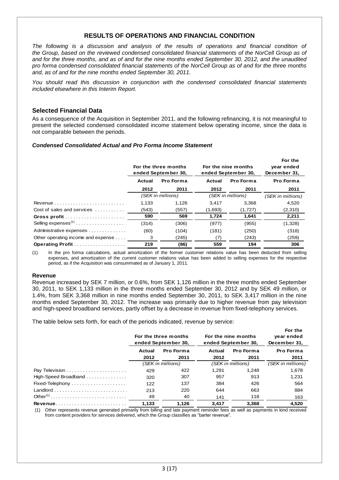# **RESULTS OF OPERATIONS AND FINANCIAL CONDITION**

*The following is a discussion and analysis of the results of operations and financial condition of the Group, based on the reviewed condensed consolidated financial statements of the NorCell Group as of and for the three months, and as of and for the nine months ended September 30, 2012, and the unaudited pro forma condensed consolidated financial statements of the NorCell Group as of and for the three months and, as of and for the nine months ended September 30, 2011.*

*You should read this discussion in conjunction with the condensed consolidated financial statements included elsewhere in this Interim Report.*

## **Selected Financial Data**

As a consequence of the Acquisition in September 2011, and the following refinancing, it is not meaningful to present the selected condensed consolidated income statement below operating income, since the data is not comparable between the periods.

### *Condensed Consolidated Actual and Pro Forma Income Statement*

|                                                            | For the three months<br>ended September 30, |       | For the nine months<br>ended September 30, | For the<br>year ended<br>December 31, |                   |
|------------------------------------------------------------|---------------------------------------------|-------|--------------------------------------------|---------------------------------------|-------------------|
|                                                            | Pro Forma<br>Actual                         |       | Pro Forma<br>Actual                        |                                       | Pro Forma         |
|                                                            | 2012                                        | 2011  | 2012                                       | 2011                                  | 2011              |
|                                                            | (SEK in millions)                           |       | (SEK in millions)                          |                                       | (SEK in millions) |
| Revenue $\ldots \ldots \ldots \ldots \ldots \ldots \ldots$ | 1.133                                       | 1.126 | 3.417                                      | 3.368                                 | 4,520             |
| Cost of sales and services                                 | (543)                                       | (557) | (1,693)                                    | (1,727)                               | (2,310)           |
|                                                            | 590                                         | 569   | 1,724                                      | 1,641                                 | 2,211             |
|                                                            | (314)                                       | (306) | (977)                                      | (955)                                 | (1,328)           |
| Administrative expenses                                    | (60)                                        | (104) | (181)                                      | (250)                                 | (318)             |
| Other operating income and expense                         | 3                                           | (245) | (7)                                        | (243)                                 | (259)             |
| Operating Profit                                           | 219                                         | (86)  | 559                                        | 194                                   | 306               |

(1) In the pro forma calculations, actual amortization of the former customer relations value has been deducted from selling expenses, and amortization of the current customer relations value has been added to selling expenses for the respective period, as if the Acquisition was consummated as of January 1, 2011.

#### **Revenue**

Revenue increased by SEK 7 million, or 0.6%, from SEK 1,126 million in the three months ended September 30, 2011, to SEK 1,133 million in the three months ended September 30, 2012 and by SEK 49 million, or 1.4%, from SEK 3,368 million in nine months ended September 30, 2011, to SEK 3,417 million in the nine months ended September 30, 2012. The increase was primarily due to higher revenue from pay television and high-speed broadband services, partly offset by a decrease in revenue from fixed-telephony services.

The table below sets forth, for each of the periods indicated, revenue by service:

|                      | For the three months<br>ended September 30, |                   | For the nine months<br>ended September 30, | For the<br>year ended<br>December 31, |                   |
|----------------------|---------------------------------------------|-------------------|--------------------------------------------|---------------------------------------|-------------------|
|                      | Pro Forma<br>Actual                         |                   | <b>Pro Forma</b><br>Actual                 |                                       | Pro Forma         |
|                      | 2012                                        | 2011              | 2012                                       | 2011                                  | 2011              |
|                      |                                             | (SEK in millions) | (SEK in millions)                          |                                       | (SEK in millions) |
|                      | 429                                         | 422               | 1.291                                      | 1.248                                 | 1,678             |
| High-Speed Broadband | 320                                         | 307               | 957                                        | 913                                   | 1.231             |
| Fixed-Telephony      | 122                                         | 137               | 384                                        | 426                                   | 564               |
|                      | 213                                         | 220               | 644                                        | 663                                   | 884               |
|                      | 49                                          | 40                | 141                                        | 118                                   | 163               |
| <b>Revenue</b>       | 1.133                                       | 1.126             | 3.417                                      | 3.368                                 | 4.520             |

(1) Other represents revenue generated primarily from billing and late payment reminder fees as well as payments in kind received from content providers for services delivered, which the Group classifies as "barter revenue".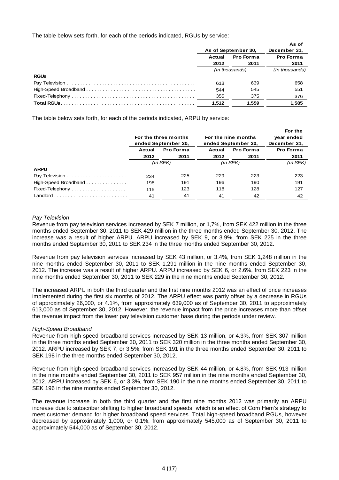The table below sets forth, for each of the periods indicated, RGUs by service:

|             |                     |                  | As of            |
|-------------|---------------------|------------------|------------------|
|             | As of September 30, |                  | December 31,     |
|             | Actual              | <b>Pro Forma</b> | <b>Pro Forma</b> |
|             | 2012                | 2011             | 2011             |
|             |                     | (in thousands)   | (in thousands)   |
| <b>RGUs</b> |                     |                  |                  |
|             | 613                 | 639              | 658              |
|             | 544                 | 545              | 551              |
|             | 355                 | 375              | 376              |
|             | 1.512               | 1.559            | 1,585            |

The table below sets forth, for each of the periods indicated, ARPU by service:

|                      | For the three months<br>ended September 30. |                  |               | For the nine months<br>ended September 30, | For the<br>year ended<br>December 31, |
|----------------------|---------------------------------------------|------------------|---------------|--------------------------------------------|---------------------------------------|
|                      | Actual                                      | <b>Pro Forma</b> | Actual        | <b>Pro Forma</b>                           | Pro Forma                             |
|                      | 2012                                        | 2011             | 2012          | 2011                                       | 2011                                  |
|                      | $(in$ SEK $)$                               |                  | $(in$ SEK $)$ |                                            | $(in$ SEK $)$                         |
| <b>ARPU</b>          |                                             |                  |               |                                            |                                       |
|                      | 234                                         | 225              | 229           | 223                                        | 223                                   |
| High-Speed Broadband | 198                                         | 191              | 196           | 190                                        | 191                                   |
|                      | 115                                         | 123              | 118           | 128                                        | 127                                   |
|                      | 41                                          | 41               | 41            | 42                                         | 42                                    |

#### *Pay Television*

Revenue from pay television services increased by SEK 7 million, or 1,7%, from SEK 422 million in the three months ended September 30, 2011 to SEK 429 million in the three months ended September 30, 2012. The increase was a result of higher ARPU. ARPU increased by SEK 9, or 3.9%, from SEK 225 in the three months ended September 30, 2011 to SEK 234 in the three months ended September 30, 2012.

Revenue from pay television services increased by SEK 43 million, or 3.4%, from SEK 1,248 million in the nine months ended September 30, 2011 to SEK 1,291 million in the nine months ended September 30, 2012. The increase was a result of higher ARPU. ARPU increased by SEK 6, or 2.6%, from SEK 223 in the nine months ended September 30, 2011 to SEK 229 in the nine months ended September 30, 2012.

The increased ARPU in both the third quarter and the first nine months 2012 was an effect of price increases implemented during the first six months of 2012. The ARPU effect was partly offset by a decrease in RGUs of approximately 26,000, or 4.1%, from approximately 639,000 as of September 30, 2011 to approximately 613,000 as of September 30, 2012. However, the revenue impact from the price increases more than offset the revenue impact from the lower pay television customer base during the periods under review.

## *High-Speed Broadband*

Revenue from high-speed broadband services increased by SEK 13 million, or 4.3%, from SEK 307 million in the three months ended September 30, 2011 to SEK 320 million in the three months ended September 30, 2012. ARPU increased by SEK 7, or 3.5%, from SEK 191 in the three months ended September 30, 2011 to SEK 198 in the three months ended September 30, 2012.

Revenue from high-speed broadband services increased by SEK 44 million, or 4.8%, from SEK 913 million in the nine months ended September 30, 2011 to SEK 957 million in the nine months ended September 30, 2012. ARPU increased by SEK 6, or 3.3%, from SEK 190 in the nine months ended September 30, 2011 to SEK 196 in the nine months ended September 30, 2012.

The revenue increase in both the third quarter and the first nine months 2012 was primarily an ARPU increase due to subscriber shifting to higher broadband speeds, which is an effect of Com Hem"s strategy to meet customer demand for higher broadband speed services. Total high-speed broadband RGUs, however decreased by approximately 1,000, or 0.1%, from approximately 545,000 as of September 30, 2011 to approximately 544,000 as of September 30, 2012.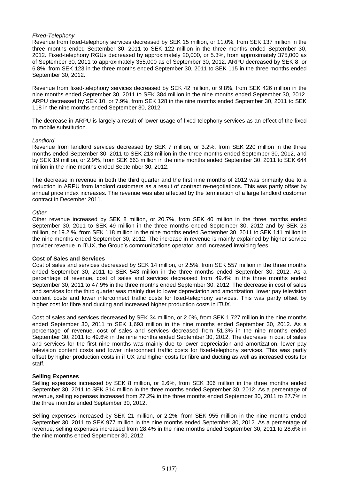#### *Fixed-Telephony*

Revenue from fixed-telephony services decreased by SEK 15 million, or 11.0%, from SEK 137 million in the three months ended September 30, 2011 to SEK 122 million in the three months ended September 30, 2012. Fixed-telephony RGUs decreased by approximately 20,000, or 5.3%, from approximately 375,000 as of September 30, 2011 to approximately 355,000 as of September 30, 2012. ARPU decreased by SEK 8, or 6.8%, from SEK 123 in the three months ended September 30, 2011 to SEK 115 in the three months ended September 30, 2012.

Revenue from fixed-telephony services decreased by SEK 42 million, or 9.8%, from SEK 426 million in the nine months ended September 30, 2011 to SEK 384 million in the nine months ended September 30, 2012. ARPU decreased by SEK 10, or 7.9%, from SEK 128 in the nine months ended September 30, 2011 to SEK 118 in the nine months ended September 30, 2012.

The decrease in ARPU is largely a result of lower usage of fixed-telephony services as an effect of the fixed to mobile substitution.

#### *Landlord*

Revenue from landlord services decreased by SEK 7 million, or 3.2%, from SEK 220 million in the three months ended September 30, 2011 to SEK 213 million in the three months ended September 30, 2012, and by SEK 19 million, or 2.9%, from SEK 663 million in the nine months ended September 30, 2011 to SEK 644 million in the nine months ended September 30, 2012.

The decrease in revenue in both the third quarter and the first nine months of 2012 was primarily due to a reduction in ARPU from landlord customers as a result of contract re-negotiations. This was partly offset by annual price index increases. The revenue was also affected by the termination of a large landlord customer contract in December 2011.

#### *Other*

Other revenue increased by SEK 8 million, or 20.7%, from SEK 40 million in the three months ended September 30, 2011 to SEK 49 million in the three months ended September 30, 2012 and by SEK 23 million, or 19.2 %, from SEK 118 million in the nine months ended September 30, 2011 to SEK 141 million in the nine months ended September 30, 2012. The increase in revenue is mainly explained by higher service provider revenue in iTUX, the Group"s communications operator, and increased invoicing fees.

## **Cost of Sales and Services**

Cost of sales and services decreased by SEK 14 million, or 2.5%, from SEK 557 million in the three months ended September 30, 2011 to SEK 543 million in the three months ended September 30, 2012. As a percentage of revenue, cost of sales and services decreased from 49.4% in the three months ended September 30, 2011 to 47.9% in the three months ended September 30, 2012. The decrease in cost of sales and services for the third quarter was mainly due to lower depreciation and amortization, lower pay television content costs and lower interconnect traffic costs for fixed-telephony services. This was partly offset by higher cost for fibre and ducting and increased higher production costs in iTUX.

Cost of sales and services decreased by SEK 34 million, or 2.0%, from SEK 1,727 million in the nine months ended September 30, 2011 to SEK 1,693 million in the nine months ended September 30, 2012. As a percentage of revenue, cost of sales and services decreased from 51.3% in the nine months ended September 30, 2011 to 49.6% in the nine months ended September 30, 2012. The decrease in cost of sales and services for the first nine months was mainly due to lower depreciation and amortization, lower pay television content costs and lower interconnect traffic costs for fixed-telephony services. This was partly offset by higher production costs in iTUX and higher costs for fibre and ducting as well as increased costs for staff.

## **Selling Expenses**

Selling expenses increased by SEK 8 million, or 2.6%, from SEK 306 million in the three months ended September 30, 2011 to SEK 314 million in the three months ended September 30, 2012. As a percentage of revenue, selling expenses increased from 27.2% in the three months ended September 30, 2011 to 27.7% in the three months ended September 30, 2012.

Selling expenses increased by SEK 21 million, or 2.2%, from SEK 955 million in the nine months ended September 30, 2011 to SEK 977 million in the nine months ended September 30, 2012. As a percentage of revenue, selling expenses increased from 28.4% in the nine months ended September 30, 2011 to 28.6% in the nine months ended September 30, 2012.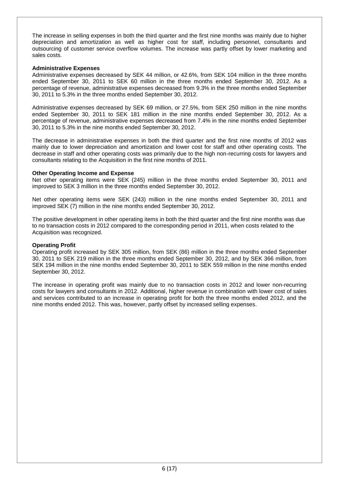The increase in selling expenses in both the third quarter and the first nine months was mainly due to higher depreciation and amortization as well as higher cost for staff, including personnel, consultants and outsourcing of customer service overflow volumes. The increase was partly offset by lower marketing and sales costs.

### **Administrative Expenses**

Administrative expenses decreased by SEK 44 million, or 42.6%, from SEK 104 million in the three months ended September 30, 2011 to SEK 60 million in the three months ended September 30, 2012. As a percentage of revenue, administrative expenses decreased from 9.3% in the three months ended September 30, 2011 to 5.3% in the three months ended September 30, 2012.

Administrative expenses decreased by SEK 69 million, or 27.5%, from SEK 250 million in the nine months ended September 30, 2011 to SEK 181 million in the nine months ended September 30, 2012. As a percentage of revenue, administrative expenses decreased from 7.4% in the nine months ended September 30, 2011 to 5.3% in the nine months ended September 30, 2012.

The decrease in administrative expenses in both the third quarter and the first nine months of 2012 was mainly due to lower depreciation and amortization and lower cost for staff and other operating costs. The decrease in staff and other operating costs was primarily due to the high non-recurring costs for lawyers and consultants relating to the Acquisition in the first nine months of 2011.

#### **Other Operating Income and Expense**

Net other operating items were SEK (245) million in the three months ended September 30, 2011 and improved to SEK 3 million in the three months ended September 30, 2012.

Net other operating items were SEK (243) million in the nine months ended September 30, 2011 and improved SEK (7) million in the nine months ended September 30, 2012.

The positive development in other operating items in both the third quarter and the first nine months was due to no transaction costs in 2012 compared to the corresponding period in 2011, when costs related to the Acquisition was recognized.

## **Operating Profit**

Operating profit increased by SEK 305 million, from SEK (86) million in the three months ended September 30, 2011 to SEK 219 million in the three months ended September 30, 2012, and by SEK 366 million, from SEK 194 million in the nine months ended September 30, 2011 to SEK 559 million in the nine months ended September 30, 2012.

The increase in operating profit was mainly due to no transaction costs in 2012 and lower non-recurring costs for lawyers and consultants in 2012. Additional, higher revenue in combination with lower cost of sales and services contributed to an increase in operating profit for both the three months ended 2012, and the nine months ended 2012. This was, however, partly offset by increased selling expenses.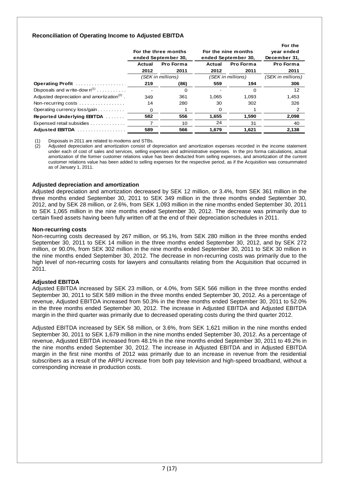## **Reconciliation of Operating Income to Adjusted EBITDA**

|                                                         |                      |                     |                   |                     | For the           |  |
|---------------------------------------------------------|----------------------|---------------------|-------------------|---------------------|-------------------|--|
|                                                         | For the three months |                     |                   | For the nine months | year ended        |  |
|                                                         |                      | ended September 30, |                   | ended September 30, | December 31,      |  |
|                                                         | Actual               | Pro Forma           |                   | Pro Forma           | Pro Forma         |  |
|                                                         | 2012                 | 2011                | 2012              | 2011                | 2011              |  |
|                                                         |                      | (SEK in millions)   | (SEK in millions) |                     | (SEK in millions) |  |
| Operating Profit                                        | 219                  | (86)                | 559               | 194                 | 306               |  |
| Disposals and w rite-dow $n^{(1)}$                      |                      | 0                   |                   | $\Omega$            | 12                |  |
| Adjusted depreciation and amortization <sup>(2)</sup> . | 349                  | 361                 | 1,065             | 1.093               | 1,453             |  |
| Non-recurring costs $\dots\dots\dots\dots\dots\dots$    | 14                   | 280                 | 30                | 302                 | 326               |  |
| Operating currency loss/gain                            | 0                    |                     | 0                 |                     | 2                 |  |
| Reported Underlying EBITDA                              | 582                  | 556                 | 1,655             | 1,590               | 2,098             |  |
| Expensed retail subsidies                               |                      | 10                  | 24                | 31                  | 40                |  |
| Adjusted EBITDA                                         | 589                  | 566                 | 1,679             | 1,621               | 2,138             |  |

(1) Disposals in 2011 are related to modems and STBs.

Adjusted depreciation and amortization consist of depreciation and amortization expenses recorded in the income statement under each of cost of sales and services, selling expenses and administrative expenses. In the pro forma calculations, actual amortization of the former customer relations value has been deducted from selling expenses, and amortization of the current customer relations value has been added to selling expenses for the respective period, as if the Acquisition was consummated as of January 1, 2011.

## **Adjusted depreciation and amortization**

Adjusted depreciation and amortization decreased by SEK 12 million, or 3.4%, from SEK 361 million in the three months ended September 30, 2011 to SEK 349 million in the three months ended September 30, 2012, and by SEK 28 million, or 2.6%, from SEK 1,093 million in the nine months ended September 30, 2011 to SEK 1,065 million in the nine months ended September 30, 2012. The decrease was primarily due to certain fixed assets having been fully written off at the end of their depreciation schedules in 2011.

#### **Non-recurring costs**

Non-recurring costs decreased by 267 million, or 95.1%, from SEK 280 million in the three months ended September 30, 2011 to SEK 14 million in the three months ended September 30, 2012, and by SEK 272 million, or 90.0%, from SEK 302 million in the nine months ended September 30, 2011 to SEK 30 million in the nine months ended September 30, 2012. The decrease in non-recurring costs was primarily due to the high level of non-recurring costs for lawyers and consultants relating from the Acquisition that occurred in 2011.

## **Adjusted EBITDA**

Adjusted EBITDA increased by SEK 23 million, or 4.0%, from SEK 566 million in the three months ended September 30, 2011 to SEK 589 million in the three months ended September 30, 2012. As a percentage of revenue, Adjusted EBITDA increased from 50.3% in the three months ended September 30, 2011 to 52.0% in the three months ended September 30, 2012. The increase in Adjusted EBITDA and Adjusted EBITDA margin in the third quarter was primarily due to decreased operating costs during the third quarter 2012.

Adjusted EBITDA increased by SEK 58 million, or 3.6%, from SEK 1,621 million in the nine months ended September 30, 2011 to SEK 1,679 million in the nine months ended September 30, 2012. As a percentage of revenue, Adjusted EBITDA increased from 48.1% in the nine months ended September 30, 2011 to 49.2% in the nine months ended September 30, 2012. The increase in Adjusted EBITDA and in Adjusted EBITDA margin in the first nine months of 2012 was primarily due to an increase in revenue from the residential subscribers as a result of the ARPU increase from both pay television and high-speed broadband, without a corresponding increase in production costs.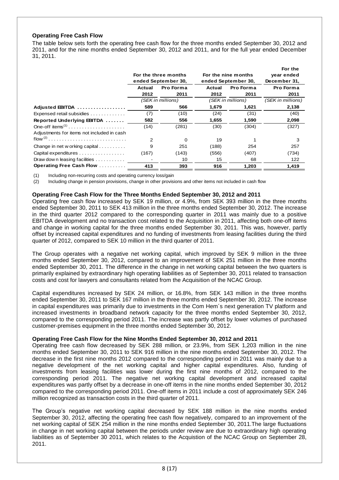## **Operating Free Cash Flow**

The table below sets forth the operating free cash flow for the three months ended September 30, 2012 and 2011, and for the nine months ended September 30, 2012 and 2011, and for the full year ended December 31, 2011.

|                                            |                     |                      |                     |                     | For the           |
|--------------------------------------------|---------------------|----------------------|---------------------|---------------------|-------------------|
|                                            |                     | For the three months | For the nine months | year ended          |                   |
|                                            |                     | ended September 30,  |                     | ended September 30, | December 31,      |
|                                            | Pro Forma<br>Actual |                      | Actual              | Pro Forma           | Pro Forma         |
|                                            | 2012                | 2011                 | 2012                | 2011                | 2011              |
|                                            |                     | (SEK in millions)    |                     | (SEK in millions)   | (SEK in millions) |
| Adjusted EBITDA                            | 589                 | 566                  | 1,679               | 1,621               | 2,138             |
| Expensed retail subsidies                  | (7)                 | (10)                 | (24)                | (31)                | (40)              |
| Reported Underlying EBITDA                 | 582                 | 556                  | 1,655               | 1,590               | 2,098             |
|                                            | (14)                | (281)                | (30)                | (304)               | (327)             |
| Adjustments for items not included in cash |                     |                      |                     |                     |                   |
|                                            | $\overline{2}$      | 0                    | 19                  |                     | 3                 |
| Change in net w orking capital             | 9                   | 251                  | (188)               | 254                 | 257               |
| Capital expenditures                       | (167)               | (143)                | (556)               | (407)               | (734)             |
| Draw down leasing facilities               |                     | 10                   | 15                  | 68                  | 122               |
| Operating Free Cash Flow                   | 413                 | 393                  | 916                 | 1,203               | 1,419             |

(1) Including non-recurring costs and operating currency loss/gain

(2) Including change in pension provisions, change in other provisions and other items not included in cash flow

## **Operating Free Cash Flow for the Three Months Ended September 30, 2012 and 2011**

Operating free cash flow increased by SEK 19 million, or 4.9%, from SEK 393 million in the three months ended September 30, 2011 to SEK 413 million in the three months ended September 30, 2012. The increase in the third quarter 2012 compared to the corresponding quarter in 2011 was mainly due to a positive EBITDA development and no transaction cost related to the Acquisition in 2011, affecting both one-off items and change in working capital for the three months ended September 30, 2011. This was, however, partly offset by increased capital expenditures and no funding of investments from leasing facilities during the third quarter of 2012, compared to SEK 10 million in the third quarter of 2011.

The Group operates with a negative net working capital, which improved by SEK 9 million in the three months ended September 30, 2012, compared to an improvement of SEK 251 million in the three months ended September 30, 2011. The difference in the change in net working capital between the two quarters is primarily explained by extraordinary high operating liabilities as of September 30, 2011 related to transaction costs and cost for lawyers and consultants related from the Acquisition of the NCAC Group.

Capital expenditures increased by SEK 24 million, or 16.8%, from SEK 143 million in the three months ended September 30, 2011 to SEK 167 million in the three months ended September 30, 2012. The increase in capital expenditures was primarily due to investments in the Com Hem´s next generation TV platform and increased investments in broadband network capacity for the three months ended September 30, 2012, compared to the corresponding period 2011. The increase was partly offset by lower volumes of purchased customer-premises equipment in the three months ended September 30, 2012.

## **Operating Free Cash Flow for the Nine Months Ended September 30, 2012 and 2011**

Operating free cash flow decreased by SEK 288 million, or 23.9%, from SEK 1,203 million in the nine months ended September 30, 2011 to SEK 916 million in the nine months ended September 30, 2012. The decrease in the first nine months 2012 compared to the corresponding period in 2011 was mainly due to a negative development of the net working capital and higher capital expenditures. Also, funding of investments from leasing facilities was lower during the first nine months of 2012, compared to the corresponding period 2011. The negative net working capital development and increased capital expenditures was partly offset by a decrease in one-off items in the nine months ended September 30, 2012 compared to the corresponding period 2011. One-off items in 2011 include a cost of approximately SEK 246 million recognized as transaction costs in the third quarter of 2011.

The Group"s negative net working capital decreased by SEK 188 million in the nine months ended September 30, 2012, affecting the operating free cash flow negatively, compared to an improvement of the net working capital of SEK 254 million in the nine months ended September 30, 2011.The large fluctuations in change in net working capital between the periods under review are due to extraordinary high operating liabilities as of September 30 2011, which relates to the Acquistion of the NCAC Group on September 28, 2011.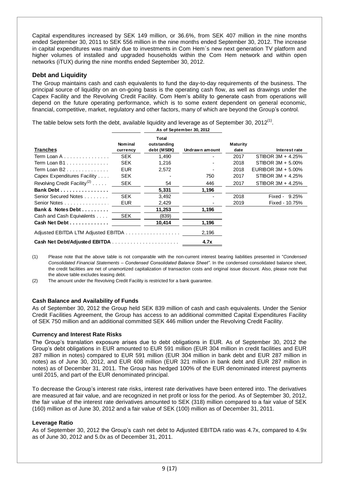Capital expenditures increased by SEK 149 million, or 36.6%, from SEK 407 million in the nine months ended September 30, 2011 to SEK 556 million in the nine months ended September 30, 2012. The increase in capital expenditures was mainly due to investments in Com Hem´s new next generation TV platform and higher volumes of installed and upgraded households within the Com Hem network and within open networks (iTUX) during the nine months ended September 30, 2012.

# **Debt and Liquidity**

The Group maintains cash and cash equivalents to fund the day-to-day requirements of the business. The principal source of liquidity on an on-going basis is the operating cash flow, as well as drawings under the Capex Facility and the Revolving Credit Facility. Com Hem"s ability to generate cash from operations will depend on the future operating performance, which is to some extent dependent on general economic, financial, competitive, market, regulatory and other factors, many of which are beyond the Group's control.

The table below sets forth the debt, available liquidity and leverage as of September 30, 2012<sup>(1)</sup>.

|                                          |                            | As of September 30, 2012                   |                |                  |                       |
|------------------------------------------|----------------------------|--------------------------------------------|----------------|------------------|-----------------------|
| <b>Tranches</b>                          | <b>Nominal</b><br>currency | <b>Total</b><br>outstanding<br>debt (MSEK) | Undrawn amount | Maturity<br>date | Interest rate         |
| Term Loan A                              | <b>SEK</b>                 | 1,490                                      |                | 2017             | STIBOR 3M + 4.25%     |
| Term Loan B1                             | <b>SEK</b>                 | 1,216                                      |                | 2018             | STIBOR 3M + 5.00%     |
| Term Loan B2                             | <b>EUR</b>                 | 2,572                                      |                | 2018             | EURIBOR $3M + 5.00\%$ |
| Capex Expenditures Facility              | <b>SEK</b>                 |                                            | 750            | 2017             | STIBOR 3M + 4.25%     |
| Revolving Credit Facility <sup>(2)</sup> | <b>SEK</b>                 | 54                                         | 446            | 2017             | STIBOR 3M + 4.25%     |
| Bank Debt                                |                            | 5,331                                      | 1,196          |                  |                       |
| Senior Secured Notes                     | <b>SEK</b>                 | 3,492                                      |                | 2018             | Fixed - $9.25%$       |
| Senior Notes                             | <b>EUR</b>                 | 2,429                                      |                | 2019             | Fixed - 10.75%        |
| Bank & Notes Debt                        |                            | 11,253                                     | 1,196          |                  |                       |
| Cash and Cash Equivalents                | <b>SEK</b>                 | (839)                                      |                |                  |                       |
| Cash Net Debt                            |                            | 10,414                                     | 1,196          |                  |                       |
|                                          |                            |                                            | 2,196          |                  |                       |
|                                          |                            |                                            | 4.7x           |                  |                       |

(1) Please note that the above table is not comparable with the non-current interest bearing liabilities presented in "*Condensed Consolidated Financial Statements – Condensed Consolidated Balance Sheet"*. In the condensed consolidated balance sheet, the credit facilities are net of unamortized capitalization of transaction costs and original issue discount. Also, please note that the above table excludes leasing debt.

(2) The amount under the Revolving Credit Facility is restricted for a bank guarantee.

## **Cash Balance and Availability of Funds**

As of September 30, 2012 the Group held SEK 839 million of cash and cash equivalents. Under the Senior Credit Facilities Agreement, the Group has access to an additional committed Capital Expenditures Facility of SEK 750 million and an additional committed SEK 446 million under the Revolving Credit Facility.

## **Currency and Interest Rate Risks**

The Group"s translation exposure arises due to debt obligations in EUR. As of September 30, 2012 the Group"s debt obligations in EUR amounted to EUR 591 million (EUR 304 million in credit facilities and EUR 287 million in notes) compared to EUR 591 million (EUR 304 million in bank debt and EUR 287 million in notes) as of June 30, 2012, and EUR 608 million (EUR 321 million in bank debt and EUR 287 million in notes) as of December 31, 2011. The Group has hedged 100% of the EUR denominated interest payments until 2015, and part of the EUR denominated principal.

To decrease the Group"s interest rate risks, interest rate derivatives have been entered into. The derivatives are measured at fair value, and are recognized in net profit or loss for the period. As of September 30, 2012, the fair value of the interest rate derivatives amounted to SEK (318) million compared to a fair value of SEK (160) million as of June 30, 2012 and a fair value of SEK (100) million as of December 31, 2011.

#### **Leverage Ratio**

As of September 30, 2012 the Group"s cash net debt to Adjusted EBITDA ratio was 4.7x, compared to 4.9x as of June 30, 2012 and 5.0x as of December 31, 2011.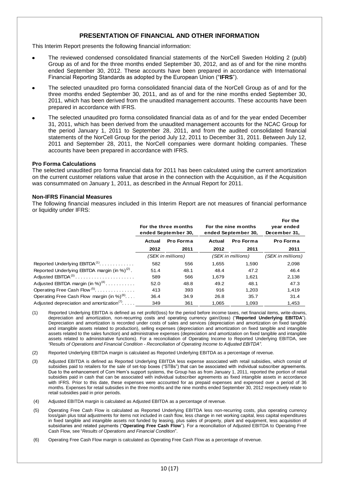# **PRESENTATION OF FINANCIAL AND OTHER INFORMATION**

This Interim Report presents the following financial information:

- The reviewed condensed consolidated financial statements of the NorCell Sweden Holding 2 (publ) Group as of and for the three months ended September 30, 2012, and as of and for the nine months ended September 30, 2012. These accounts have been prepared in accordance with International Financial Reporting Standards as adopted by the European Union ("**IFRS**").
- The selected unaudited pro forma consolidated financial data of the NorCell Group as of and for the three months ended September 30, 2011, and as of and for the nine months ended September 30, 2011, which has been derived from the unaudited management accounts. These accounts have been prepared in accordance with IFRS.
- The selected unaudited pro forma consolidated financial data as of and for the year ended December 31, 2011, which has been derived from the unaudited management accounts for the NCAC Group for the period January 1, 2011 to September 28, 2011, and from the audited consolidated financial statements of the NorCell Group for the period July 12, 2011 to December 31, 2011. Between July 12, 2011 and September 28, 2011, the NorCell companies were dormant holding companies. These accounts have been prepared in accordance with IFRS.

#### **Pro Forma Calculations**

The selected unaudited pro forma financial data for 2011 has been calculated using the current amortization on the current customer relations value that arose in the connection with the Acquisition, as if the Acquisition was consummated on January 1, 2011, as described in the Annual Report for 2011.

#### **Non-IFRS Financial Measures**

The following financial measures included in this Interim Report are not measures of financial performance or liquidity under IFRS:

|                                                                    | For the three months<br>ended September 30, |                   |        | For the nine months<br>ended September 30, | For the<br>year ended<br>December 31, |  |
|--------------------------------------------------------------------|---------------------------------------------|-------------------|--------|--------------------------------------------|---------------------------------------|--|
|                                                                    | Pro Forma<br>Actual                         |                   | Actual | Pro Forma                                  | Pro Forma                             |  |
|                                                                    | 2012                                        | 2011              | 2012   | 2011                                       | 2011                                  |  |
|                                                                    |                                             | (SEK in millions) |        | (SEK in millions)                          | (SEK in millions)                     |  |
| Reported Underlying EBITDA <sup>(1)</sup>                          | 582                                         | 556               | 1,655  | 1,590                                      | 2,098                                 |  |
| Reported Underlying EBITDA margin (in %) $^{(2)}$ .                | 51.4                                        | 48.1              | 48.4   | 47.2                                       | 46.4                                  |  |
| Adjusted EBITDA <sup>(3)</sup>                                     | 589                                         | 566               | 1.679  | 1.621                                      | 2,138                                 |  |
| Adjusted EBITDA margin (in %) <sup>(4)</sup>                       | 52.0                                        | 48.8              | 49.2   | 48.1                                       | 47.3                                  |  |
| Operating Free Cash Flow <sup>(5)</sup>                            | 413                                         | 393               | 916    | 1.203                                      | 1,419                                 |  |
| Operating Free Cash Flow margin (in %) <sup>(6)</sup>              | 36.4                                        | 34.9              | 26.8   | 35.7                                       | 31.4                                  |  |
| Adjusted depreciation and amortization <sup><math>(7)</math></sup> | 349                                         | 361               | 1.065  | 1.093                                      | 1,453                                 |  |

- (1) Reported Underlying EBITDA is defined as net profit/(loss) for the period before income taxes, net financial items, write-downs, depreciation and amortization, non-recurring costs and operating currency gain/(loss) ("**Reported Underlying EBITDA**"). Depreciation and amortization is recorded under costs of sales and services (depreciation and amortization on fixed tangible and intangible assets related to production), selling expenses (depreciation and amortization on fixed tangible and intangible assets related to the sales function) and administrative expenses (depreciation and amortization on fixed tangible and intangible assets related to administrative functions). For a reconciliation of Operating Income to Reported Underlying EBITDA, see *"Results of Operations and Financial Condition* - *Reconciliation of Operating Income to Adjusted EBITDA"*.
- (2) Reported Underlying EBITDA margin is calculated as Reported Underlying EBITDA as a percentage of revenue.
- (3) Adjusted EBITDA is defined as Reported Underlying EBITDA less expense associated with retail subsidies, which consist of subsidies paid to retailers for the sale of set-top boxes ("STBs") that can be associated with individual subscriber agreements. Due to the enhancement of Com Hem"s support systems, the Group has as from January 1, 2011, reported the portion of retail subsidies paid in cash that can be associated with individual subscriber agreements as fixed intangible assets in accordance with IFRS. Prior to this date, these expenses were accounted for as prepaid expenses and expensed over a period of 36 months. Expenses for retail subsidies in the three months and the nine months ended September 30, 2012 respectively relate to retail subsidies paid in prior periods.
- (4) Adjusted EBITDA margin is calculated as Adjusted EBITDA as a percentage of revenue.
- (5) Operating Free Cash Flow is calculated as Reported Underlying EBITDA less non-recurring costs, plus operating currency loss/gain plus total adjustments for items not included in cash flow, less change in net working capital, less capital expenditures in fixed tangible and intangible assets not funded by leasing, plus sales of property, plant and equipment, less acquisition of subsidiaries and related payments ("**Operating Free Cash Flow**"). For a reconciliation of Adjusted EBITDA to Operating Free Cash Flow, see "*Results of Operations and Financial Condition*".
- (6) Operating Free Cash Flow margin is calculated as Operating Free Cash Flow as a percentage of revenue.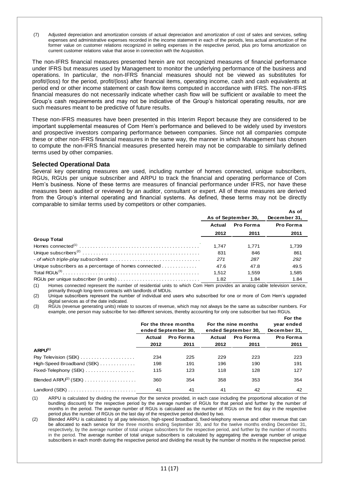(7) Adjusted depreciation and amortization consists of actual depreciation and amortization of cost of sales and services, selling expenses and administrative expenses recorded in the income statement in each of the periods, less actual amortization of the former value on customer relations recognized in selling expenses in the respective period, plus pro forma amortization on current customer relations value that arose in connection with the Acquisition.

The non-IFRS financial measures presented herein are not recognized measures of financial performance under IFRS but measures used by Management to monitor the underlying performance of the business and operations. In particular, the non-IFRS financial measures should not be viewed as substitutes for profit/(loss) for the period, profit/(loss) after financial items, operating income, cash and cash equivalents at period end or other income statement or cash flow items computed in accordance with IFRS. The non-IFRS financial measures do not necessarily indicate whether cash flow will be sufficient or available to meet the Group"s cash requirements and may not be indicative of the Group"s historical operating results, nor are such measures meant to be predictive of future results.

These non-IFRS measures have been presented in this Interim Report because they are considered to be important supplemental measures of Com Hem"s performance and believed to be widely used by investors and prospective investors comparing performance between companies. Since not all companies compute these or other non-IFRS financial measures in the same way, the manner in which Management has chosen to compute the non-IFRS financial measures presented herein may not be comparable to similarly defined terms used by other companies.

## **Selected Operational Data**

Several key operating measures are used, including number of homes connected, unique subscribers, RGUs, RGUs per unique subscriber and ARPU to track the financial and operating performance of Com Hem"s business. None of these terms are measures of financial performance under IFRS, nor have these measures been audited or reviewed by an auditor, consultant or expert. All of these measures are derived from the Group's internal operating and financial systems. As defined, these terms may not be directly comparable to similar terms used by competitors or other companies.

|                                                       |                     |                     | As of        |
|-------------------------------------------------------|---------------------|---------------------|--------------|
|                                                       |                     | As of September 30, | December 31, |
|                                                       | Pro Forma<br>Actual |                     | Pro Forma    |
|                                                       | 2012                | 2011                | 2011         |
| <b>Group Total</b>                                    |                     |                     |              |
|                                                       | 1.747               | 1.771               | 1.739        |
|                                                       | 831                 | 846                 | 861          |
|                                                       | 271                 | 287                 | 292          |
| Unique subscribers as a percentage of homes connected | 47.6                | 47.8                | 49.5         |
|                                                       | 1.512               | 1,559               | 1,585        |
|                                                       | 1.82                | 1.84                | 1.84         |

(1) Homes connected represent the number of residential units to which Com Hem provides an analog cable television service, primarily through long-term contracts with landlords of MDUs.

(2) Unique subscribers represent the number of individual end users who subscribed for one or more of Com Hem"s upgraded digital services as of the date indicated.

(3) RGUs (revenue generating units) relate to sources of revenue, which may not always be the same as subscriber numbers. For example, one person may subscribe for two different services, thereby accounting for only one subscriber but two RGUs.

|                                                              | For the three months<br>ended September 30, |           | For the nine months<br>ended September 30, |      |                  |
|--------------------------------------------------------------|---------------------------------------------|-----------|--------------------------------------------|------|------------------|
|                                                              | Actual                                      | Pro Forma | Pro Forma<br>Actual                        |      | <b>Pro Forma</b> |
|                                                              | 2012                                        | 2011      | 2012                                       | 2011 | 2011             |
| ARPU <sup>(1)</sup>                                          |                                             |           |                                            |      |                  |
| Pay Television (SEK)                                         | 234                                         | 225       | 229                                        | 223  | 223              |
| $High-Speed$ Broadband (SEK) $\ldots \ldots \ldots$          | 198                                         | 191       | 196                                        | 190  | 191              |
| $Fixed-Telephony$ (SEK) $\ldots \ldots \ldots \ldots \ldots$ | 115                                         | 123       | 118                                        | 128  | 127              |
| Blended $ARPU(2)$ (SEK)                                      | 360                                         | 354       | 358                                        | 353  | 354              |
|                                                              | 41                                          | 41        | 41                                         | 42   | 42               |

(1) ARPU is calculated by dividing the revenue (for the service provided, in each case including the proportional allocation of the bundling discount) for the respective period by the average number of RGUs for that period and further by the number of months in the period. The average number of RGUs is calculated as the number of RGUs on the first day in the respective period plus the number of RGUs on the last day of the respective period divided by two.

(2) Blended ARPU is calculated by all pay television, high-speed broadband, fixed-telephony revenue and other revenue that can be allocated to each service for the three months ending September 30, and for the twelve months ending December 31, respectively, by the average number of total unique subscribers for the respective period, and further by the number of months in the period. The average number of total unique subscribers is calculated by aggregating the average number of unique subscribers in each month during the respective period and dividing the result by the number of months in the respective period.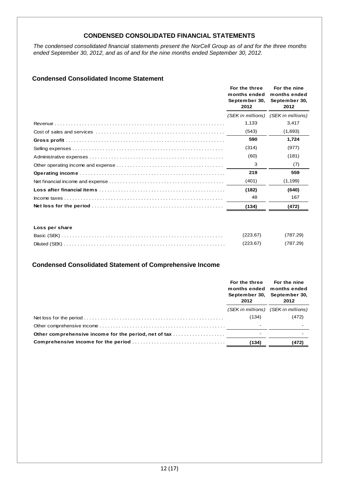# **CONDENSED CONSOLIDATED FINANCIAL STATEMENTS**

*The condensed consolidated financial statements present the NorCell Group as of and for the three months ended September 30, 2012, and as of and for the nine months ended September 30, 2012.* 

# **Condensed Consolidated Income Statement**

| For the three<br>months ended<br>September 30,<br>2012 | For the nine<br>months ended<br>September 30,<br>2012 |
|--------------------------------------------------------|-------------------------------------------------------|
|                                                        | (SEK in millions) (SEK in millions)                   |
| 1,133                                                  | 3.417                                                 |
| (543)                                                  | (1,693)                                               |
| 590                                                    | 1,724                                                 |
| (314)                                                  | (977)                                                 |
| (60)                                                   | (181)                                                 |
| 3                                                      | (7)                                                   |
| 219                                                    | 559                                                   |
| (401)                                                  | (1, 199)                                              |
| (182)                                                  | (640)                                                 |
| 48                                                     | 167                                                   |
| (134)                                                  | (472)                                                 |

### **Loss per share**

| (223.67) | (787.29) |
|----------|----------|
| (223.67) | (787.29) |

# **Condensed Consolidated Statement of Comprehensive Income**

|                                                       | For the three For the nine<br>months ended months ended<br>2012 | September 30, September 30,<br>2012 |
|-------------------------------------------------------|-----------------------------------------------------------------|-------------------------------------|
|                                                       |                                                                 | (SEK in millions) (SEK in millions) |
|                                                       | (134)                                                           | (472)                               |
|                                                       |                                                                 |                                     |
| Other comprehensive income for the period, net of tax |                                                                 |                                     |
|                                                       | (134)                                                           | (472)                               |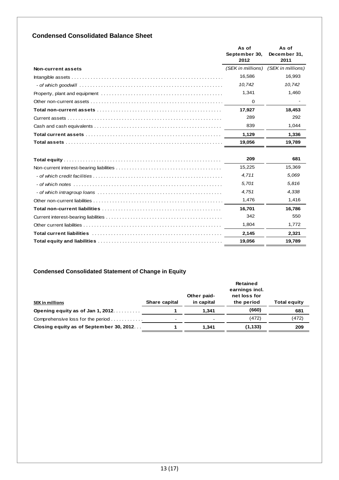# **Condensed Consolidated Balance Sheet**

|                    | As of<br>September 30,<br>2012 | As of<br>December 31,<br>2011 |
|--------------------|--------------------------------|-------------------------------|
| Non-current assets | (SEK in millions)              | (SEK in millions)             |
|                    | 16,586                         | 16,993                        |
|                    | 10,742                         | 10.742                        |
|                    | 1,341                          | 1,460                         |
|                    | $\Omega$                       |                               |
|                    | 17,927                         | 18.453                        |
|                    | 289                            | 292                           |
|                    | 839                            | 1,044                         |
|                    | 1,129                          | 1,336                         |
|                    | 19,056                         | 19,789                        |
|                    | 209                            | 681                           |
|                    | 15,225                         | 15,369                        |
|                    | 4,711                          | 5,069                         |
|                    | 5,701                          | 5,816                         |
|                    | 4,751                          | 4,338                         |
|                    | 1,476                          | 1,416                         |
|                    | 16,701                         | 16,786                        |
|                    | 342                            | 550                           |
|                    | 1,804                          | 1,772                         |
|                    | 2,145                          | 2.321                         |
|                    | 19,056                         | 19,789                        |

# **Condensed Consolidated Statement of Change in Equity**

|                                         |               | Other paid- | <b>Retained</b><br>earnings incl.<br>net loss for |                     |
|-----------------------------------------|---------------|-------------|---------------------------------------------------|---------------------|
| <b>SEK in millions</b>                  | Share capital | in capital  | the period                                        | <b>Total equity</b> |
| Opening equity as of Jan 1, 2012.       |               | 1.341       | (660)                                             | 681                 |
| Comprehensive loss for the period       | $\,$          | $\,$        | (472)                                             | (472)               |
| Closing equity as of September 30, 2012 |               | 1.341       | (1, 133)                                          | 209                 |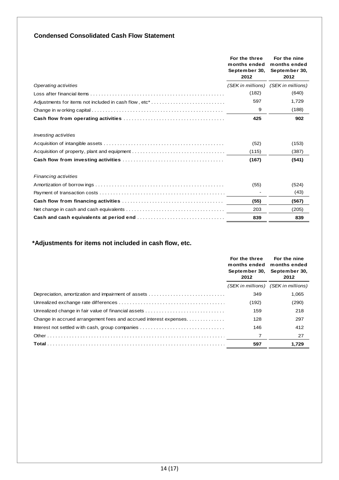# **Condensed Consolidated Cash Flow Statement**

|                                                                             | For the three<br>months ended<br>September 30,<br>2012 | For the nine<br>months ended<br>September 30,<br>2012 |
|-----------------------------------------------------------------------------|--------------------------------------------------------|-------------------------------------------------------|
| Operating activities                                                        |                                                        | (SEK in millions) (SEK in millions)                   |
|                                                                             | (182)                                                  | (640)                                                 |
| Adjustments for items not included in cash flow, etc*                       | 597                                                    | 1,729                                                 |
|                                                                             | 9                                                      | (188)                                                 |
|                                                                             | 425                                                    | 902                                                   |
| <i>Investing activities</i><br>Acquisition of property, plant and equipment | (52)<br>(115)                                          | (153)<br>(387)                                        |
|                                                                             | (167)                                                  | (541)                                                 |
| <b>Financing activities</b>                                                 |                                                        |                                                       |
|                                                                             | (55)                                                   | (524)                                                 |
|                                                                             |                                                        | (43)                                                  |
|                                                                             | (55)                                                   | (567)                                                 |
|                                                                             | 203                                                    | (205)                                                 |
|                                                                             | 839                                                    | 839                                                   |

# **\*Adjustments for items not included in cash flow, etc.**

|                                                                  | For the three<br>months ended months ended<br>September 30,<br>2012 | For the nine<br>September 30,<br>2012 |
|------------------------------------------------------------------|---------------------------------------------------------------------|---------------------------------------|
|                                                                  |                                                                     | (SEK in millions) (SEK in millions)   |
| Depreciation, amortization and impairment of assets              | 349                                                                 | 1,065                                 |
|                                                                  | (192)                                                               | (290)                                 |
| Unrealized change in fair value of financial assets              | 159                                                                 | 218                                   |
| Change in accrued arrangement fees and accrued interest expenses | 128                                                                 | 297                                   |
|                                                                  | 146                                                                 | 412                                   |
|                                                                  |                                                                     | 27                                    |
|                                                                  | 597                                                                 | 1,729                                 |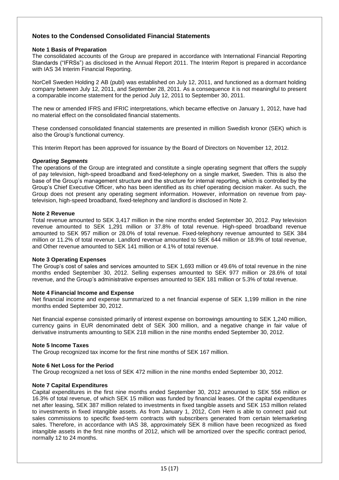# **Notes to the Condensed Consolidated Financial Statements**

### **Note 1 Basis of Preparation**

The consolidated accounts of the Group are prepared in accordance with International Financial Reporting Standards ("IFRSs") as disclosed in the Annual Report 2011. The Interim Report is prepared in accordance with IAS 34 Interim Financial Reporting.

NorCell Sweden Holding 2 AB (publ) was established on July 12, 2011, and functioned as a dormant holding company between July 12, 2011, and September 28, 2011. As a consequence it is not meaningful to present a comparable income statement for the period July 12, 2011 to September 30, 2011.

The new or amended IFRS and IFRIC interpretations, which became effective on January 1, 2012, have had no material effect on the consolidated financial statements.

These condensed consolidated financial statements are presented in million Swedish kronor (SEK) which is also the Group"s functional currency.

This Interim Report has been approved for issuance by the Board of Directors on November 12, 2012.

#### *Operating Segments*

The operations of the Group are integrated and constitute a single operating segment that offers the supply of pay television, high-speed broadband and fixed-telephony on a single market, Sweden. This is also the base of the Group"s management structure and the structure for internal reporting, which is controlled by the Group"s Chief Executive Officer, who has been identified as its chief operating decision maker. As such, the Group does not present any operating segment information. However, information on revenue from paytelevision, high-speed broadband, fixed-telephony and landlord is disclosed in Note 2.

#### **Note 2 Revenue**

Total revenue amounted to SEK 3,417 million in the nine months ended September 30, 2012. Pay television revenue amounted to SEK 1,291 million or 37.8% of total revenue. High-speed broadband revenue amounted to SEK 957 million or 28.0% of total revenue. Fixed-telephony revenue amounted to SEK 384 million or 11.2% of total revenue. Landlord revenue amounted to SEK 644 million or 18.9% of total revenue, and Other revenue amounted to SEK 141 million or 4.1% of total revenue.

#### **Note 3 Operating Expenses**

The Group"s cost of sales and services amounted to SEK 1,693 million or 49.6% of total revenue in the nine months ended September 30, 2012. Selling expenses amounted to SEK 977 million or 28.6% of total revenue, and the Group"s administrative expenses amounted to SEK 181 million or 5.3% of total revenue.

#### **Note 4 Financial Income and Expense**

Net financial income and expense summarized to a net financial expense of SEK 1,199 million in the nine months ended September 30, 2012.

Net financial expense consisted primarily of interest expense on borrowings amounting to SEK 1,240 million, currency gains in EUR denominated debt of SEK 300 million, and a negative change in fair value of derivative instruments amounting to SEK 218 million in the nine months ended September 30, 2012.

#### **Note 5 Income Taxes**

The Group recognized tax income for the first nine months of SEK 167 million.

#### **Note 6 Net Loss for the Period**

The Group recognized a net loss of SEK 472 million in the nine months ended September 30, 2012.

#### **Note 7 Capital Expenditures**

Capital expenditures in the first nine months ended September 30, 2012 amounted to SEK 556 million or 16.3% of total revenue, of which SEK 15 million was funded by financial leases. Of the capital expenditures net after leasing, SEK 387 million related to investments in fixed tangible assets and SEK 153 million related to investments in fixed intangible assets. As from January 1, 2012, Com Hem is able to connect paid out sales commissions to specific fixed-term contracts with subscribers generated from certain telemarketing sales. Therefore, in accordance with IAS 38, approximately SEK 8 million have been recognized as fixed intangible assets in the first nine months of 2012, which will be amortized over the specific contract period, normally 12 to 24 months.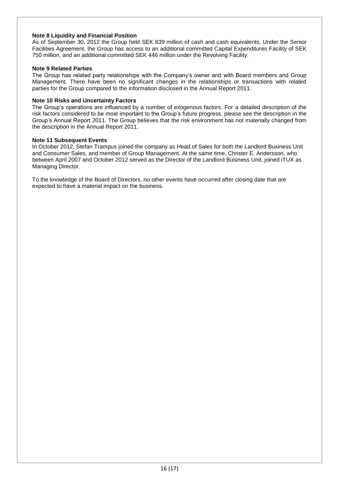## **Note 8 Liquidity and Financial Position**

As of September 30, 2012 the Group held SEK 839 million of cash and cash equivalents. Under the Senior Facilities Agreement, the Group has access to an additional committed Capital Expenditures Facility of SEK 750 million, and an additional committed SEK 446 million under the Revolving Facility.

#### **Note 9 Related Parties**

The Group has related party relationships with the Company's owner and with Board members and Group Management. There have been no significant changes in the relationships or transactions with related parties for the Group compared to the information disclosed in the Annual Report 2011.

#### **Note 10 Risks and Uncertainty Factors**

The Group"s operations are influenced by a number of exogenous factors. For a detailed description of the risk factors considered to be most important to the Group"s future progress, please see the description in the Group"s Annual Report 2011. The Group believes that the risk environment has not materially changed from the description in the Annual Report 2011.

#### **Note 11 Subsequent Events**

In October 2012, Stefan Trampus joined the company as Head of Sales for both the Landlord Business Unit and Consumer Sales, and member of Group Management. At the same time, Christer E. Andersson, who between April 2007 and October 2012 served as the Director of the Landlord Business Unit, joined iTUX as Managing Director.

To the knowledge of the Board of Directors, no other events have occurred after closing date that are expected to have a material impact on the business.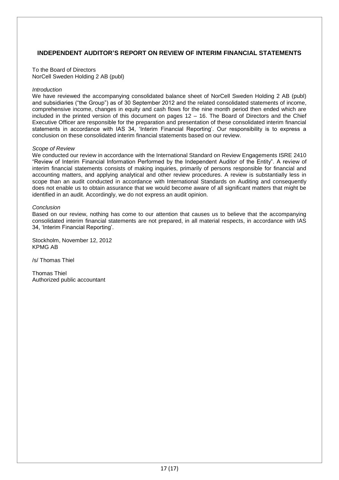# **INDEPENDENT AUDITOR'S REPORT ON REVIEW OF INTERIM FINANCIAL STATEMENTS**

To the Board of Directors NorCell Sweden Holding 2 AB (publ)

#### *Introduction*

We have reviewed the accompanying consolidated balance sheet of NorCell Sweden Holding 2 AB (publ) and subsidiaries ("the Group") as of 30 September 2012 and the related consolidated statements of income, comprehensive income, changes in equity and cash flows for the nine month period then ended which are included in the printed version of this document on pages 12 – 16. The Board of Directors and the Chief Executive Officer are responsible for the preparation and presentation of these consolidated interim financial statements in accordance with IAS 34, 'Interim Financial Reporting'. Our responsibility is to express a conclusion on these consolidated interim financial statements based on our review.

#### *Scope of Review*

We conducted our review in accordance with the International Standard on Review Engagements ISRE 2410 "Review of Interim Financial Information Performed by the Independent Auditor of the Entity". A review of interim financial statements consists of making inquiries, primarily of persons responsible for financial and accounting matters, and applying analytical and other review procedures. A review is substantially less in scope than an audit conducted in accordance with International Standards on Auditing and consequently does not enable us to obtain assurance that we would become aware of all significant matters that might be identified in an audit. Accordingly, we do not express an audit opinion.

#### *Conclusion*

Based on our review, nothing has come to our attention that causes us to believe that the accompanying consolidated interim financial statements are not prepared, in all material respects, in accordance with IAS 34, "Interim Financial Reporting".

Stockholm, November 12, 2012 KPMG AB

/s/ Thomas Thiel

Thomas Thiel Authorized public accountant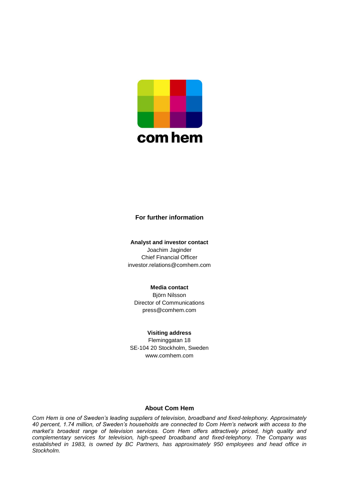

# **For further information**

**Analyst and investor contact** Joachim Jaginder Chief Financial Officer investor.relations@comhem.com

## **Media contact**

Björn Nilsson Director of Communications press@comhem.com

#### **Visiting address**

Fleminggatan 18 SE-104 20 Stockholm, Sweden www.comhem.com

## **About Com Hem**

*Com Hem is one of Sweden's leading suppliers of television, broadband and fixed-telephony. Approximately 40 percent, 1.74 million, of Sweden's households are connected to Com Hem's network with access to the market's broadest range of television services. Com Hem offers attractively priced, high quality and complementary services for television, high-speed broadband and fixed-telephony. The Company was established in 1983, is owned by BC Partners, has approximately 950 employees and head office in Stockholm.*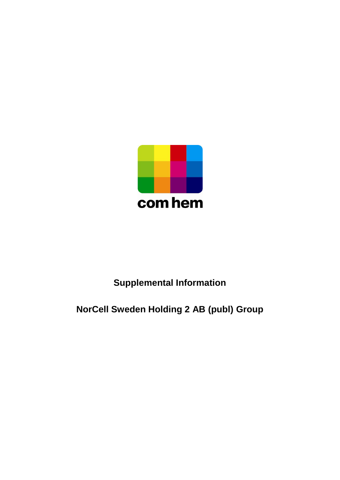

# **Supplemental Information**

# **NorCell Sweden Holding 2 AB (publ) Group**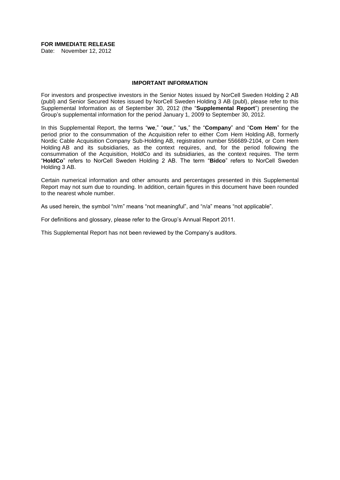#### **FOR IMMEDIATE RELEASE**

Date: November 12, 2012

#### **IMPORTANT INFORMATION**

For investors and prospective investors in the Senior Notes issued by NorCell Sweden Holding 2 AB (publ) and Senior Secured Notes issued by NorCell Sweden Holding 3 AB (publ), please refer to this Supplemental Information as of September 30, 2012 (the "**Supplemental Report**") presenting the Group's supplemental information for the period January 1, 2009 to September 30, 2012.

In this Supplemental Report, the terms "**we**," "**our**," "**us**," the "**Company**" and "**Com Hem**" for the period prior to the consummation of the Acquisition refer to either Com Hem Holding AB, formerly Nordic Cable Acquisition Company Sub-Holding AB, registration number 556689-2104, or Com Hem Holding AB and its subsidiaries, as the context requires, and, for the period following the consummation of the Acquisition, HoldCo and its subsidiaries, as the context requires. The term "**HoldCo**" refers to NorCell Sweden Holding 2 AB. The term "**Bidco**" refers to NorCell Sweden Holding 3 AB.

Certain numerical information and other amounts and percentages presented in this Supplemental Report may not sum due to rounding. In addition, certain figures in this document have been rounded to the nearest whole number.

As used herein, the symbol "n/m" means "not meaningful", and "n/a" means "not applicable".

For definitions and glossary, please refer to the Group's Annual Report 2011.

This Supplemental Report has not been reviewed by the Company's auditors.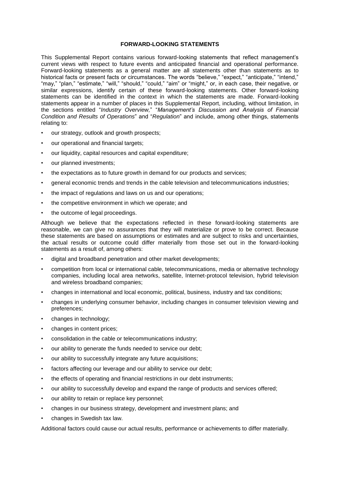#### **FORWARD-LOOKING STATEMENTS**

This Supplemental Report contains various forward-looking statements that reflect management's current views with respect to future events and anticipated financial and operational performance. Forward-looking statements as a general matter are all statements other than statements as to historical facts or present facts or circumstances. The words "believe," "expect," "anticipate," "intend," "may," "plan," "estimate," "will," "should," "could," "aim" or "might," or, in each case, their negative, or similar expressions, identify certain of these forward-looking statements. Other forward-looking statements can be identified in the context in which the statements are made. Forward-looking statements appear in a number of places in this Supplemental Report, including, without limitation, in the sections entitled "*Industry Overview,*" "*Management's Discussion and Analysis of Financial Condition and Results of Operations*" and "*Regulation*" and include, among other things, statements relating to:

- our strategy, outlook and growth prospects;
- our operational and financial targets;
- our liquidity, capital resources and capital expenditure;
- our planned investments;
- the expectations as to future growth in demand for our products and services;
- general economic trends and trends in the cable television and telecommunications industries;
- the impact of regulations and laws on us and our operations;
- the competitive environment in which we operate; and
- the outcome of legal proceedings.

Although we believe that the expectations reflected in these forward-looking statements are reasonable, we can give no assurances that they will materialize or prove to be correct. Because these statements are based on assumptions or estimates and are subject to risks and uncertainties, the actual results or outcome could differ materially from those set out in the forward-looking statements as a result of, among others:

- digital and broadband penetration and other market developments;
- competition from local or international cable, telecommunications, media or alternative technology companies, including local area networks, satellite, Internet-protocol television, hybrid television and wireless broadband companies;
- changes in international and local economic, political, business, industry and tax conditions;
- changes in underlying consumer behavior, including changes in consumer television viewing and preferences;
- changes in technology;
- changes in content prices;
- consolidation in the cable or telecommunications industry;
- our ability to generate the funds needed to service our debt;
- our ability to successfully integrate any future acquisitions;
- factors affecting our leverage and our ability to service our debt;
- the effects of operating and financial restrictions in our debt instruments;
- our ability to successfully develop and expand the range of products and services offered;
- our ability to retain or replace key personnel;
- changes in our business strategy, development and investment plans; and
- changes in Swedish tax law.

Additional factors could cause our actual results, performance or achievements to differ materially.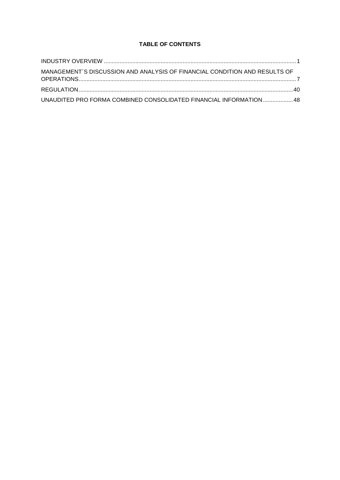# **TABLE OF CONTENTS**

| MANAGEMENT'S DISCUSSION AND ANALYSIS OF FINANCIAL CONDITION AND RESULTS OF |  |
|----------------------------------------------------------------------------|--|
|                                                                            |  |
| UNAUDITED PRO FORMA COMBINED CONSOLIDATED FINANCIAL INFORMATION  48        |  |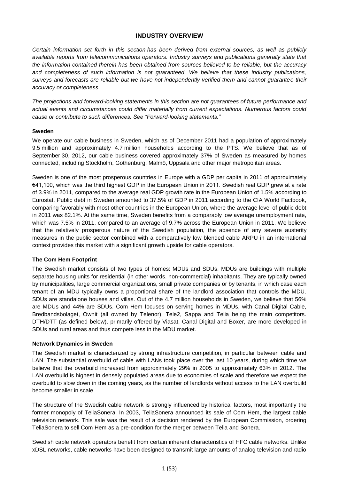# **INDUSTRY OVERVIEW**

*Certain information set forth in this section has been derived from external sources, as well as publicly available reports from telecommunications operators. Industry surveys and publications generally state that the information contained therein has been obtained from sources believed to be reliable, but the accuracy and completeness of such information is not guaranteed. We believe that these industry publications, surveys and forecasts are reliable but we have not independently verified them and cannot guarantee their accuracy or completeness.*

*The projections and forward-looking statements in this section are not guarantees of future performance and actual events and circumstances could differ materially from current expectations. Numerous factors could cause or contribute to such differences. See "Forward-looking statements."*

## **Sweden**

We operate our cable business in Sweden, which as of December 2011 had a population of approximately 9.5 million and approximately 4.7 million households according to the PTS. We believe that as of September 30, 2012, our cable business covered approximately 37% of Sweden as measured by homes connected, including Stockholm, Gothenburg, Malmö, Uppsala and other major metropolitan areas.

Sweden is one of the most prosperous countries in Europe with a GDP per capita in 2011 of approximately €41,100, which was the third highest GDP in the European Union in 2011. Swedish real GDP grew at a rate of 3.9% in 2011, compared to the average real GDP growth rate in the European Union of 1.5% according to Eurostat. Public debt in Sweden amounted to 37.5% of GDP in 2011 according to the CIA World Factbook, comparing favorably with most other countries in the European Union, where the average level of public debt in 2011 was 82.1%. At the same time, Sweden benefits from a comparably low average unemployment rate, which was 7.5% in 2011, compared to an average of 9.7% across the European Union in 2011. We believe that the relatively prosperous nature of the Swedish population, the absence of any severe austerity measures in the public sector combined with a comparatively low blended cable ARPU in an international context provides this market with a significant growth upside for cable operators.

# **The Com Hem Footprint**

The Swedish market consists of two types of homes: MDUs and SDUs. MDUs are buildings with multiple separate housing units for residential (in other words, non-commercial) inhabitants. They are typically owned by municipalities, large commercial organizations, small private companies or by tenants, in which case each tenant of an MDU typically owns a proportional share of the landlord association that controls the MDU. SDUs are standalone houses and villas. Out of the 4.7 million households in Sweden, we believe that 56% are MDUs and 44% are SDUs. Com Hem focuses on serving homes in MDUs, with Canal Digital Cable, Bredbandsbolaget, Ownit (all owned by Telenor), Tele2, Sappa and Telia being the main competitors. DTH/DTT (as defined below), primarily offered by Viasat, Canal Digital and Boxer, are more developed in SDUs and rural areas and thus compete less in the MDU market.

## **Network Dynamics in Sweden**

The Swedish market is characterized by strong infrastructure competition, in particular between cable and LAN. The substantial overbuild of cable with LANs took place over the last 10 years, during which time we believe that the overbuild increased from approximately 29% in 2005 to approximately 63% in 2012. The LAN overbuild is highest in densely populated areas due to economies of scale and therefore we expect the overbuild to slow down in the coming years, as the number of landlords without access to the LAN overbuild become smaller in scale.

The structure of the Swedish cable network is strongly influenced by historical factors, most importantly the former monopoly of TeliaSonera. In 2003, TeliaSonera announced its sale of Com Hem, the largest cable television network. This sale was the result of a decision rendered by the European Commission, ordering TeliaSonera to sell Com Hem as a pre-condition for the merger between Telia and Sonera.

Swedish cable network operators benefit from certain inherent characteristics of HFC cable networks. Unlike xDSL networks, cable networks have been designed to transmit large amounts of analog television and radio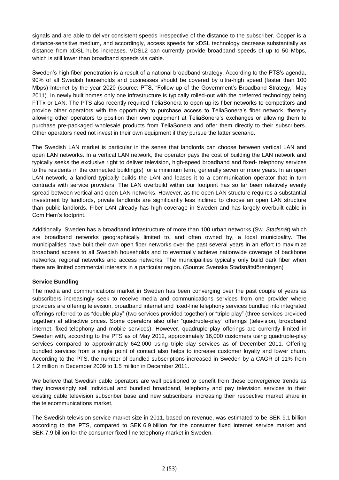signals and are able to deliver consistent speeds irrespective of the distance to the subscriber. Copper is a distance-sensitive medium, and accordingly, access speeds for xDSL technology decrease substantially as distance from xDSL hubs increases. VDSL2 can currently provide broadband speeds of up to 50 Mbps, which is still lower than broadband speeds via cable.

Sweden's high fiber penetration is a result of a national broadband strategy. According to the PTS's agenda, 90% of all Swedish households and businesses should be covered by ultra-high speed (faster than 100 Mbps) Internet by the year 2020 (source: PTS, "Follow-up of the Government's Broadband Strategy," May 2011). In newly built homes only one infrastructure is typically rolled-out with the preferred technology being FTTx or LAN. The PTS also recently required TeliaSonera to open up its fiber networks to competitors and provide other operators with the opportunity to purchase access to TeliaSonera's fiber network, thereby allowing other operators to position their own equipment at TeliaSonera's exchanges or allowing them to purchase pre-packaged wholesale products from TeliaSonera and offer them directly to their subscribers. Other operators need not invest in their own equipment if they pursue the latter scenario.

The Swedish LAN market is particular in the sense that landlords can choose between vertical LAN and open LAN networks. In a vertical LAN network, the operator pays the cost of building the LAN network and typically seeks the exclusive right to deliver television, high-speed broadband and fixed- telephony services to the residents in the connected building(s) for a minimum term, generally seven or more years. In an open LAN network, a landlord typically builds the LAN and leases it to a communication operator that in turn contracts with service providers. The LAN overbuild within our footprint has so far been relatively evenly spread between vertical and open LAN networks. However, as the open LAN structure requires a substantial investment by landlords, private landlords are significantly less inclined to choose an open LAN structure than public landlords. Fiber LAN already has high coverage in Sweden and has largely overbuilt cable in Com Hem's footprint.

Additionally, Sweden has a broadband infrastructure of more than 100 urban networks (Sw. *Stadsnät*) which are broadband networks geographically limited to, and often owned by, a local municipality. The municipalities have built their own open fiber networks over the past several years in an effort to maximize broadband access to all Swedish households and to eventually achieve nationwide coverage of backbone networks, regional networks and access networks. The municipalities typically only build dark fiber when there are limited commercial interests in a particular region. (Source: Svenska Stadsnätsföreningen)

# **Service Bundling**

The media and communications market in Sweden has been converging over the past couple of years as subscribers increasingly seek to receive media and communications services from one provider where providers are offering television, broadband internet and fixed-line telephony services bundled into integrated offerings referred to as "double play" (two services provided together) or "triple play" (three services provided together) at attractive prices. Some operators also offer "quadruple-play" offerings (television, broadband internet, fixed-telephony and mobile services). However, quadruple-play offerings are currently limited in Sweden with, according to the PTS as of May 2012, approximately 16,000 customers using quadruple-play services compared to approximately 642,000 using triple-play services as of December 2011. Offering bundled services from a single point of contact also helps to increase customer loyalty and lower churn. According to the PTS, the number of bundled subscriptions increased in Sweden by a CAGR of 11% from 1.2 million in December 2009 to 1.5 million in December 2011.

We believe that Swedish cable operators are well positioned to benefit from these convergence trends as they increasingly sell individual and bundled broadband, telephony and pay television services to their existing cable television subscriber base and new subscribers, increasing their respective market share in the telecommunications market.

The Swedish television service market size in 2011, based on revenue, was estimated to be SEK 9.1 billion according to the PTS, compared to SEK 6.9 billion for the consumer fixed internet service market and SEK 7.9 billion for the consumer fixed-line telephony market in Sweden.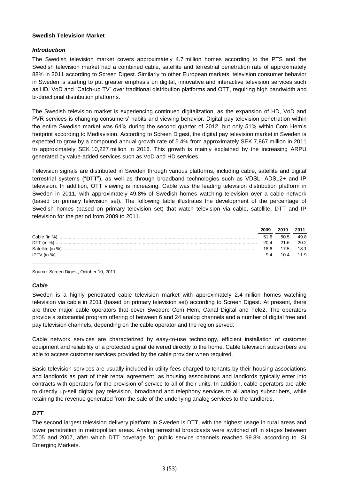## **Swedish Television Market**

# *Introduction*

The Swedish television market covers approximately 4.7 million homes according to the PTS and the Swedish television market had a combined cable, satellite and terrestrial penetration rate of approximately 88% in 2011 according to Screen Digest. Similarly to other European markets, television consumer behavior in Sweden is starting to put greater emphasis on digital, innovative and interactive television services such as HD, VoD and "Catch-up TV" over traditional distribution platforms and OTT, requiring high bandwidth and bi-directional distribution platforms.

The Swedish television market is experiencing continued digitalization, as the expansion of HD, VoD and PVR services is changing consumers' habits and viewing behavior. Digital pay television penetration within the entire Swedish market was 64% during the second quarter of 2012, but only 51% within Com Hem's footprint according to Mediavision. According to Screen Digest, the digital pay television market in Sweden is expected to grow by a compound annual growth rate of 5.4% from approximately SEK 7,867 million in 2011 to approximately SEK 10,227 million in 2016. This growth is mainly explained by the increasing ARPU generated by value-added services such as VoD and HD services.

Television signals are distributed in Sweden through various platforms, including cable, satellite and digital terrestrial systems ("**DTT**"), as well as through broadband technologies such as VDSL, ADSL2+ and IP television. In addition, OTT viewing is increasing. Cable was the leading television distribution platform in Sweden in 2011, with approximately 49.8% of Swedish homes watching television over a cable network (based on primary television set). The following table illustrates the development of the percentage of Swedish homes (based on primary television set) that watch television via cable, satellite, DTT and IP television for the period from 2009 to 2011.

| 2009 | 2010 | 2011          |
|------|------|---------------|
| 516  | 50.5 | 49.8          |
| 20.4 | 21 R | $-20.2$       |
| 18.6 |      | 17.5 18.1     |
| 94   |      | $10.4$ $11.9$ |

Source: Screen Digest, October 10, 2011.

## *Cable*

Sweden is a highly penetrated cable television market with approximately 2.4 million homes watching television via cable in 2011 (based on primary television set) according to Screen Digest. At present, there are three major cable operators that cover Sweden: Com Hem, Canal Digital and Tele2. The operators provide a substantial program offering of between 6 and 24 analog channels and a number of digital free and pay television channels, depending on the cable operator and the region served.

Cable network services are characterized by easy-to-use technology, efficient installation of customer equipment and reliability of a protected signal delivered directly to the home. Cable television subscribers are able to access customer services provided by the cable provider when required.

Basic television services are usually included in utility fees charged to tenants by their housing associations and landlords as part of their rental agreement, as housing associations and landlords typically enter into contracts with operators for the provision of service to all of their units. In addition, cable operators are able to directly up-sell digital pay television, broadband and telephony services to all analog subscribers, while retaining the revenue generated from the sale of the underlying analog services to the landlords.

## *DTT*

The second largest television delivery platform in Sweden is DTT, with the highest usage in rural areas and lower penetration in metropolitan areas. Analog terrestrial broadcasts were switched off in stages between 2005 and 2007, after which DTT coverage for public service channels reached 99.8% according to ISI Emerging Markets.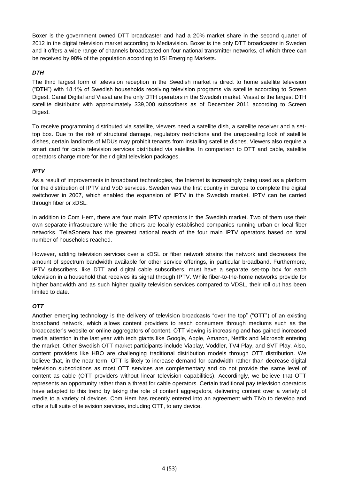Boxer is the government owned DTT broadcaster and had a 20% market share in the second quarter of 2012 in the digital television market according to Mediavision. Boxer is the only DTT broadcaster in Sweden and it offers a wide range of channels broadcasted on four national transmitter networks, of which three can be received by 98% of the population according to ISI Emerging Markets.

# *DTH*

The third largest form of television reception in the Swedish market is direct to home satellite television ("**DTH**") with 18.1% of Swedish households receiving television programs via satellite according to Screen Digest. Canal Digital and Viasat are the only DTH operators in the Swedish market. Viasat is the largest DTH satellite distributor with approximately 339,000 subscribers as of December 2011 according to Screen Digest.

To receive programming distributed via satellite, viewers need a satellite dish, a satellite receiver and a settop box. Due to the risk of structural damage, regulatory restrictions and the unappealing look of satellite dishes, certain landlords of MDUs may prohibit tenants from installing satellite dishes. Viewers also require a smart card for cable television services distributed via satellite. In comparison to DTT and cable, satellite operators charge more for their digital television packages.

# *IPTV*

As a result of improvements in broadband technologies, the Internet is increasingly being used as a platform for the distribution of IPTV and VoD services. Sweden was the first country in Europe to complete the digital switchover in 2007, which enabled the expansion of IPTV in the Swedish market. IPTV can be carried through fiber or xDSL.

In addition to Com Hem, there are four main IPTV operators in the Swedish market. Two of them use their own separate infrastructure while the others are locally established companies running urban or local fiber networks. TeliaSonera has the greatest national reach of the four main IPTV operators based on total number of households reached.

However, adding television services over a xDSL or fiber network strains the network and decreases the amount of spectrum bandwidth available for other service offerings, in particular broadband. Furthermore, IPTV subscribers, like DTT and digital cable subscribers, must have a separate set-top box for each television in a household that receives its signal through IPTV. While fiber-to-the-home networks provide for higher bandwidth and as such higher quality television services compared to VDSL, their roll out has been limited to date.

# *OTT*

Another emerging technology is the delivery of television broadcasts "over the top" ("**OTT**") of an existing broadband network, which allows content providers to reach consumers through mediums such as the broadcaster's website or online aggregators of content. OTT viewing is increasing and has gained increased media attention in the last year with tech giants like Google, Apple, Amazon, Netflix and Microsoft entering the market. Other Swedish OTT market participants include Viaplay, Voddler, TV4 Play, and SVT Play. Also, content providers like HBO are challenging traditional distribution models through OTT distribution. We believe that, in the near term, OTT is likely to increase demand for bandwidth rather than decrease digital television subscriptions as most OTT services are complementary and do not provide the same level of content as cable (OTT providers without linear television capabilities). Accordingly, we believe that OTT represents an opportunity rather than a threat for cable operators. Certain traditional pay television operators have adapted to this trend by taking the role of content aggregators, delivering content over a variety of media to a variety of devices. Com Hem has recently entered into an agreement with TiVo to develop and offer a full suite of television services, including OTT, to any device.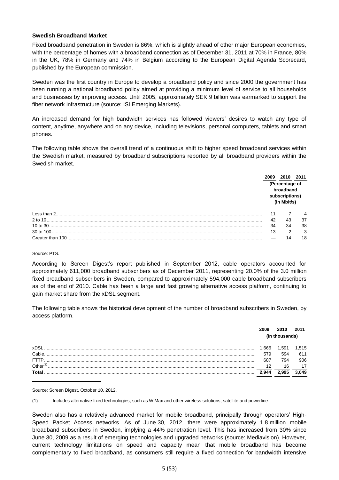### **Swedish Broadband Market**

Fixed broadband penetration in Sweden is 86%, which is slightly ahead of other major European economies, with the percentage of homes with a broadband connection as of December 31, 2011 at 70% in France, 80% in the UK, 78% in Germany and 74% in Belgium according to the European Digital Agenda Scorecard, published by the European commission.

Sweden was the first country in Europe to develop a broadband policy and since 2000 the government has been running a national broadband policy aimed at providing a minimum level of service to all households and businesses by improving access. Until 2005, approximately SEK 9 billion was earmarked to support the fiber network infrastructure (source: ISI Emerging Markets).

An increased demand for high bandwidth services has followed viewers' desires to watch any type of content, anytime, anywhere and on any device, including televisions, personal computers, tablets and smart phones.

The following table shows the overall trend of a continuous shift to higher speed broadband services within the Swedish market, measured by broadband subscriptions reported by all broadband providers within the Swedish market.

|                  |    |                                                              | 2011 |
|------------------|----|--------------------------------------------------------------|------|
|                  |    | (Percentage of<br>broadband<br>subscriptions)<br>(In Mbit/s) |      |
|                  | 11 |                                                              |      |
|                  | 42 | 43                                                           | 37   |
|                  | 34 | 34                                                           | 38   |
|                  | 13 | 2                                                            | 3    |
| Greater than 100 |    | 14                                                           | 18   |

#### Source: PTS.

According to Screen Digest's report published in September 2012, cable operators accounted for approximately 611,000 broadband subscribers as of December 2011, representing 20.0% of the 3.0 million fixed broadband subscribers in Sweden, compared to approximately 594,000 cable broadband subscribers as of the end of 2010. Cable has been a large and fast growing alternative access platform, continuing to gain market share from the xDSL segment.

The following table shows the historical development of the number of broadband subscribers in Sweden, by access platform.

|             |      | (In thousands) |      |
|-------------|------|----------------|------|
| <b>VDS</b>  | .666 | 1.591          | .515 |
| Cable       | 579  | 594            | 611  |
| FTTP.       | 687  | 794            | 906  |
| Other $(1)$ | 12   | 16             | 17   |
|             |      |                |      |
|             |      |                |      |

Source: Screen Digest, October 10, 2012.

(1) Includes alternative fixed technologies, such as WiMax and other wireless solutions, satellite and powerline.

Sweden also has a relatively advanced market for mobile broadband, principally through operators' High-Speed Packet Access networks. As of June 30, 2012, there were approximately 1.8 million mobile broadband subscribers in Sweden, implying a 44% penetration level. This has increased from 30% since June 30, 2009 as a result of emerging technologies and upgraded networks (source: Mediavision). However, current technology limitations on speed and capacity mean that mobile broadband has become complementary to fixed broadband, as consumers still require a fixed connection for bandwidth intensive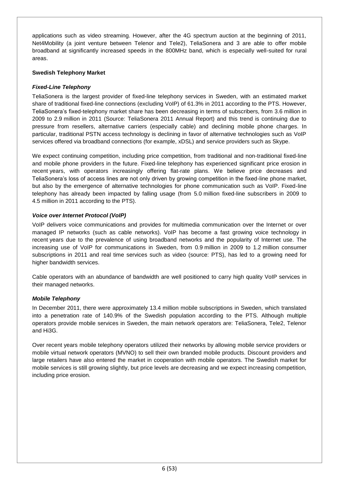applications such as video streaming. However, after the 4G spectrum auction at the beginning of 2011, Net4Mobility (a joint venture between Telenor and Tele2), TeliaSonera and 3 are able to offer mobile broadband at significantly increased speeds in the 800MHz band, which is especially well-suited for rural areas.

# **Swedish Telephony Market**

# *Fixed-Line Telephony*

TeliaSonera is the largest provider of fixed-line telephony services in Sweden, with an estimated market share of traditional fixed-line connections (excluding VoIP) of 61.3% in 2011 according to the PTS. However, TeliaSonera's fixed-telephony market share has been decreasing in terms of subscribers, from 3.6 million in 2009 to 2.9 million in 2011 (Source: TeliaSonera 2011 Annual Report) and this trend is continuing due to pressure from resellers, alternative carriers (especially cable) and declining mobile phone charges. In particular, traditional PSTN access technology is declining in favor of alternative technologies such as VoIP services offered via broadband connections (for example, xDSL) and service providers such as Skype.

We expect continuing competition, including price competition, from traditional and non-traditional fixed-line and mobile phone providers in the future. Fixed-line telephony has experienced significant price erosion in recent years, with operators increasingly offering flat-rate plans. We believe price decreases and TeliaSonera's loss of access lines are not only driven by growing competition in the fixed-line phone market, but also by the emergence of alternative technologies for phone communication such as VoIP. Fixed-line telephony has already been impacted by falling usage (from 5.0 million fixed-line subscribers in 2009 to 4.5 million in 2011 according to the PTS).

## *Voice over Internet Protocol (VoIP)*

VoIP delivers voice communications and provides for multimedia communication over the Internet or over managed IP networks (such as cable networks). VoIP has become a fast growing voice technology in recent years due to the prevalence of using broadband networks and the popularity of Internet use. The increasing use of VoIP for communications in Sweden, from 0.9 million in 2009 to 1.2 million consumer subscriptions in 2011 and real time services such as video (source: PTS), has led to a growing need for higher bandwidth services.

Cable operators with an abundance of bandwidth are well positioned to carry high quality VoIP services in their managed networks.

## *Mobile Telephony*

In December 2011, there were approximately 13.4 million mobile subscriptions in Sweden, which translated into a penetration rate of 140.9% of the Swedish population according to the PTS. Although multiple operators provide mobile services in Sweden, the main network operators are: TeliaSonera, Tele2, Telenor and Hi3G.

Over recent years mobile telephony operators utilized their networks by allowing mobile service providers or mobile virtual network operators (MVNO) to sell their own branded mobile products. Discount providers and large retailers have also entered the market in cooperation with mobile operators. The Swedish market for mobile services is still growing slightly, but price levels are decreasing and we expect increasing competition, including price erosion.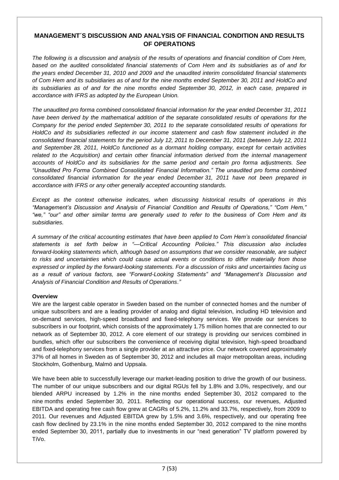# **MANAGEMENT´S DISCUSSION AND ANALYSIS OF FINANCIAL CONDITION AND RESULTS OF OPERATIONS**

*The following is a discussion and analysis of the results of operations and financial condition of Com Hem, based on the audited consolidated financial statements of Com Hem and its subsidiaries as of and for the years ended December 31, 2010 and 2009 and the unaudited interim consolidated financial statements of Com Hem and its subsidiaries as of and for the nine months ended September 30, 2011 and HoldCo and its subsidiaries as of and for the nine months ended September 30, 2012, in each case, prepared in accordance with IFRS as adopted by the European Union.*

*The unaudited pro forma combined consolidated financial information for the year ended December 31, 2011 have been derived by the mathematical addition of the separate consolidated results of operations for the Company for the period ended September 30, 2011 to the separate consolidated results of operations for HoldCo and its subsidiaries reflected in our income statement and cash flow statement included in the consolidated financial statements for the period July 12, 2011 to December 31, 2011 (between July 12, 2011 and September 28, 2011, HoldCo functioned as a dormant holding company, except for certain activities related to the Acquisition) and certain other financial information derived from the internal management accounts of HoldCo and its subsidiaries for the same period and certain pro forma adjustments. See "Unaudited Pro Forma Combined Consolidated Financial Information." The unaudited pro forma combined consolidated financial information for the year ended December 31, 2011 have not been prepared in accordance with IFRS or any other generally accepted accounting standards.*

*Except as the context otherwise indicates, when discussing historical results of operations in this "Management's Discussion and Analysis of Financial Condition and Results of Operations," "Com Hem," "we," "our" and other similar terms are generally used to refer to the business of Com Hem and its subsidiaries.* 

*A summary of the critical accounting estimates that have been applied to Com Hem's consolidated financial statements is set forth below in "—Critical Accounting Policies." This discussion also includes forward-looking statements which, although based on assumptions that we consider reasonable, are subject to risks and uncertainties which could cause actual events or conditions to differ materially from those expressed or implied by the forward-looking statements. For a discussion of risks and uncertainties facing us as a result of various factors, see "Forward-Looking Statements" and "Management's Discussion and Analysis of Financial Condition and Results of Operations."*

# **Overview**

We are the largest cable operator in Sweden based on the number of connected homes and the number of unique subscribers and are a leading provider of analog and digital television, including HD television and on-demand services, high-speed broadband and fixed-telephony services. We provide our services to subscribers in our footprint, which consists of the approximately 1.75 million homes that are connected to our network as of September 30, 2012. A core element of our strategy is providing our services combined in bundles, which offer our subscribers the convenience of receiving digital television, high-speed broadband and fixed-telephony services from a single provider at an attractive price. Our network covered approximately 37% of all homes in Sweden as of September 30, 2012 and includes all major metropolitan areas, including Stockholm, Gothenburg, Malmö and Uppsala.

We have been able to successfully leverage our market-leading position to drive the growth of our business. The number of our unique subscribers and our digital RGUs fell by 1.8% and 3.0%, respectively, and our blended ARPU increased by 1.2% in the nine months ended September 30, 2012 compared to the nine months ended September 30, 2011. Reflecting our operational success, our revenues, Adjusted EBITDA and operating free cash flow grew at CAGRs of 5.2%, 11.2% and 33.7%, respectively, from 2009 to 2011. Our revenues and Adjusted EBITDA grew by 1.5% and 3.6%, respectively, and our operating free cash flow declined by 23.1% in the nine months ended September 30, 2012 compared to the nine months ended September 30, 2011, partially due to investments in our "next generation" TV platform powered by TiVo.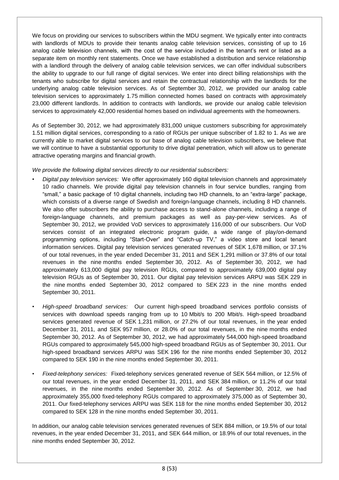We focus on providing our services to subscribers within the MDU segment. We typically enter into contracts with landlords of MDUs to provide their tenants analog cable television services, consisting of up to 16 analog cable television channels, with the cost of the service included in the tenant's rent or listed as a separate item on monthly rent statements. Once we have established a distribution and service relationship with a landlord through the delivery of analog cable television services, we can offer individual subscribers the ability to upgrade to our full range of digital services. We enter into direct billing relationships with the tenants who subscribe for digital services and retain the contractual relationship with the landlords for the underlying analog cable television services. As of September 30, 2012, we provided our analog cable television services to approximately 1.75 million connected homes based on contracts with approximately 23,000 different landlords. In addition to contracts with landlords, we provide our analog cable television services to approximately 42,000 residential homes based on individual agreements with the homeowners.

As of September 30, 2012, we had approximately 831,000 unique customers subscribing for approximately 1.51 million digital services, corresponding to a ratio of RGUs per unique subscriber of 1.82 to 1. As we are currently able to market digital services to our base of analog cable television subscribers, we believe that we will continue to have a substantial opportunity to drive digital penetration, which will allow us to generate attractive operating margins and financial growth.

*We provide the following digital services directly to our residential subscribers:*

- *Digital pay television services:* We offer approximately 160 digital television channels and approximately 10 radio channels. We provide digital pay television channels in four service bundles, ranging from "small," a basic package of 10 digital channels, including two HD channels, to an "extra-large" package, which consists of a diverse range of Swedish and foreign-language channels, including 8 HD channels. We also offer subscribers the ability to purchase access to stand-alone channels, including a range of foreign-language channels, and premium packages as well as pay-per-view services. As of September 30, 2012, we provided VoD services to approximately 116,000 of our subscribers. Our VoD services consist of an integrated electronic program guide, a wide range of play/on-demand programming options, including "Start-Over" and "Catch-up TV," a video store and local tenant information services. Digital pay television services generated revenues of SEK 1,678 million, or 37.1% of our total revenues, in the year ended December 31, 2011 and SEK 1,291 million or 37.8% of our total revenues in the nine months ended September 30, 2012. As of September 30, 2012, we had approximately 613,000 digital pay television RGUs, compared to approximately 639,000 digital pay television RGUs as of September 30, 2011. Our digital pay television services ARPU was SEK 229 in the nine months ended September 30, 2012 compared to SEK 223 in the nine months ended September 30, 2011.
- *High-speed broadband services:* Our current high-speed broadband services portfolio consists of services with download speeds ranging from up to 10 Mbit/s to 200 Mbit/s. High-speed broadband services generated revenue of SEK 1,231 million, or 27.2% of our total revenues, in the year ended December 31, 2011, and SEK 957 million, or 28.0% of our total revenues, in the nine months ended September 30, 2012. As of September 30, 2012, we had approximately 544,000 high-speed broadband RGUs compared to approximately 545,000 high-speed broadband RGUs as of September 30, 2011. Our high-speed broadband services ARPU was SEK 196 for the nine months ended September 30, 2012 compared to SEK 190 in the nine months ended September 30, 2011.
- *Fixed-telephony services:* Fixed-telephony services generated revenue of SEK 564 million, or 12.5% of our total revenues, in the year ended December 31, 2011, and SEK 384 million, or 11.2% of our total revenues, in the nine months ended September 30, 2012. As of September 30, 2012, we had approximately 355,000 fixed-telephony RGUs compared to approximately 375,000 as of September 30, 2011. Our fixed-telephony services ARPU was SEK 118 for the nine months ended September 30, 2012 compared to SEK 128 in the nine months ended September 30, 2011.

In addition, our analog cable television services generated revenues of SEK 884 million, or 19.5% of our total revenues, in the year ended December 31, 2011, and SEK 644 million, or 18.9% of our total revenues, in the nine months ended September 30, 2012.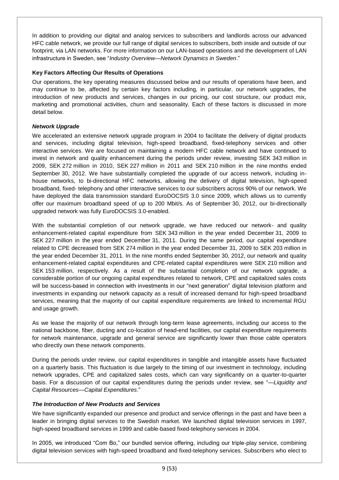In addition to providing our digital and analog services to subscribers and landlords across our advanced HFC cable network, we provide our full range of digital services to subscribers, both inside and outside of our footprint, via LAN networks. For more information on our LAN-based operations and the development of LAN infrastructure in Sweden, see "*Industry Overview—Network Dynamics in Sweden*."

# **Key Factors Affecting Our Results of Operations**

Our operations, the key operating measures discussed below and our results of operations have been, and may continue to be, affected by certain key factors including, in particular, our network upgrades, the introduction of new products and services, changes in our pricing, our cost structure, our product mix, marketing and promotional activities, churn and seasonality. Each of these factors is discussed in more detail below.

## *Network Upgrade*

We accelerated an extensive network upgrade program in 2004 to facilitate the delivery of digital products and services, including digital television, high-speed broadband, fixed-telephony services and other interactive services. We are focused on maintaining a modern HFC cable network and have continued to invest in network and quality enhancement during the periods under review, investing SEK 343 million in 2009, SEK 272 million in 2010, SEK 227 million in 2011 and SEK 210 million in the nine months ended September 30, 2012. We have substantially completed the upgrade of our access network, including inhouse networks, to bi-directional HFC networks, allowing the delivery of digital television, high-speed broadband, fixed- telephony and other interactive services to our subscribers across 90% of our network. We have deployed the data transmission standard EuroDOCSIS 3.0 since 2009, which allows us to currently offer our maximum broadband speed of up to 200 Mbit/s. As of September 30, 2012, our bi-directionally upgraded network was fully EuroDOCSIS 3.0-enabled.

With the substantial completion of our network upgrade, we have reduced our network- and quality enhancement-related capital expenditure from SEK 343 million in the year ended December 31, 2009 to SEK 227 million in the year ended December 31, 2011. During the same period, our capital expenditure related to CPE decreased from SEK 274 million in the year ended December 31, 2009 to SEK 203 million in the year ended December 31, 2011. In the nine months ended September 30, 2012, our network and quality enhancement-related capital expenditures and CPE-related capital expenditures were SEK 210 million and SEK 153 million, respectively. As a result of the substantial completion of our network upgrade, a considerable portion of our ongoing capital expenditures related to network, CPE and capitalized sales costs will be success-based in connection with investments in our "next generation" digital television platform and investments in expanding our network capacity as a result of increased demand for high-speed broadband services, meaning that the majority of our capital expenditure requirements are linked to incremental RGU and usage growth.

As we lease the majority of our network through long-term lease agreements, including our access to the national backbone, fiber, ducting and co-location of head-end facilities, our capital expenditure requirements for network maintenance, upgrade and general service are significantly lower than those cable operators who directly own these network components.

During the periods under review, our capital expenditures in tangible and intangible assets have fluctuated on a quarterly basis. This fluctuation is due largely to the timing of our investment in technology, including network upgrades, CPE and capitalized sales costs, which can vary significantly on a quarter-to-quarter basis. For a discussion of our capital expenditures during the periods under review, see "*—Liquidity and Capital Resources—Capital Expenditures*."

# *The Introduction of New Products and Services*

We have significantly expanded our presence and product and service offerings in the past and have been a leader in bringing digital services to the Swedish market. We launched digital television services in 1997, high-speed broadband services in 1999 and cable-based fixed-telephony services in 2004.

In 2005, we introduced "Com Bo," our bundled service offering, including our triple-play service, combining digital television services with high-speed broadband and fixed-telephony services. Subscribers who elect to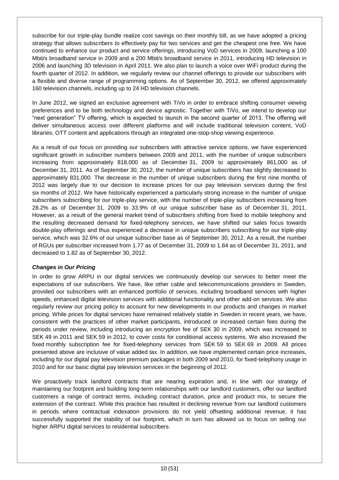subscribe for our triple-play bundle realize cost savings on their monthly bill, as we have adopted a pricing strategy that allows subscribers to effectively pay for two services and get the cheapest one free. We have continued to enhance our product and service offerings, introducing VoD services in 2009, launching a 100 Mbit/s broadband service in 2009 and a 200 Mbit/s broadband service in 2011, introducing HD television in 2006 and launching 3D television in April 2011. We also plan to launch a voice over WiFi product during the fourth quarter of 2012. In addition, we regularly review our channel offerings to provide our subscribers with a flexible and diverse range of programming options. As of September 30, 2012, we offered approximately 160 television channels, including up to 24 HD television channels.

In June 2012, we signed an exclusive agreement with TiVo in order to embrace shifting consumer viewing preferences and to be both technology and device agnostic. Together with TiVo, we intend to develop our "next generation" TV offering, which is expected to launch in the second quarter of 2013. The offering will deliver simultaneous access over different platforms and will include traditional television content, VoD libraries, OTT content and applications through an integrated one-stop-shop viewing experience.

As a result of our focus on providing our subscribers with attractive service options, we have experienced significant growth in subscriber numbers between 2009 and 2011, with the number of unique subscribers increasing from approximately 818,000 as of December 31, 2009 to approximately 861,000 as of December 31, 2011. As of September 30, 2012, the number of unique subscribers has slightly decreased to approximately 831,000. The decrease in the number of unique subscribers during the first nine months of 2012 was largely due to our decision to increase prices for our pay television services during the first six months of 2012. We have historically experienced a particularly strong increase in the number of unique subscribers subscribing for our triple-play service, with the number of triple-play subscribers increasing from 28.2% as of December 31, 2009 to 33.9% of our unique subscriber base as of December 31, 2011. However, as a result of the general market trend of subscribers shifting from fixed to mobile telephony and the resulting decreased demand for fixed-telephony services, we have shifted our sales focus towards double-play offerings and thus experienced a decrease in unique subscribers subscribing for our triple-play service, which was 32.6% of our unique subscriber base as of September 30, 2012. As a result, the number of RGUs per subscriber increased from 1.77 as of December 31, 2009 to 1.84 as of December 31, 2011, and decreased to 1.82 as of September 30, 2012.

# *Changes in Our Pricing*

In order to grow ARPU in our digital services we continuously develop our services to better meet the expectations of our subscribers. We have, like other cable and telecommunications providers in Sweden, provided our subscribers with an enhanced portfolio of services, including broadband services with higher speeds, enhanced digital television services with additional functionality and other add-on services. We also regularly review our pricing policy to account for new developments in our products and changes in market pricing. While prices for digital services have remained relatively stable in Sweden in recent years, we have, consistent with the practices of other market participants, introduced or increased certain fees during the periods under review, including introducing an encryption fee of SEK 30 in 2009, which was increased to SEK 49 in 2011 and SEK 59 in 2012, to cover costs for conditional access systems. We also increased the fixed monthly subscription fee for fixed-telephony services from SEK 59 to SEK 69 in 2009. All prices presented above are inclusive of value added tax. In addition, we have implemented certain price increases, including for our digital pay television premium packages in both 2009 and 2010, for fixed-telephony usage in 2010 and for our basic digital pay television services in the beginning of 2012.

We proactively track landlord contracts that are nearing expiration and, in line with our strategy of maintaining our footprint and building long-term relationships with our landlord customers, offer our landlord customers a range of contract terms, including contract duration, price and product mix, to secure the extension of the contract. While this practice has resulted in declining revenue from our landlord customers in periods where contractual indexation provisions do not yield offsetting additional revenue, it has successfully supported the stability of our footprint, which in turn has allowed us to focus on selling our higher ARPU digital services to residential subscribers.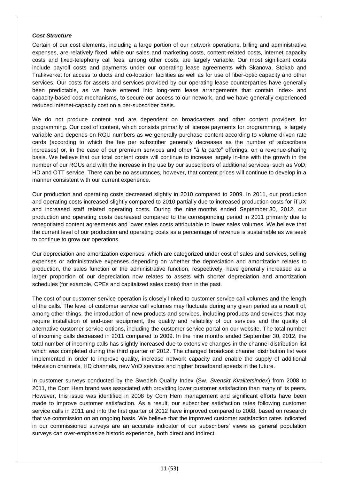#### *Cost Structure*

Certain of our cost elements, including a large portion of our network operations, billing and administrative expenses, are relatively fixed, while our sales and marketing costs, content-related costs, internet capacity costs and fixed-telephony call fees, among other costs, are largely variable. Our most significant costs include payroll costs and payments under our operating lease agreements with Skanova, Stokab and Trafikverket for access to ducts and co-location facilities as well as for use of fiber-optic capacity and other services. Our costs for assets and services provided by our operating lease counterparties have generally been predictable, as we have entered into long-term lease arrangements that contain index- and capacity-based cost mechanisms, to secure our access to our network, and we have generally experienced reduced internet-capacity cost on a per-subscriber basis.

We do not produce content and are dependent on broadcasters and other content providers for programming. Our cost of content, which consists primarily of license payments for programming, is largely variable and depends on RGU numbers as we generally purchase content according to volume-driven rate cards (according to which the fee per subscriber generally decreases as the number of subscribers increases) or, in the case of our premium services and other "*à la carte*" offerings, on a revenue-sharing basis. We believe that our total content costs will continue to increase largely in-line with the growth in the number of our RGUs and with the increase in the use by our subscribers of additional services, such as VoD, HD and OTT service. There can be no assurances, however, that content prices will continue to develop in a manner consistent with our current experience.

Our production and operating costs decreased slightly in 2010 compared to 2009. In 2011, our production and operating costs increased slightly compared to 2010 partially due to increased production costs for iTUX and increased staff related operating costs. During the nine months ended September 30, 2012, our production and operating costs decreased compared to the corresponding period in 2011 primarily due to renegotiated content agreements and lower sales costs attributable to lower sales volumes. We believe that the current level of our production and operating costs as a percentage of revenue is sustainable as we seek to continue to grow our operations.

Our depreciation and amortization expenses, which are categorized under cost of sales and services, selling expenses or administrative expenses depending on whether the depreciation and amortization relates to production, the sales function or the administrative function, respectively, have generally increased as a larger proportion of our depreciation now relates to assets with shorter depreciation and amortization schedules (for example, CPEs and capitalized sales costs) than in the past.

The cost of our customer service operation is closely linked to customer service call volumes and the length of the calls. The level of customer service call volumes may fluctuate during any given period as a result of, among other things, the introduction of new products and services, including products and services that may require installation of end-user equipment, the quality and reliability of our services and the quality of alternative customer service options, including the customer service portal on our website. The total number of incoming calls decreased in 2011 compared to 2009. In the nine months ended September 30, 2012, the total number of incoming calls has slightly increased due to extensive changes in the channel distribution list which was completed during the third quarter of 2012. The changed broadcast channel distribution list was implemented in order to improve quality, increase network capacity and enable the supply of additional television channels, HD channels, new VoD services and higher broadband speeds in the future.

In customer surveys conducted by the Swedish Quality Index (Sw. *Svenskt Kvalitetsindex*) from 2008 to 2011, the Com Hem brand was associated with providing lower customer satisfaction than many of its peers. However, this issue was identified in 2008 by Com Hem management and significant efforts have been made to improve customer satisfaction. As a result, our subscriber satisfaction rates following customer service calls in 2011 and into the first quarter of 2012 have improved compared to 2008, based on research that we commission on an ongoing basis. We believe that the improved customer satisfaction rates indicated in our commissioned surveys are an accurate indicator of our subscribers' views as general population surveys can over-emphasize historic experience, both direct and indirect.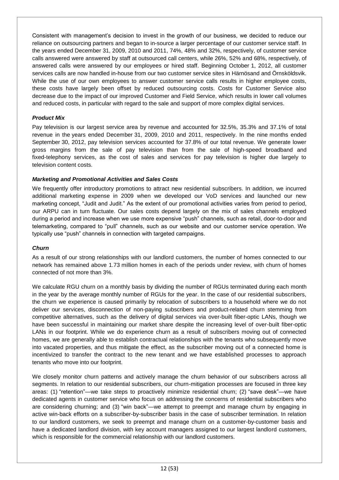Consistent with management's decision to invest in the growth of our business, we decided to reduce our reliance on outsourcing partners and began to in-source a larger percentage of our customer service staff. In the years ended December 31, 2009, 2010 and 2011, 74%, 48% and 32%, respectively, of customer service calls answered were answered by staff at outsourced call centers, while 26%, 52% and 68%, respectively, of answered calls were answered by our employees or hired staff. Beginning October 1, 2012, all customer services calls are now handled in-house from our two customer service sites in Härnösand and Örnsköldsvik. While the use of our own employees to answer customer service calls results in higher employee costs, these costs have largely been offset by reduced outsourcing costs. Costs for Customer Service also decrease due to the impact of our improved Customer and Field Service, which results in lower call volumes and reduced costs, in particular with regard to the sale and support of more complex digital services.

## *Product Mix*

Pay television is our largest service area by revenue and accounted for 32.5%, 35.3% and 37.1% of total revenue in the years ended December 31, 2009, 2010 and 2011, respectively. In the nine months ended September 30, 2012, pay television services accounted for 37.8% of our total revenue. We generate lower gross margins from the sale of pay television than from the sale of high-speed broadband and fixed-telephony services, as the cost of sales and services for pay television is higher due largely to television content costs.

## *Marketing and Promotional Activities and Sales Costs*

We frequently offer introductory promotions to attract new residential subscribers. In addition, we incurred additional marketing expense in 2009 when we developed our VoD services and launched our new marketing concept, "Judit and Judit." As the extent of our promotional activities varies from period to period, our ARPU can in turn fluctuate. Our sales costs depend largely on the mix of sales channels employed during a period and increase when we use more expensive "push" channels, such as retail, door-to-door and telemarketing, compared to "pull" channels, such as our website and our customer service operation. We typically use "push" channels in connection with targeted campaigns.

#### *Churn*

As a result of our strong relationships with our landlord customers, the number of homes connected to our network has remained above 1.73 million homes in each of the periods under review, with churn of homes connected of not more than 3%.

We calculate RGU churn on a monthly basis by dividing the number of RGUs terminated during each month in the year by the average monthly number of RGUs for the year. In the case of our residential subscribers, the churn we experience is caused primarily by relocation of subscribers to a household where we do not deliver our services, disconnection of non-paying subscribers and product-related churn stemming from competitive alternatives, such as the delivery of digital services via over-built fiber-optic LANs, though we have been successful in maintaining our market share despite the increasing level of over-built fiber-optic LANs in our footprint. While we do experience churn as a result of subscribers moving out of connected homes, we are generally able to establish contractual relationships with the tenants who subsequently move into vacated properties, and thus mitigate the effect, as the subscriber moving out of a connected home is incentivized to transfer the contract to the new tenant and we have established processes to approach tenants who move into our footprint.

We closely monitor churn patterns and actively manage the churn behavior of our subscribers across all segments. In relation to our residential subscribers, our churn-mitigation processes are focused in three key areas: (1) "retention"—we take steps to proactively minimize residential churn; (2) "save desk"—we have dedicated agents in customer service who focus on addressing the concerns of residential subscribers who are considering churning; and (3) "win back"—we attempt to preempt and manage churn by engaging in active win-back efforts on a subscriber-by-subscriber basis in the case of subscriber termination. In relation to our landlord customers, we seek to preempt and manage churn on a customer-by-customer basis and have a dedicated landlord division, with key account managers assigned to our largest landlord customers, which is responsible for the commercial relationship with our landlord customers.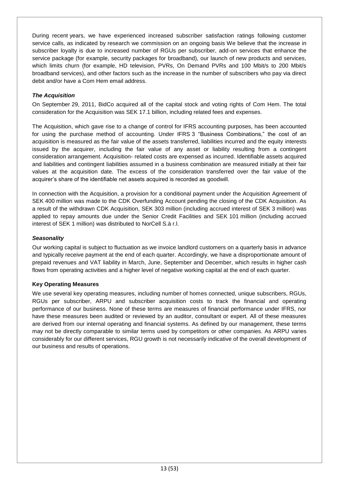During recent years, we have experienced increased subscriber satisfaction ratings following customer service calls, as indicated by research we commission on an ongoing basis We believe that the increase in subscriber loyalty is due to increased number of RGUs per subscriber, add-on services that enhance the service package (for example, security packages for broadband), our launch of new products and services, which limits churn (for example, HD television, PVRs, On Demand PVRs and 100 Mbit/s to 200 Mbit/s broadband services), and other factors such as the increase in the number of subscribers who pay via direct debit and/or have a Com Hem email address.

# *The Acquisition*

On September 29, 2011, BidCo acquired all of the capital stock and voting rights of Com Hem. The total consideration for the Acquisition was SEK 17.1 billion, including related fees and expenses.

The Acquisition, which gave rise to a change of control for IFRS accounting purposes, has been accounted for using the purchase method of accounting. Under IFRS 3 "Business Combinations," the cost of an acquisition is measured as the fair value of the assets transferred, liabilities incurred and the equity interests issued by the acquirer, including the fair value of any asset or liability resulting from a contingent consideration arrangement. Acquisition- related costs are expensed as incurred. Identifiable assets acquired and liabilities and contingent liabilities assumed in a business combination are measured initially at their fair values at the acquisition date. The excess of the consideration transferred over the fair value of the acquirer's share of the identifiable net assets acquired is recorded as goodwill.

In connection with the Acquisition, a provision for a conditional payment under the Acquisition Agreement of SEK 400 million was made to the CDK Overfunding Account pending the closing of the CDK Acquisition. As a result of the withdrawn CDK Acquisition, SEK 303 million (including accrued interest of SEK 3 million) was applied to repay amounts due under the Senior Credit Facilities and SEK 101 million (including accrued interest of SEK 1 million) was distributed to NorCell S.à r.l.

## *Seasonality*

Our working capital is subject to fluctuation as we invoice landlord customers on a quarterly basis in advance and typically receive payment at the end of each quarter. Accordingly, we have a disproportionate amount of prepaid revenues and VAT liability in March, June, September and December, which results in higher cash flows from operating activities and a higher level of negative working capital at the end of each quarter.

# **Key Operating Measures**

We use several key operating measures, including number of homes connected, unique subscribers, RGUs, RGUs per subscriber, ARPU and subscriber acquisition costs to track the financial and operating performance of our business. None of these terms are measures of financial performance under IFRS, nor have these measures been audited or reviewed by an auditor, consultant or expert. All of these measures are derived from our internal operating and financial systems. As defined by our management, these terms may not be directly comparable to similar terms used by competitors or other companies. As ARPU varies considerably for our different services, RGU growth is not necessarily indicative of the overall development of our business and results of operations.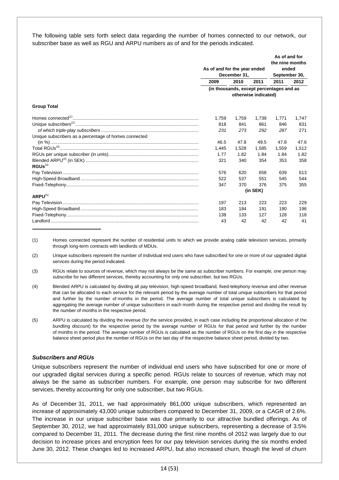The following table sets forth select data regarding the number of homes connected to our network, our subscriber base as well as RGU and ARPU numbers as of and for the periods indicated.

|                                                       | As of and for the year ended<br>December 31, |       |                      | As of and for<br>the nine months<br>ended<br>September 30, |       |
|-------------------------------------------------------|----------------------------------------------|-------|----------------------|------------------------------------------------------------|-------|
|                                                       | 2009                                         | 2010  | 2011                 | 2011                                                       | 2012  |
|                                                       |                                              |       | otherwise indicated) | (in thousands, except percentages and as                   |       |
| <b>Group Total</b>                                    |                                              |       |                      |                                                            |       |
|                                                       | 1,759                                        | 1,759 | 1,739                | 1.771                                                      | 1.747 |
|                                                       | 818                                          | 841   | 861                  | 846                                                        | 831   |
|                                                       | 231                                          | 273   | 292                  | 287                                                        | 271   |
| Unique subscribers as a percentage of homes connected |                                              |       |                      |                                                            |       |
|                                                       | 46.5                                         | 47.8  | 49.5                 | 47.8                                                       | 47.6  |
|                                                       | 1.445                                        | 1.528 | 1,585                | 1.559                                                      | 1.512 |
|                                                       | 1.77                                         | 1.82  | 1.84                 | 1.84                                                       | 1.82  |
| $RGUs^{(3)}$                                          | 321                                          | 340   | 354                  | 353                                                        | 358   |
|                                                       | 576                                          | 620   | 658                  | 639                                                        | 613   |
|                                                       | 522                                          | 537   | 551                  | 545                                                        | 544   |
|                                                       | 347                                          | 370   | 376                  | 375                                                        | 355   |
|                                                       |                                              |       |                      |                                                            |       |
| $ARPU^{(5)}$                                          |                                              |       |                      |                                                            |       |
|                                                       | 197                                          | 213   | 223                  | 223                                                        | 229   |
|                                                       | 183                                          | 184   | 191                  | 190                                                        | 196   |
|                                                       | 138                                          | 133   | 127                  | 128                                                        | 118   |
|                                                       | 43                                           | 42    | 42                   | 42                                                         | 41    |

(1) Homes connected represent the number of residential units to which we provide analog cable television services, primarily through long-term contracts with landlords of MDUs.

(2) Unique subscribers represent the number of individual end users who have subscribed for one or more of our upgraded digital services during the period indicated.

- (3) RGUs relate to sources of revenue, which may not always be the same as subscriber numbers. For example, one person may subscribe for two different services, thereby accounting for only one subscriber, but two RGUs.
- (4) Blended ARPU is calculated by dividing all pay television, high-speed broadband, fixed-telephony revenue and other revenue that can be allocated to each service for the relevant period by the average number of total unique subscribers for that period and further by the number of months in the period. The average number of total unique subscribers is calculated by aggregating the average number of unique subscribers in each month during the respective period and dividing the result by the number of months in the respective period.
- (5) ARPU is calculated by dividing the revenue (for the service provided, in each case including the proportional allocation of the bundling discount) for the respective period by the average number of RGUs for that period and further by the number of months in the period. The average number of RGUs is calculated as the number of RGUs on the first day in the respective balance sheet period plus the number of RGUs on the last day of the respective balance sheet period, divided by two.

#### *Subscribers and RGUs*

Unique subscribers represent the number of individual end users who have subscribed for one or more of our upgraded digital services during a specific period. RGUs relate to sources of revenue, which may not always be the same as subscriber numbers. For example, one person may subscribe for two different services, thereby accounting for only one subscriber, but two RGUs.

As of December 31, 2011, we had approximately 861,000 unique subscribers, which represented an increase of approximately 43,000 unique subscribers compared to December 31, 2009, or a CAGR of 2.6%. The increase in our unique subscriber base was due primarily to our attractive bundled offerings. As of September 30, 2012, we had approximately 831,000 unique subscribers, representing a decrease of 3.5% compared to December 31, 2011. The decrease during the first nine months of 2012 was largely due to our decision to increase prices and encryption fees for our pay television services during the six months ended June 30, 2012. These changes led to increased ARPU, but also increased churn, though the level of churn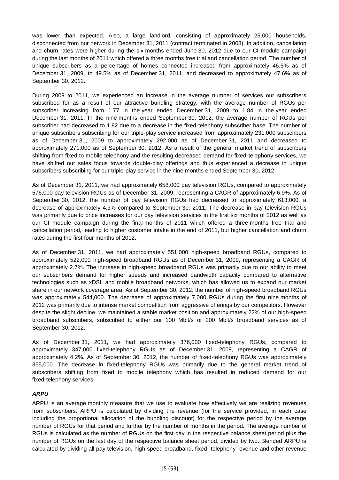was lower than expected. Also, a large landlord, consisting of approximately 25,000 households, disconnected from our network in December 31, 2011 (contract terminated in 2008). In addition, cancellation and churn rates were higher during the six months ended June 30, 2012 due to our CI module campaign during the last months of 2011 which offered a three months free trial and cancellation period. The number of unique subscribers as a percentage of homes connected increased from approximately 46.5% as of December 31, 2009, to 49.5% as of December 31, 2011, and decreased to approximately 47.6% as of September 30, 2012.

During 2009 to 2011, we experienced an increase in the average number of services our subscribers subscribed for as a result of our attractive bundling strategy, with the average number of RGUs per subscriber increasing from 1.77 in the year ended December 31, 2009 to 1.84 in the year ended December 31, 2011. In the nine months ended September 30, 2012, the average number of RGUs per subscriber had decreased to 1.82 due to a decrease in the fixed-telephony subscriber base. The number of unique subscribers subscribing for our triple-play service increased from approximately 231,000 subscribers as of December 31, 2009 to approximately 292,000 as of December 31, 2011 and decreased to approximately 271,000 as of September 30, 2012. As a result of the general market trend of subscribers shifting from fixed to mobile telephony and the resulting decreased demand for fixed-telephony services, we have shifted our sales focus towards double-play offerings and thus experienced a decrease in unique subscribers subscribing for our triple-play service in the nine months ended September 30, 2012.

As of December 31, 2011, we had approximately 658,000 pay television RGUs, compared to approximately 576,000 pay television RGUs as of December 31, 2009, representing a CAGR of approximately 6.9%. As of September 30, 2012, the number of pay television RGUs had decreased to approximately 613,000, a decrease of approximately 4.3% compared to September 30, 2011. The decrease in pay television RGUs was primarily due to price increases for our pay television services in the first six months of 2012 as well as our CI module campaign during the final months of 2011 which offered a three months free trial and cancellation period, leading to higher customer intake in the end of 2011, but higher cancellation and churn rates during the first four months of 2012.

As of December 31, 2011, we had approximately 551,000 high-speed broadband RGUs, compared to approximately 522,000 high-speed broadband RGUs as of December 31, 2009, representing a CAGR of approximately 2.7%. The increase in high-speed broadband RGUs was primarily due to our ability to meet our subscribers demand for higher speeds and increased bandwidth capacity compared to alternative technologies such as xDSL and mobile broadband networks, which has allowed us to expand our market share in our network coverage area. As of September 30, 2012, the number of high-speed broadband RGUs was approximately 544,000. The decrease of approximately 7,000 RGUs during the first nine months of 2012 was primarily due to intense market competition from aggressive offerings by our competitors. However despite the slight decline, we maintained a stable market position and approximately 22% of our high-speed broadband subscribers, subscribed to either our 100 Mbit/s or 200 Mbit/s broadband services as of September 30, 2012.

As of December 31, 2011, we had approximately 376,000 fixed-telephony RGUs, compared to approximately 347,000 fixed-telephony RGUs as of December 31, 2009, representing a CAGR of approximately 4.2%. As of September 30, 2012, the number of fixed-telephony RGUs was approximately 355,000. The decrease in fixed-telephony RGUs was primarily due to the general market trend of subscribers shifting from fixed to mobile telephony which has resulted in reduced demand for our fixed-telephony services.

# *ARPU*

ARPU is an average monthly measure that we use to evaluate how effectively we are realizing revenues from subscribers. ARPU is calculated by dividing the revenue (for the service provided, in each case including the proportional allocation of the bundling discount) for the respective period by the average number of RGUs for that period and further by the number of months in the period. The average number of RGUs is calculated as the number of RGUs on the first day in the respective balance sheet period plus the number of RGUs on the last day of the respective balance sheet period, divided by two. Blended ARPU is calculated by dividing all pay television, high-speed broadband, fixed- telephony revenue and other revenue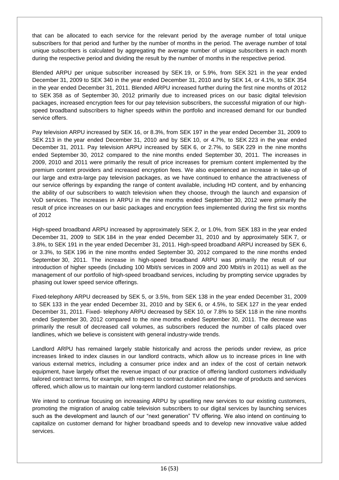that can be allocated to each service for the relevant period by the average number of total unique subscribers for that period and further by the number of months in the period. The average number of total unique subscribers is calculated by aggregating the average number of unique subscribers in each month during the respective period and dividing the result by the number of months in the respective period.

Blended ARPU per unique subscriber increased by SEK 19, or 5.9%, from SEK 321 in the year ended December 31, 2009 to SEK 340 in the year ended December 31, 2010 and by SEK 14, or 4.1%, to SEK 354 in the year ended December 31, 2011. Blended ARPU increased further during the first nine months of 2012 to SEK 358 as of September 30, 2012 primarily due to increased prices on our basic digital television packages, increased encryption fees for our pay television subscribers, the successful migration of our highspeed broadband subscribers to higher speeds within the portfolio and increased demand for our bundled service offers.

Pay television ARPU increased by SEK 16, or 8.3%, from SEK 197 in the year ended December 31, 2009 to SEK 213 in the year ended December 31, 2010 and by SEK 10, or 4.7%, to SEK 223 in the year ended December 31, 2011. Pay television ARPU increased by SEK 6, or 2.7%, to SEK 229 in the nine months ended September 30, 2012 compared to the nine months ended September 30, 2011. The increases in 2009, 2010 and 2011 were primarily the result of price increases for premium content implemented by the premium content providers and increased encryption fees. We also experienced an increase in take-up of our large and extra-large pay television packages, as we have continued to enhance the attractiveness of our service offerings by expanding the range of content available, including HD content, and by enhancing the ability of our subscribers to watch television when they choose, through the launch and expansion of VoD services. The increases in ARPU in the nine months ended September 30, 2012 were primarily the result of price increases on our basic packages and encryption fees implemented during the first six months of 2012

High-speed broadband ARPU increased by approximately SEK 2, or 1.0%, from SEK 183 in the year ended December 31, 2009 to SEK 184 in the year ended December 31, 2010 and by approximately SEK 7, or 3.8%, to SEK 191 in the year ended December 31, 2011. High-speed broadband ARPU increased by SEK 6, or 3.3%, to SEK 196 in the nine months ended September 30, 2012 compared to the nine months ended September 30, 2011. The increase in high-speed broadband ARPU was primarily the result of our introduction of higher speeds (including 100 Mbit/s services in 2009 and 200 Mbit/s in 2011) as well as the management of our portfolio of high-speed broadband services, including by prompting service upgrades by phasing out lower speed service offerings.

Fixed-telephony ARPU decreased by SEK 5, or 3.5%, from SEK 138 in the year ended December 31, 2009 to SEK 133 in the year ended December 31, 2010 and by SEK 6, or 4.5%, to SEK 127 in the year ended December 31, 2011. Fixed- telephony ARPU decreased by SEK 10, or 7.8% to SEK 118 in the nine months ended September 30, 2012 compared to the nine months ended September 30, 2011. The decrease was primarily the result of decreased call volumes, as subscribers reduced the number of calls placed over landlines, which we believe is consistent with general industry-wide trends.

Landlord ARPU has remained largely stable historically and across the periods under review, as price increases linked to index clauses in our landlord contracts, which allow us to increase prices in line with various external metrics, including a consumer price index and an index of the cost of certain network equipment, have largely offset the revenue impact of our practice of offering landlord customers individually tailored contract terms, for example, with respect to contract duration and the range of products and services offered, which allow us to maintain our long-term landlord customer relationships.

We intend to continue focusing on increasing ARPU by upselling new services to our existing customers, promoting the migration of analog cable television subscribers to our digital services by launching services such as the development and launch of our "next generation" TV offering. We also intend on continuing to capitalize on customer demand for higher broadband speeds and to develop new innovative value added services.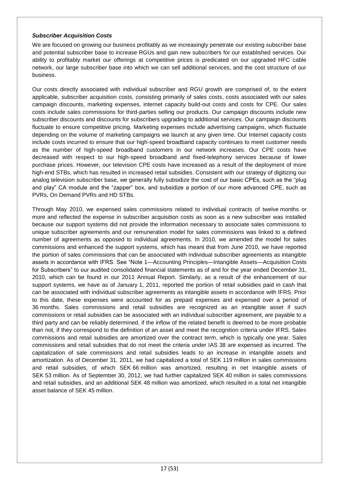#### *Subscriber Acquisition Costs*

We are focused on growing our business profitably as we increasingly penetrate our existing subscriber base and potential subscriber base to increase RGUs and gain new subscribers for our established services. Our ability to profitably market our offerings at competitive prices is predicated on our upgraded HFC cable network, our large subscriber base into which we can sell additional services, and the cost structure of our business.

Our costs directly associated with individual subscriber and RGU growth are comprised of, to the extent applicable, subscriber acquisition costs, consisting primarily of sales costs, costs associated with our sales campaign discounts, marketing expenses, internet capacity build-out costs and costs for CPE. Our sales costs include sales commissions for third-parties selling our products. Our campaign discounts include new subscriber discounts and discounts for subscribers upgrading to additional services. Our campaign discounts fluctuate to ensure competitive pricing. Marketing expenses include advertising campaigns, which fluctuate depending on the volume of marketing campaigns we launch at any given time. Our Internet capacity costs include costs incurred to ensure that our high-speed broadband capacity continues to meet customer needs as the number of high-speed broadband customers in our network increases. Our CPE costs have decreased with respect to our high-speed broadband and fixed-telephony services because of lower purchase prices. However, our television CPE costs have increased as a result of the deployment of more high-end STBs, which has resulted in increased retail subsidies. Consistent with our strategy of digitizing our analog television subscriber base, we generally fully subsidize the cost of our basic CPEs, such as the "plug and play" CA module and the "zapper" box, and subsidize a portion of our more advanced CPE, such as PVRs, On Demand PVRs and HD STBs.

Through May 2010, we expensed sales commissions related to individual contracts of twelve months or more and reflected the expense in subscriber acquisition costs as soon as a new subscriber was installed because our support systems did not provide the information necessary to associate sales commissions to unique subscriber agreements and our remuneration model for sales commissions was linked to a defined number of agreements as opposed to individual agreements. In 2010, we amended the model for sales commissions and enhanced the support systems, which has meant that from June 2010, we have reported the portion of sales commissions that can be associated with individual subscriber agreements as intangible assets in accordance with IFRS. See "Note 1—Accounting Principles—Intangible Assets—Acquisition Costs for Subscribers" to our audited consolidated financial statements as of and for the year ended December 31, 2010, which can be found in our 2011 Annual Report. Similarly, as a result of the enhancement of our support systems, we have as of January 1, 2011, reported the portion of retail subsidies paid in cash that can be associated with individual subscriber agreements as intangible assets in accordance with IFRS. Prior to this date, these expenses were accounted for as prepaid expenses and expensed over a period of 36 months. Sales commissions and retail subsidies are recognized as an intangible asset if such commissions or retail subsidies can be associated with an individual subscriber agreement, are payable to a third party and can be reliably determined, if the inflow of the related benefit is deemed to be more probable than not, if they correspond to the definition of an asset and meet the recognition criteria under IFRS. Sales commissions and retail subsidies are amortized over the contract term, which is typically one year. Sales commissions and retail subsidies that do not meet the criteria under IAS 38 are expensed as incurred. The capitalization of sale commissions and retail subsidies leads to an increase in intangible assets and amortization. As of December 31, 2011, we had capitalized a total of SEK 119 million in sales commissions and retail subsidies, of which SEK 66 million was amortized, resulting in net intangible assets of SEK 53 million. As of September 30, 2012, we had further capitalized SEK 40 million in sales commissions and retail subsidies, and an additional SEK 48 million was amortized, which resulted in a total net intangible asset balance of SEK 45 million.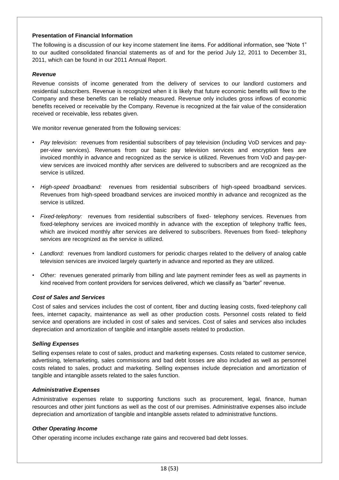#### **Presentation of Financial Information**

The following is a discussion of our key income statement line items. For additional information, see "Note 1" to our audited consolidated financial statements as of and for the period July 12, 2011 to December 31, 2011, which can be found in our 2011 Annual Report.

### *Revenue*

Revenue consists of income generated from the delivery of services to our landlord customers and residential subscribers. Revenue is recognized when it is likely that future economic benefits will flow to the Company and these benefits can be reliably measured. Revenue only includes gross inflows of economic benefits received or receivable by the Company. Revenue is recognized at the fair value of the consideration received or receivable, less rebates given.

We monitor revenue generated from the following services:

- *Pay television:* revenues from residential subscribers of pay television (including VoD services and payper-view services). Revenues from our basic pay television services and encryption fees are invoiced monthly in advance and recognized as the service is utilized. Revenues from VoD and pay-perview services are invoiced monthly after services are delivered to subscribers and are recognized as the service is utilized.
- *High-speed broadband:* revenues from residential subscribers of high-speed broadband services. Revenues from high-speed broadband services are invoiced monthly in advance and recognized as the service is utilized.
- *Fixed-telephony:* revenues from residential subscribers of fixed- telephony services. Revenues from fixed-telephony services are invoiced monthly in advance with the exception of telephony traffic fees, which are invoiced monthly after services are delivered to subscribers. Revenues from fixed- telephony services are recognized as the service is utilized.
- *Landlord:* revenues from landlord customers for periodic charges related to the delivery of analog cable television services are invoiced largely quarterly in advance and reported as they are utilized.
- *Other:* revenues generated primarily from billing and late payment reminder fees as well as payments in kind received from content providers for services delivered, which we classify as "barter" revenue.

#### *Cost of Sales and Services*

Cost of sales and services includes the cost of content, fiber and ducting leasing costs, fixed-telephony call fees, internet capacity, maintenance as well as other production costs. Personnel costs related to field service and operations are included in cost of sales and services. Cost of sales and services also includes depreciation and amortization of tangible and intangible assets related to production.

#### *Selling Expenses*

Selling expenses relate to cost of sales, product and marketing expenses. Costs related to customer service, advertising, telemarketing, sales commissions and bad debt losses are also included as well as personnel costs related to sales, product and marketing. Selling expenses include depreciation and amortization of tangible and intangible assets related to the sales function.

#### *Administrative Expenses*

Administrative expenses relate to supporting functions such as procurement, legal, finance, human resources and other joint functions as well as the cost of our premises. Administrative expenses also include depreciation and amortization of tangible and intangible assets related to administrative functions.

#### *Other Operating Income*

Other operating income includes exchange rate gains and recovered bad debt losses.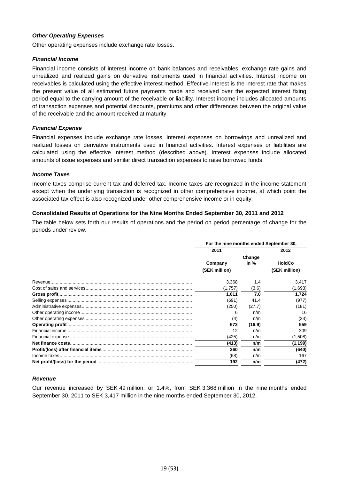### *Other Operating Expenses*

Other operating expenses include exchange rate losses.

#### *Financial Income*

Financial income consists of interest income on bank balances and receivables, exchange rate gains and unrealized and realized gains on derivative instruments used in financial activities. Interest income on receivables is calculated using the effective interest method. Effective interest is the interest rate that makes the present value of all estimated future payments made and received over the expected interest fixing period equal to the carrying amount of the receivable or liability. Interest income includes allocated amounts of transaction expenses and potential discounts, premiums and other differences between the original value of the receivable and the amount received at maturity.

## *Financial Expense*

Financial expenses include exchange rate losses, interest expenses on borrowings and unrealized and realized losses on derivative instruments used in financial activities. Interest expenses or liabilities are calculated using the effective interest method (described above). Interest expenses include allocated amounts of issue expenses and similar direct transaction expenses to raise borrowed funds.

#### *Income Taxes*

Income taxes comprise current tax and deferred tax. Income taxes are recognized in the income statement except when the underlying transaction is recognized in other comprehensive income, at which point the associated tax effect is also recognized under other comprehensive income or in equity.

#### **Consolidated Results of Operations for the Nine Months Ended September 30, 2011 and 2012**

The table below sets forth our results of operations and the period on period percentage of change for the periods under review.

| For the nine months ended September 30, |        |               |  |  |  |
|-----------------------------------------|--------|---------------|--|--|--|
| 2011                                    |        | 2012          |  |  |  |
|                                         | Change |               |  |  |  |
| Company                                 | in %   | <b>HoldCo</b> |  |  |  |
| (SEK million)                           |        | (SEK million) |  |  |  |
| 3,368                                   | 1.4    | 3,417         |  |  |  |
| (1,757)                                 | (3.6)  | (1,693)       |  |  |  |
| 1,611                                   | 7.0    | 1,724         |  |  |  |
| (691)                                   | 41.4   | (977)         |  |  |  |
| (250)                                   | (27.7) | (181)         |  |  |  |
| 6                                       | n/m    | 16            |  |  |  |
| (4)                                     | n/m    | (23)          |  |  |  |
| 673                                     | (16.9) | 559           |  |  |  |
| 12                                      | n/m    | 309           |  |  |  |
| (425)                                   | n/m    | (1,508)       |  |  |  |
| (413)                                   | n/m    | (1, 199)      |  |  |  |
| 260                                     | n/m    | (640)         |  |  |  |
| (68)                                    | n/m    | 167           |  |  |  |
| 192                                     | n/m    | (472)         |  |  |  |

#### *Revenue*

Our revenue increased by SEK 49 million, or 1.4%, from SEK 3,368 million in the nine months ended September 30, 2011 to SEK 3,417 million in the nine months ended September 30, 2012.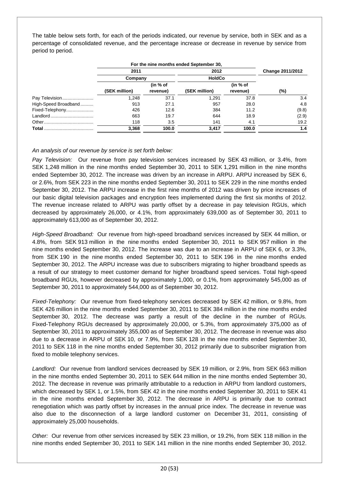The table below sets forth, for each of the periods indicated, our revenue by service, both in SEK and as a percentage of consolidated revenue, and the percentage increase or decrease in revenue by service from period to period.

|                      |               |          | For the nine months ended September 30, |               |                  |
|----------------------|---------------|----------|-----------------------------------------|---------------|------------------|
|                      | 2011<br>2012  |          |                                         |               | Change 2011/2012 |
|                      |               | Company  |                                         | <b>HoldCo</b> |                  |
|                      |               | (in % of |                                         | (in % of      |                  |
|                      | (SEK million) | revenue) | (SEK million)                           | revenue)      | (%)              |
| Pay Television       | 1.248         | 37.1     | 1.291                                   | 37.8          | 3.4              |
| High-Speed Broadband | 913           | 27.1     | 957                                     | 28.0          | 4.8              |
| Fixed-Telephony      | 426           | 12.6     | 384                                     | 11.2          | (9.8)            |
|                      | 663           | 19.7     | 644                                     | 18.9          | (2.9)            |
|                      | 118           | 3.5      | 141                                     | 4.1           | 19.2             |
| Total                | 3,368         | 100.0    | 3.417                                   | 100.0         | 1.4              |

## *An analysis of our revenue by service is set forth below:*

*Pay Television:* Our revenue from pay television services increased by SEK 43 million, or 3.4%, from SEK 1,248 million in the nine months ended September 30, 2011 to SEK 1,291 million in the nine months ended September 30, 2012. The increase was driven by an increase in ARPU. ARPU increased by SEK 6, or 2.6%, from SEK 223 in the nine months ended September 30, 2011 to SEK 229 in the nine months ended September 30, 2012. The ARPU increase in the first nine months of 2012 was driven by price increases of our basic digital television packages and encryption fees implemented during the first six months of 2012. The revenue increase related to ARPU was partly offset by a decrease in pay television RGUs, which decreased by approximately 26,000, or 4.1%, from approximately 639,000 as of September 30, 2011 to approximately 613,000 as of September 30, 2012.

*High-Speed Broadband:* Our revenue from high-speed broadband services increased by SEK 44 million, or 4.8%, from SEK 913 million in the nine months ended September 30, 2011 to SEK 957 million in the nine months ended September 30, 2012. The increase was due to an increase in ARPU of SEK 6, or 3.3%, from SEK 190 in the nine months ended September 30, 2011 to SEK 196 in the nine months ended September 30, 2012. The ARPU increase was due to subscribers migrating to higher broadband speeds as a result of our strategy to meet customer demand for higher broadband speed services. Total high-speed broadband RGUs, however decreased by approximately 1,000, or 0.1%, from approximately 545,000 as of September 30, 2011 to approximately 544,000 as of September 30, 2012.

*Fixed-Telephony:* Our revenue from fixed-telephony services decreased by SEK 42 million, or 9.8%, from SEK 426 million in the nine months ended September 30, 2011 to SEK 384 million in the nine months ended September 30, 2012. The decrease was partly a result of the decline in the number of RGUs. Fixed-Telephony RGUs decreased by approximately 20,000, or 5.3%, from approximately 375,000 as of September 30, 2011 to approximately 355,000 as of September 30, 2012. The decrease in revenue was also due to a decrease in ARPU of SEK 10, or 7.9%, from SEK 128 in the nine months ended September 30, 2011 to SEK 118 in the nine months ended September 30, 2012 primarily due to subscriber migration from fixed to mobile telephony services.

*Landlord:* Our revenue from landlord services decreased by SEK 19 million, or 2.9%, from SEK 663 million in the nine months ended September 30, 2011 to SEK 644 million in the nine months ended September 30, 2012. The decrease in revenue was primarily attributable to a reduction in ARPU from landlord customers, which decreased by SEK 1, or 1.5%, from SEK 42 in the nine months ended September 30, 2011 to SEK 41 in the nine months ended September 30, 2012. The decrease in ARPU is primarily due to contract renegotiation which was partly offset by increases in the annual price index. The decrease in revenue was also due to the disconnection of a large landlord customer on December 31, 2011, consisting of approximately 25,000 households.

*Other:* Our revenue from other services increased by SEK 23 million, or 19.2%, from SEK 118 million in the nine months ended September 30, 2011 to SEK 141 million in the nine months ended September 30, 2012.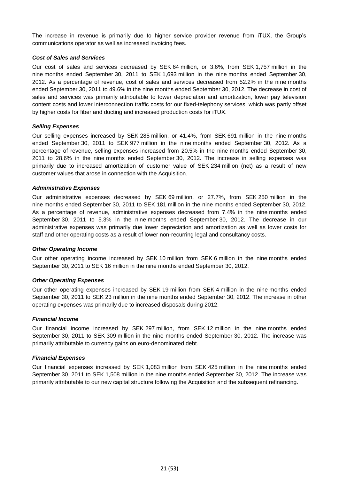The increase in revenue is primarily due to higher service provider revenue from iTUX, the Group's communications operator as well as increased invoicing fees.

### *Cost of Sales and Services*

Our cost of sales and services decreased by SEK 64 million, or 3.6%, from SEK 1,757 million in the nine months ended September 30, 2011 to SEK 1,693 million in the nine months ended September 30, 2012. As a percentage of revenue, cost of sales and services decreased from 52.2% in the nine months ended September 30, 2011 to 49.6% in the nine months ended September 30, 2012. The decrease in cost of sales and services was primarily attributable to lower depreciation and amortization, lower pay television content costs and lower interconnection traffic costs for our fixed-telephony services, which was partly offset by higher costs for fiber and ducting and increased production costs for iTUX.

# *Selling Expenses*

Our selling expenses increased by SEK 285 million, or 41.4%, from SEK 691 million in the nine months ended September 30, 2011 to SEK 977 million in the nine months ended September 30, 2012. As a percentage of revenue, selling expenses increased from 20.5% in the nine months ended September 30, 2011 to 28.6% in the nine months ended September 30, 2012. The increase in selling expenses was primarily due to increased amortization of customer value of SEK 234 million (net) as a result of new customer values that arose in connection with the Acquisition.

## *Administrative Expenses*

Our administrative expenses decreased by SEK 69 million, or 27.7%, from SEK 250 million in the nine months ended September 30, 2011 to SEK 181 million in the nine months ended September 30, 2012. As a percentage of revenue, administrative expenses decreased from 7.4% in the nine months ended September 30, 2011 to 5.3% in the nine months ended September 30, 2012. The decrease in our administrative expenses was primarily due lower depreciation and amortization as well as lower costs for staff and other operating costs as a result of lower non-recurring legal and consultancy costs.

#### *Other Operating Income*

Our other operating income increased by SEK 10 million from SEK 6 million in the nine months ended September 30, 2011 to SEK 16 million in the nine months ended September 30, 2012.

#### *Other Operating Expenses*

Our other operating expenses increased by SEK 19 million from SEK 4 million in the nine months ended September 30, 2011 to SEK 23 million in the nine months ended September 30, 2012. The increase in other operating expenses was primarily due to increased disposals during 2012.

#### *Financial Income*

Our financial income increased by SEK 297 million, from SEK 12 million in the nine months ended September 30, 2011 to SEK 309 million in the nine months ended September 30, 2012. The increase was primarily attributable to currency gains on euro-denominated debt.

# *Financial Expenses*

Our financial expenses increased by SEK 1,083 million from SEK 425 million in the nine months ended September 30, 2011 to SEK 1,508 million in the nine months ended September 30, 2012. The increase was primarily attributable to our new capital structure following the Acquisition and the subsequent refinancing.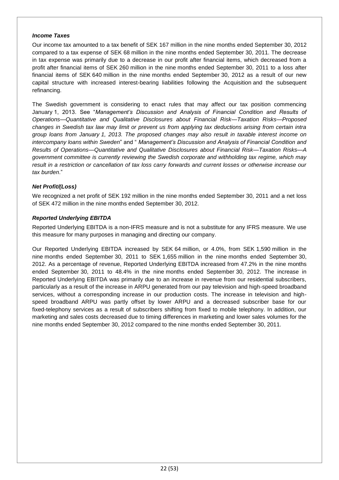#### *Income Taxes*

Our income tax amounted to a tax benefit of SEK 167 million in the nine months ended September 30, 2012 compared to a tax expense of SEK 68 million in the nine months ended September 30, 2011. The decrease in tax expense was primarily due to a decrease in our profit after financial items, which decreased from a profit after financial items of SEK 260 million in the nine months ended September 30, 2011 to a loss after financial items of SEK 640 million in the nine months ended September 30, 2012 as a result of our new capital structure with increased interest-bearing liabilities following the Acquisition and the subsequent refinancing.

The Swedish government is considering to enact rules that may affect our tax position commencing January 1, 2013. See "*Management's Discussion and Analysis of Financial Condition and Results of Operations—Quantitative and Qualitative Disclosures about Financial Risk—Taxation Risks—Proposed changes in Swedish tax law may limit or prevent us from applying tax deductions arising from certain intra group loans from January 1, 2013. The proposed changes may also result in taxable interest income on intercompany loans within Sweden*" and " *Management's Discussion and Analysis of Financial Condition and Results of Operations—Quantitative and Qualitative Disclosures about Financial Risk—Taxation Risks—A government committee is currently reviewing the Swedish corporate and withholding tax regime, which may result in a restriction or cancellation of tax loss carry forwards and current losses or otherwise increase our tax burden*."

## *Net Profit/(Loss)*

We recognized a net profit of SEK 192 million in the nine months ended September 30, 2011 and a net loss of SEK 472 million in the nine months ended September 30, 2012.

#### *Reported Underlying EBITDA*

Reported Underlying EBITDA is a non-IFRS measure and is not a substitute for any IFRS measure. We use this measure for many purposes in managing and directing our company.

Our Reported Underlying EBITDA increased by SEK 64 million, or 4.0%, from SEK 1,590 million in the nine months ended September 30, 2011 to SEK 1,655 million in the nine months ended September 30, 2012. As a percentage of revenue, Reported Underlying EBITDA increased from 47.2% in the nine months ended September 30, 2011 to 48.4% in the nine months ended September 30, 2012. The increase in Reported Underlying EBITDA was primarily due to an increase in revenue from our residential subscribers, particularly as a result of the increase in ARPU generated from our pay television and high-speed broadband services, without a corresponding increase in our production costs. The increase in television and highspeed broadband ARPU was partly offset by lower ARPU and a decreased subscriber base for our fixed-telephony services as a result of subscribers shifting from fixed to mobile telephony. In addition, our marketing and sales costs decreased due to timing differences in marketing and lower sales volumes for the nine months ended September 30, 2012 compared to the nine months ended September 30, 2011.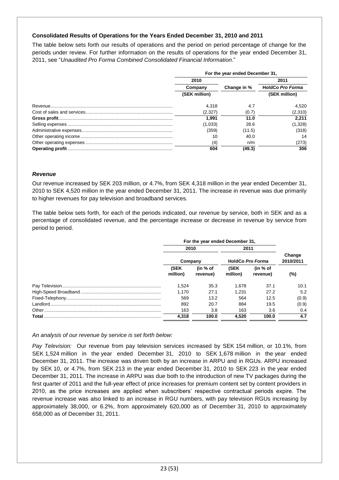## **Consolidated Results of Operations for the Years Ended December 31, 2010 and 2011**

The table below sets forth our results of operations and the period on period percentage of change for the periods under review. For further information on the results of operations for the year ended December 31, 2011, see "*Unaudited Pro Forma Combined Consolidated Financial Information*."

| For the year ended December 31, |             |                         |  |  |  |
|---------------------------------|-------------|-------------------------|--|--|--|
| 2010                            |             | 2011                    |  |  |  |
| Company                         | Change in % | <b>HoldCo Pro Forma</b> |  |  |  |
| (SEK million)                   |             | (SEK million)           |  |  |  |
| 4.318                           | 4.7         | 4.520                   |  |  |  |
| (2.327)                         | (0.7)       | (2,310)                 |  |  |  |
| 1.991                           | 11.0        | 2.211                   |  |  |  |
| (1,033)                         | 28.6        | (1,328)                 |  |  |  |
| (359)                           | (11.5)      | (318)                   |  |  |  |
| 10                              | 40.0        | 14                      |  |  |  |
| (4)                             | n/m         | (273)                   |  |  |  |
| 604                             | (49.3)      | 306                     |  |  |  |

#### *Revenue*

Our revenue increased by SEK 203 million, or 4.7%, from SEK 4,318 million in the year ended December 31, 2010 to SEK 4,520 million in the year ended December 31, 2011. The increase in revenue was due primarily to higher revenues for pay television and broadband services.

The table below sets forth, for each of the periods indicated, our revenue by service, both in SEK and as a percentage of consolidated revenue, and the percentage increase or decrease in revenue by service from period to period.

|       | For the year ended December 31, |                      |                  |                                           |                     |  |
|-------|---------------------------------|----------------------|------------------|-------------------------------------------|---------------------|--|
|       | 2010                            |                      | 2011             |                                           |                     |  |
|       | Company                         |                      | HoldCo Pro Forma |                                           | Change<br>2010/2011 |  |
|       | (SEK<br>million)                | (in % of<br>revenue) | (SEK<br>million) | $\mathsf{fin} \mathcal{A}$ of<br>revenue) | (%)                 |  |
|       | 1.524                           | 35.3                 | 1.678            | 37.1                                      | 10.1                |  |
|       | 1.170                           | 27.1                 | 1.231            | 27.2                                      | 5.2                 |  |
|       | 569                             | 13.2                 | 564              | 12.5                                      | (0.9)               |  |
|       | 892                             | 20.7                 | 884              | 19.5                                      | (0.9)               |  |
|       | 163                             | 3.8                  | 163              | 3.6                                       | 0.4                 |  |
| Total | 4.318                           | 100.0                | 4.520            | 100.0                                     | 4.7                 |  |

#### *An analysis of our revenue by service is set forth below:*

*Pay Television:* Our revenue from pay television services increased by SEK 154 million, or 10.1%, from SEK 1,524 million in the year ended December 31, 2010 to SEK 1,678 million in the year ended December 31, 2011. The increase was driven both by an increase in ARPU and in RGUs. ARPU increased by SEK 10, or 4.7%, from SEK 213 in the year ended December 31, 2010 to SEK 223 in the year ended December 31, 2011. The increase in ARPU was due both to the introduction of new TV packages during the first quarter of 2011 and the full-year effect of price increases for premium content set by content providers in 2010, as the price increases are applied when subscribers' respective contractual periods expire. The revenue increase was also linked to an increase in RGU numbers, with pay television RGUs increasing by approximately 38,000, or 6.2%, from approximately 620,000 as of December 31, 2010 to approximately 658,000 as of December 31, 2011.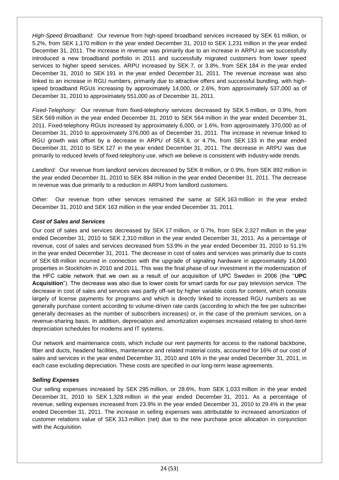*High-Speed Broadband:* Our revenue from high-speed broadband services increased by SEK 61 million, or 5.2%, from SEK 1,170 million in the year ended December 31, 2010 to SEK 1,231 million in the year ended December 31, 2011. The increase in revenue was primarily due to an increase in ARPU as we successfully introduced a new broadband portfolio in 2011 and successfully migrated customers from lower speed services to higher speed services. ARPU increased by SEK 7, or 3.8%, from SEK 184 in the year ended December 31, 2010 to SEK 191 in the year ended December 31, 2011. The revenue increase was also linked to an increase in RGU numbers, primarily due to attractive offers and successful bundling, with highspeed broadband RGUs increasing by approximately 14,000, or 2.6%, from approximately 537,000 as of December 31, 2010 to approximately 551,000 as of December 31, 2011.

*Fixed-Telephony:* Our revenue from fixed-telephony services decreased by SEK 5 million, or 0.9%, from SEK 569 million in the year ended December 31, 2010 to SEK 564 million in the year ended December 31, 2011. Fixed-telephony RGUs increased by approximately 6,000, or 1.6%, from approximately 370,000 as of December 31, 2010 to approximately 376,000 as of December 31, 2011. The increase in revenue linked to RGU growth was offset by a decrease in ARPU of SEK 6, or 4.7%, from SEK 133 in the year ended December 31, 2010 to SEK 127 in the year ended December 31, 2011. The decrease in ARPU was due primarily to reduced levels of fixed-telephony use, which we believe is consistent with industry-wide trends.

*Landlord:* Our revenue from landlord services decreased by SEK 8 million, or 0.9%, from SEK 892 million in the year ended December 31, 2010 to SEK 884 million in the year ended December 31, 2011. The decrease in revenue was due primarily to a reduction in ARPU from landlord customers.

*Other:* Our revenue from other services remained the same at SEK 163 million in the year ended December 31, 2010 and SEK 163 million in the year ended December 31, 2011.

## *Cost of Sales and Services*

Our cost of sales and services decreased by SEK 17 million, or 0.7%, from SEK 2,327 million in the year ended December 31, 2010 to SEK 2,310 million in the year ended December 31, 2011. As a percentage of revenue, cost of sales and services decreased from 53.9% in the year ended December 31, 2010 to 51.1% in the year ended December 31, 2011. The decrease in cost of sales and services was primarily due to costs of SEK 68 million incurred in connection with the upgrade of signaling hardware in approximately 14,000 properties in Stockholm in 2010 and 2011. This was the final phase of our investment in the modernization of the HFC cable network that we own as a result of our acquisition of UPC Sweden in 2006 (the "**UPC Acquisition**"). The decrease was also due to lower costs for smart cards for our pay television service. The decrease in cost of sales and services was partly off-set by higher variable costs for content, which consists largely of license payments for programs and which is directly linked to increased RGU numbers as we generally purchase content according to volume-driven rate cards (according to which the fee per subscriber generally decreases as the number of subscribers increases) or, in the case of the premium services, on a revenue-sharing basis. In addition, depreciation and amortization expenses increased relating to short-term depreciation schedules for modems and IT systems.

Our network and maintenance costs, which include our rent payments for access to the national backbone, fiber and ducts, headend facilities, maintenance and related material costs, accounted for 16% of our cost of sales and services in the year ended December 31, 2010 and 16% in the year ended December 31, 2011, in each case excluding depreciation. These costs are specified in our long-term lease agreements.

#### *Selling Expenses*

Our selling expenses increased by SEK 295 million, or 28.6%, from SEK 1,033 million in the year ended December 31, 2010 to SEK 1,328 million in the year ended December 31, 2011. As a percentage of revenue, selling expenses increased from 23.9% in the year ended December 31, 2010 to 29.4% in the year ended December 31, 2011. The increase in selling expenses was attributable to increased amortization of customer relations value of SEK 313 million (net) due to the new purchase price allocation in conjunction with the Acquisition.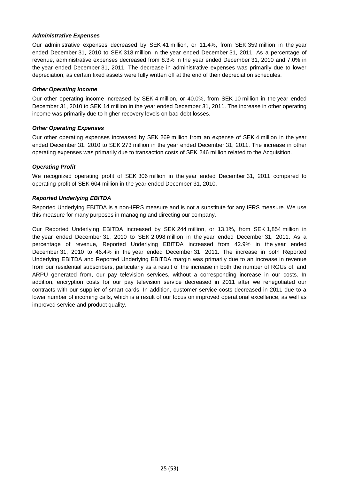### *Administrative Expenses*

Our administrative expenses decreased by SEK 41 million, or 11.4%, from SEK 359 million in the year ended December 31, 2010 to SEK 318 million in the year ended December 31, 2011. As a percentage of revenue, administrative expenses decreased from 8.3% in the year ended December 31, 2010 and 7.0% in the year ended December 31, 2011. The decrease in administrative expenses was primarily due to lower depreciation, as certain fixed assets were fully written off at the end of their depreciation schedules.

## *Other Operating Income*

Our other operating income increased by SEK 4 million, or 40.0%, from SEK 10 million in the year ended December 31, 2010 to SEK 14 million in the year ended December 31, 2011. The increase in other operating income was primarily due to higher recovery levels on bad debt losses.

# *Other Operating Expenses*

Our other operating expenses increased by SEK 269 million from an expense of SEK 4 million in the year ended December 31, 2010 to SEK 273 million in the year ended December 31, 2011. The increase in other operating expenses was primarily due to transaction costs of SEK 246 million related to the Acquisition.

# *Operating Profit*

We recognized operating profit of SEK 306 million in the year ended December 31, 2011 compared to operating profit of SEK 604 million in the year ended December 31, 2010.

## *Reported Underlying EBITDA*

Reported Underlying EBITDA is a non-IFRS measure and is not a substitute for any IFRS measure. We use this measure for many purposes in managing and directing our company.

Our Reported Underlying EBITDA increased by SEK 244 million, or 13.1%, from SEK 1,854 million in the year ended December 31, 2010 to SEK 2,098 million in the year ended December 31, 2011. As a percentage of revenue, Reported Underlying EBITDA increased from 42.9% in the year ended December 31, 2010 to 46.4% in the year ended December 31, 2011. The increase in both Reported Underlying EBITDA and Reported Underlying EBITDA margin was primarily due to an increase in revenue from our residential subscribers, particularly as a result of the increase in both the number of RGUs of, and ARPU generated from, our pay television services, without a corresponding increase in our costs. In addition, encryption costs for our pay television service decreased in 2011 after we renegotiated our contracts with our supplier of smart cards. In addition, customer service costs decreased in 2011 due to a lower number of incoming calls, which is a result of our focus on improved operational excellence, as well as improved service and product quality.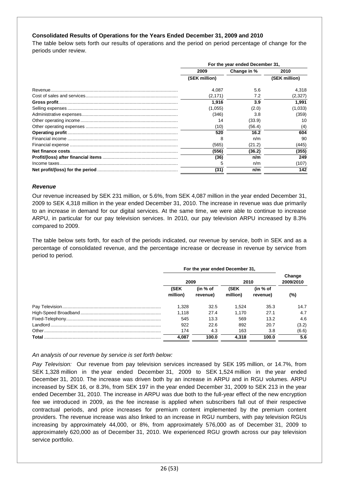### **Consolidated Results of Operations for the Years Ended December 31, 2009 and 2010**

The table below sets forth our results of operations and the period on period percentage of change for the periods under review.

| For the year ended December 31, |             |               |  |  |  |
|---------------------------------|-------------|---------------|--|--|--|
| 2009                            | Change in % | 2010          |  |  |  |
| (SEK million)                   |             | (SEK million) |  |  |  |
| 4,087                           | 5.6         | 4,318         |  |  |  |
| (2, 171)                        | 7.2         | (2,327)       |  |  |  |
| 1.916                           | 3.9         | 1.991         |  |  |  |
| (1,055)                         | (2.0)       | (1,033)       |  |  |  |
| (346)                           | 3.8         | (359)         |  |  |  |
| 14                              | (33.9)      | 10            |  |  |  |
| (10)                            | (56.4)      | (4)           |  |  |  |
| 520                             | 16.2        | 604           |  |  |  |
| 8                               | n/m         | 90            |  |  |  |
| (565)                           | (21.2)      | (445)         |  |  |  |
| (556)                           | (36.2)      | (355)         |  |  |  |
| (36)                            | n/m         | 249           |  |  |  |
| 5                               | n/m         | (107)         |  |  |  |
| (31)                            | n/m         | 142           |  |  |  |

#### *Revenue*

Our revenue increased by SEK 231 million, or 5.6%, from SEK 4,087 million in the year ended December 31, 2009 to SEK 4,318 million in the year ended December 31, 2010. The increase in revenue was due primarily to an increase in demand for our digital services. At the same time, we were able to continue to increase ARPU, in particular for our pay television services. In 2010, our pay television ARPU increased by 8.3% compared to 2009.

The table below sets forth, for each of the periods indicated, our revenue by service, both in SEK and as a percentage of consolidated revenue, and the percentage increase or decrease in revenue by service from period to period.

|       | For the year ended December 31, |          |          |            |                     |
|-------|---------------------------------|----------|----------|------------|---------------------|
|       | 2009                            |          | 2010     |            | Change<br>2009/2010 |
|       | (SEK                            | (in % of | (SEK     | (in $%$ of |                     |
|       | million)                        | revenue) | million) | revenue)   | (%)                 |
|       | 1.328                           | 32.5     | 1.524    | 35.3       | 14.7                |
|       | 1.118                           | 27.4     | 1.170    | 27.1       | 4.7                 |
|       | 545                             | 13.3     | 569      | 13.2       | 4.6                 |
|       | 922                             | 22.6     | 892      | 20.7       | (3.2)               |
|       | 174                             | 4.3      | 163      | 3.8        | (6.6)               |
| Total | 4.087                           | 100.0    | 4.318    | 100.0      | 5.6                 |

#### *An analysis of our revenue by service is set forth below:*

*Pay Television:* Our revenue from pay television services increased by SEK 195 million, or 14.7%, from SEK 1,328 million in the year ended December 31, 2009 to SEK 1,524 million in the year ended December 31, 2010. The increase was driven both by an increase in ARPU and in RGU volumes. ARPU increased by SEK 16, or 8.3%, from SEK 197 in the year ended December 31, 2009 to SEK 213 in the year ended December 31, 2010. The increase in ARPU was due both to the full-year effect of the new encryption fee we introduced in 2009, as the fee increase is applied when subscribers fall out of their respective contractual periods, and price increases for premium content implemented by the premium content providers. The revenue increase was also linked to an increase in RGU numbers, with pay television RGUs increasing by approximately 44,000, or 8%, from approximately 576,000 as of December 31, 2009 to approximately 620,000 as of December 31, 2010. We experienced RGU growth across our pay television service portfolio.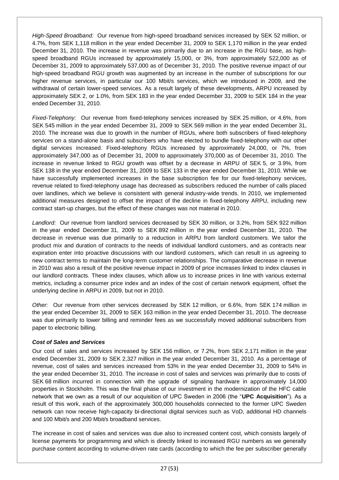*High-Speed Broadband:* Our revenue from high-speed broadband services increased by SEK 52 million, or 4.7%, from SEK 1,118 million in the year ended December 31, 2009 to SEK 1,170 million in the year ended December 31, 2010. The increase in revenue was primarily due to an increase in the RGU base, as highspeed broadband RGUs increased by approximately 15,000, or 3%, from approximately 522,000 as of December 31, 2009 to approximately 537,000 as of December 31, 2010. The positive revenue impact of our high-speed broadband RGU growth was augmented by an increase in the number of subscriptions for our higher revenue services, in particular our 100 Mbit/s services, which we introduced in 2009, and the withdrawal of certain lower-speed services. As a result largely of these developments, ARPU increased by approximately SEK 2, or 1.0%, from SEK 183 in the year ended December 31, 2009 to SEK 184 in the year ended December 31, 2010.

*Fixed-Telephony:* Our revenue from fixed-telephony services increased by SEK 25 million, or 4.6%, from SEK 545 million in the year ended December 31, 2009 to SEK 569 million in the year ended December 31, 2010. The increase was due to growth in the number of RGUs, where both subscribers of fixed-telephony services on a stand-alone basis and subscribers who have elected to bundle fixed-telephony with our other digital services increased. Fixed-telephony RGUs increased by approximately 24,000, or 7%, from approximately 347,000 as of December 31, 2009 to approximately 370,000 as of December 31, 2010. The increase in revenue linked to RGU growth was offset by a decrease in ARPU of SEK 5, or 3.9%, from SEK 138 in the year ended December 31, 2009 to SEK 133 in the year ended December 31, 2010. While we have successfully implemented increases in the base subscription fee for our fixed-telephony services, revenue related to fixed-telephony usage has decreased as subscribers reduced the number of calls placed over landlines, which we believe is consistent with general industry-wide trends. In 2010, we implemented additional measures designed to offset the impact of the decline in fixed-telephony ARPU, including new contract start-up charges, but the effect of these changes was not material in 2010.

*Landlord:* Our revenue from landlord services decreased by SEK 30 million, or 3.2%, from SEK 922 million in the year ended December 31, 2009 to SEK 892 million in the year ended December 31, 2010. The decrease in revenue was due primarily to a reduction in ARPU from landlord customers. We tailor the product mix and duration of contracts to the needs of individual landlord customers, and as contracts near expiration enter into proactive discussions with our landlord customers, which can result in us agreeing to new contract terms to maintain the long-term customer relationships. The comparative decrease in revenue in 2010 was also a result of the positive revenue impact in 2009 of price increases linked to index clauses in our landlord contracts. These index clauses, which allow us to increase prices in line with various external metrics, including a consumer price index and an index of the cost of certain network equipment, offset the underlying decline in ARPU in 2009, but not in 2010.

*Other:* Our revenue from other services decreased by SEK 12 million, or 6.6%, from SEK 174 million in the year ended December 31, 2009 to SEK 163 million in the year ended December 31, 2010. The decrease was due primarily to lower billing and reminder fees as we successfully moved additional subscribers from paper to electronic billing.

# *Cost of Sales and Services*

Our cost of sales and services increased by SEK 156 million, or 7.2%, from SEK 2,171 million in the year ended December 31, 2009 to SEK 2,327 million in the year ended December 31, 2010. As a percentage of revenue, cost of sales and services increased from 53% in the year ended December 31, 2009 to 54% in the year ended December 31, 2010. The increase in cost of sales and services was primarily due to costs of SEK 68 million incurred in connection with the upgrade of signaling hardware in approximately 14,000 properties in Stockholm. This was the final phase of our investment in the modernization of the HFC cable network that we own as a result of our acquisition of UPC Sweden in 2006 (the "**UPC Acquisition**"). As a result of this work, each of the approximately 300,000 households connected to the former UPC Sweden network can now receive high-capacity bi-directional digital services such as VoD, additional HD channels and 100 Mbit/s and 200 Mbit/s broadband services.

The increase in cost of sales and services was due also to increased content cost, which consists largely of license payments for programming and which is directly linked to increased RGU numbers as we generally purchase content according to volume-driven rate cards (according to which the fee per subscriber generally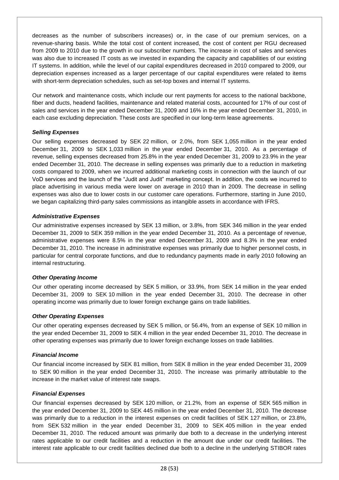decreases as the number of subscribers increases) or, in the case of our premium services, on a revenue-sharing basis. While the total cost of content increased, the cost of content per RGU decreased from 2009 to 2010 due to the growth in our subscriber numbers. The increase in cost of sales and services was also due to increased IT costs as we invested in expanding the capacity and capabilities of our existing IT systems. In addition, while the level of our capital expenditures decreased in 2010 compared to 2009, our depreciation expenses increased as a larger percentage of our capital expenditures were related to items with short-term depreciation schedules, such as set-top boxes and internal IT systems.

Our network and maintenance costs, which include our rent payments for access to the national backbone, fiber and ducts, headend facilities, maintenance and related material costs, accounted for 17% of our cost of sales and services in the year ended December 31, 2009 and 16% in the year ended December 31, 2010, in each case excluding depreciation. These costs are specified in our long-term lease agreements.

## *Selling Expenses*

Our selling expenses decreased by SEK 22 million, or 2.0%, from SEK 1,055 million in the year ended December 31, 2009 to SEK 1,033 million in the year ended December 31, 2010. As a percentage of revenue, selling expenses decreased from 25.8% in the year ended December 31, 2009 to 23.9% in the year ended December 31, 2010. The decrease in selling expenses was primarily due to a reduction in marketing costs compared to 2009, when we incurred additional marketing costs in connection with the launch of our VoD services and the launch of the "Judit and Judit" marketing concept. In addition, the costs we incurred to place advertising in various media were lower on average in 2010 than in 2009. The decrease in selling expenses was also due to lower costs in our customer care operations. Furthermore, starting in June 2010, we began capitalizing third-party sales commissions as intangible assets in accordance with IFRS.

## *Administrative Expenses*

Our administrative expenses increased by SEK 13 million, or 3.8%, from SEK 346 million in the year ended December 31, 2009 to SEK 359 million in the year ended December 31, 2010. As a percentage of revenue, administrative expenses were 8.5% in the year ended December 31, 2009 and 8.3% in the year ended December 31, 2010. The increase in administrative expenses was primarily due to higher personnel costs, in particular for central corporate functions, and due to redundancy payments made in early 2010 following an internal restructuring.

#### *Other Operating Income*

Our other operating income decreased by SEK 5 million, or 33.9%, from SEK 14 million in the year ended December 31, 2009 to SEK 10 million in the year ended December 31, 2010. The decrease in other operating income was primarily due to lower foreign exchange gains on trade liabilities.

#### *Other Operating Expenses*

Our other operating expenses decreased by SEK 5 million, or 56.4%, from an expense of SEK 10 million in the year ended December 31, 2009 to SEK 4 million in the year ended December 31, 2010. The decrease in other operating expenses was primarily due to lower foreign exchange losses on trade liabilities.

#### *Financial Income*

Our financial income increased by SEK 81 million, from SEK 8 million in the year ended December 31, 2009 to SEK 90 million in the year ended December 31, 2010. The increase was primarily attributable to the increase in the market value of interest rate swaps.

#### *Financial Expenses*

Our financial expenses decreased by SEK 120 million, or 21.2%, from an expense of SEK 565 million in the year ended December 31, 2009 to SEK 445 million in the year ended December 31, 2010. The decrease was primarily due to a reduction in the interest expenses on credit facilities of SEK 127 million, or 23.8%, from SEK 532 million in the year ended December 31, 2009 to SEK 405 million in the year ended December 31, 2010. The reduced amount was primarily due both to a decrease in the underlying interest rates applicable to our credit facilities and a reduction in the amount due under our credit facilities. The interest rate applicable to our credit facilities declined due both to a decline in the underlying STIBOR rates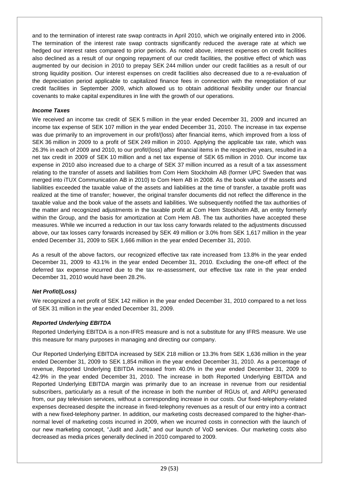and to the termination of interest rate swap contracts in April 2010, which we originally entered into in 2006. The termination of the interest rate swap contracts significantly reduced the average rate at which we hedged our interest rates compared to prior periods. As noted above, interest expenses on credit facilities also declined as a result of our ongoing repayment of our credit facilities, the positive effect of which was augmented by our decision in 2010 to prepay SEK 244 million under our credit facilities as a result of our strong liquidity position. Our interest expenses on credit facilities also decreased due to a re-evaluation of the depreciation period applicable to capitalized finance fees in connection with the renegotiation of our credit facilities in September 2009, which allowed us to obtain additional flexibility under our financial covenants to make capital expenditures in line with the growth of our operations.

## *Income Taxes*

We received an income tax credit of SEK 5 million in the year ended December 31, 2009 and incurred an income tax expense of SEK 107 million in the year ended December 31, 2010. The increase in tax expense was due primarily to an improvement in our profit/(loss) after financial items, which improved from a loss of SEK 36 million in 2009 to a profit of SEK 249 million in 2010. Applying the applicable tax rate, which was 26.3% in each of 2009 and 2010, to our profit/(loss) after financial items in the respective years, resulted in a net tax credit in 2009 of SEK 10 million and a net tax expense of SEK 65 million in 2010. Our income tax expense in 2010 also increased due to a charge of SEK 37 million incurred as a result of a tax assessment relating to the transfer of assets and liabilities from Com Hem Stockholm AB (former UPC Sweden that was merged into iTUX Communication AB in 2010) to Com Hem AB in 2008. As the book value of the assets and liabilities exceeded the taxable value of the assets and liabilities at the time of transfer, a taxable profit was realized at the time of transfer; however, the original transfer documents did not reflect the difference in the taxable value and the book value of the assets and liabilities. We subsequently notified the tax authorities of the matter and recognized adjustments in the taxable profit at Com Hem Stockholm AB, an entity formerly within the Group, and the basis for amortization at Com Hem AB. The tax authorities have accepted these measures. While we incurred a reduction in our tax loss carry forwards related to the adjustments discussed above, our tax losses carry forwards increased by SEK 49 million or 3.0% from SEK 1,617 million in the year ended December 31, 2009 to SEK 1,666 million in the year ended December 31, 2010.

As a result of the above factors, our recognized effective tax rate increased from 13.8% in the year ended December 31, 2009 to 43.1% in the year ended December 31, 2010. Excluding the one-off effect of the deferred tax expense incurred due to the tax re-assessment, our effective tax rate in the year ended December 31, 2010 would have been 28.2%.

# *Net Profit/(Loss)*

We recognized a net profit of SEK 142 million in the year ended December 31, 2010 compared to a net loss of SEK 31 million in the year ended December 31, 2009.

# *Reported Underlying EBITDA*

Reported Underlying EBITDA is a non-IFRS measure and is not a substitute for any IFRS measure. We use this measure for many purposes in managing and directing our company.

Our Reported Underlying EBITDA increased by SEK 218 million or 13.3% from SEK 1,636 million in the year ended December 31, 2009 to SEK 1,854 million in the year ended December 31, 2010. As a percentage of revenue, Reported Underlying EBITDA increased from 40.0% in the year ended December 31, 2009 to 42.9% in the year ended December 31, 2010. The increase in both Reported Underlying EBITDA and Reported Underlying EBITDA margin was primarily due to an increase in revenue from our residential subscribers, particularly as a result of the increase in both the number of RGUs of, and ARPU generated from, our pay television services, without a corresponding increase in our costs. Our fixed-telephony-related expenses decreased despite the increase in fixed-telephony revenues as a result of our entry into a contract with a new fixed-telephony partner. In addition, our marketing costs decreased compared to the higher-thannormal level of marketing costs incurred in 2009, when we incurred costs in connection with the launch of our new marketing concept, "Judit and Judit," and our launch of VoD services. Our marketing costs also decreased as media prices generally declined in 2010 compared to 2009.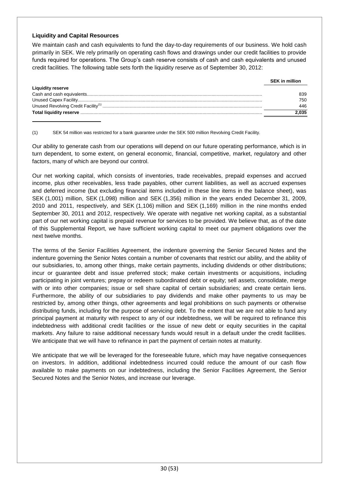### **Liquidity and Capital Resources**

We maintain cash and cash equivalents to fund the day-to-day requirements of our business. We hold cash primarily in SEK. We rely primarily on operating cash flows and drawings under our credit facilities to provide funds required for operations. The Group's cash reserve consists of cash and cash equivalents and unused credit facilities. The following table sets forth the liquidity reserve as of September 30, 2012:

|                          | <b>SEK</b> in million |
|--------------------------|-----------------------|
| <b>Liquidity reserve</b> |                       |
|                          | 839                   |
|                          | 750                   |
|                          | 446                   |
|                          | 2.035                 |

(1) SEK 54 million was restricted for a bank guarantee under the SEK 500 million Revolving Credit Facility.

Our ability to generate cash from our operations will depend on our future operating performance, which is in turn dependent, to some extent, on general economic, financial, competitive, market, regulatory and other factors, many of which are beyond our control.

Our net working capital, which consists of inventories, trade receivables, prepaid expenses and accrued income, plus other receivables, less trade payables, other current liabilities, as well as accrued expenses and deferred income (but excluding financial items included in these line items in the balance sheet), was SEK (1,001) million, SEK (1,098) million and SEK (1,356) million in the years ended December 31, 2009, 2010 and 2011, respectively, and SEK (1,106) million and SEK (1,169) million in the nine months ended September 30, 2011 and 2012, respectively. We operate with negative net working capital, as a substantial part of our net working capital is prepaid revenue for services to be provided. We believe that, as of the date of this Supplemental Report, we have sufficient working capital to meet our payment obligations over the next twelve months.

The terms of the Senior Facilities Agreement, the indenture governing the Senior Secured Notes and the indenture governing the Senior Notes contain a number of covenants that restrict our ability, and the ability of our subsidiaries, to, among other things, make certain payments, including dividends or other distributions; incur or guarantee debt and issue preferred stock; make certain investments or acquisitions, including participating in joint ventures; prepay or redeem subordinated debt or equity; sell assets, consolidate, merge with or into other companies; issue or sell share capital of certain subsidiaries; and create certain liens. Furthermore, the ability of our subsidiaries to pay dividends and make other payments to us may be restricted by, among other things, other agreements and legal prohibitions on such payments or otherwise distributing funds, including for the purpose of servicing debt. To the extent that we are not able to fund any principal payment at maturity with respect to any of our indebtedness, we will be required to refinance this indebtedness with additional credit facilities or the issue of new debt or equity securities in the capital markets. Any failure to raise additional necessary funds would result in a default under the credit facilities. We anticipate that we will have to refinance in part the payment of certain notes at maturity.

We anticipate that we will be leveraged for the foreseeable future, which may have negative consequences on investors. In addition, additional indebtedness incurred could reduce the amount of our cash flow available to make payments on our indebtedness, including the Senior Facilities Agreement, the Senior Secured Notes and the Senior Notes, and increase our leverage.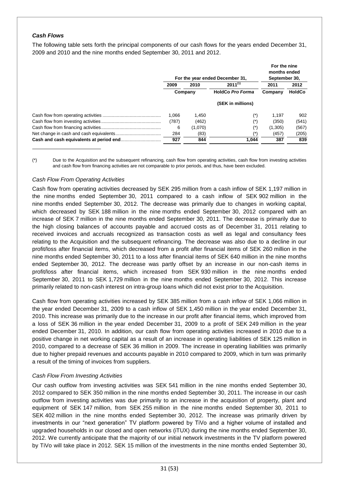### *Cash Flows*

The following table sets forth the principal components of our cash flows for the years ended December 31, 2009 and 2010 and the nine months ended September 30, 2011 and 2012.

|         | For the year ended December 31, | For the nine<br>months ended<br>September 30, |         |               |
|---------|---------------------------------|-----------------------------------------------|---------|---------------|
| 2009    | 2010                            | $2011^{(1)}$                                  | 2011    | 2012          |
| Company |                                 | <b>HoldCo Pro Forma</b>                       | Company | <b>HoldCo</b> |
|         |                                 | (SEK in millions)                             |         |               |
| 1.066   | 1.450                           |                                               | 1.197   | 902           |
| (787)   | (462)                           | $(\dot{\phantom{a}})$                         | (350)   | (541)         |
| 6       | (1,070)                         | (*)                                           | (1,305) | (567)         |
| 284     | (83)                            |                                               | (457)   | (205)         |
| 927     | 844                             | 1.044                                         | 387     | 839           |

(\*) Due to the Acquisition and the subsequent refinancing, cash flow from operating activities, cash flow from investing activities and cash flow from financing activities are not comparable to prior periods, and thus, have been excluded.

#### *Cash Flow From Operating Activities*

Cash flow from operating activities decreased by SEK 295 million from a cash inflow of SEK 1,197 million in the nine months ended September 30, 2011 compared to a cash inflow of SEK 902 million in the nine months ended September 30, 2012. The decrease was primarily due to changes in working capital, which decreased by SEK 188 million in the nine months ended September 30, 2012 compared with an increase of SEK 7 million in the nine months ended September 30, 2011. The decrease is primarily due to the high closing balances of accounts payable and accrued costs as of December 31, 2011 relating to received invoices and accruals recognized as transaction costs as well as legal and consultancy fees relating to the Acquisition and the subsequent refinancing. The decrease was also due to a decline in our profit/loss after financial items, which decreased from a profit after financial items of SEK 260 million in the nine months ended September 30, 2011 to a loss after financial items of SEK 640 million in the nine months ended September 30, 2012. The decrease was partly offset by an increase in our non-cash items in profit/loss after financial items, which increased from SEK 930 million in the nine months ended September 30, 2011 to SEK 1,729 million in the nine months ended September 30, 2012. This increase primarily related to non-cash interest on intra-group loans which did not exist prior to the Acquisition.

Cash flow from operating activities increased by SEK 385 million from a cash inflow of SEK 1,066 million in the year ended December 31, 2009 to a cash inflow of SEK 1,450 million in the year ended December 31, 2010. This increase was primarily due to the increase in our profit after financial items, which improved from a loss of SEK 36 million in the year ended December 31, 2009 to a profit of SEK 249 million in the year ended December 31, 2010. In addition, our cash flow from operating activities increased in 2010 due to a positive change in net working capital as a result of an increase in operating liabilities of SEK 125 million in 2010, compared to a decrease of SEK 36 million in 2009. The increase in operating liabilities was primarily due to higher prepaid revenues and accounts payable in 2010 compared to 2009, which in turn was primarily a result of the timing of invoices from suppliers.

#### *Cash Flow From Investing Activities*

Our cash outflow from investing activities was SEK 541 million in the nine months ended September 30, 2012 compared to SEK 350 million in the nine months ended September 30, 2011. The increase in our cash outflow from investing activities was due primarily to an increase in the acquisition of property, plant and equipment of SEK 147 million, from SEK 255 million in the nine months ended September 30, 2011 to SEK 402 million in the nine months ended September 30, 2012. The increase was primarily driven by investments in our "next generation" TV platform powered by TiVo and a higher volume of installed and upgraded households in our closed and open networks (iTUX) during the nine months ended September 30, 2012. We currently anticipate that the majority of our initial network investments in the TV platform powered by TiVo will take place in 2012. SEK 15 million of the investments in the nine months ended September 30,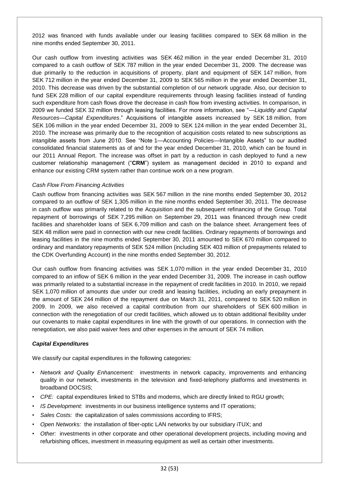2012 was financed with funds available under our leasing facilities compared to SEK 68 million in the nine months ended September 30, 2011.

Our cash outflow from investing activities was SEK 462 million in the year ended December 31, 2010 compared to a cash outflow of SEK 787 million in the year ended December 31, 2009. The decrease was due primarily to the reduction in acquisitions of property, plant and equipment of SEK 147 million, from SEK 712 million in the year ended December 31, 2009 to SEK 565 million in the year ended December 31, 2010. This decrease was driven by the substantial completion of our network upgrade. Also, our decision to fund SEK 228 million of our capital expenditure requirements through leasing facilities instead of funding such expenditure from cash flows drove the decrease in cash flow from investing activities. In comparison, in 2009 we funded SEK 32 million through leasing facilities. For more information, see "*—Liquidity and Capital Resources—Capital Expenditures*." Acquisitions of intangible assets increased by SEK 18 million, from SEK 106 million in the year ended December 31, 2009 to SEK 124 million in the year ended December 31, 2010. The increase was primarily due to the recognition of acquisition costs related to new subscriptions as intangible assets from June 2010. See "Note 1—Accounting Policies—Intangible Assets" to our audited consolidated financial statements as of and for the year ended December 31, 2010, which can be found in our 2011 Annual Report. The increase was offset in part by a reduction in cash deployed to fund a new customer relationship management ("**CRM**") system as management decided in 2010 to expand and enhance our existing CRM system rather than continue work on a new program.

## *Cash Flow From Financing Activities*

Cash outflow from financing activities was SEK 567 million in the nine months ended September 30, 2012 compared to an outflow of SEK 1,305 million in the nine months ended September 30, 2011. The decrease in cash outflow was primarily related to the Acquisition and the subsequent refinancing of the Group. Total repayment of borrowings of SEK 7,295 million on September 29, 2011 was financed through new credit facilities and shareholder loans of SEK 6,709 million and cash on the balance sheet. Arrangement fees of SEK 48 million were paid in connection with our new credit facilities. Ordinary repayments of borrowings and leasing facilities in the nine months ended September 30, 2011 amounted to SEK 670 million compared to ordinary and mandatory repayments of SEK 524 million (including SEK 403 million of prepayments related to the CDK Overfunding Account) in the nine months ended September 30, 2012.

Our cash outflow from financing activities was SEK 1,070 million in the year ended December 31, 2010 compared to an inflow of SEK 6 million in the year ended December 31, 2009. The increase in cash outflow was primarily related to a substantial increase in the repayment of credit facilities in 2010. In 2010, we repaid SEK 1,070 million of amounts due under our credit and leasing facilities, including an early prepayment in the amount of SEK 244 million of the repayment due on March 31, 2011, compared to SEK 520 million in 2009. In 2009, we also received a capital contribution from our shareholders of SEK 600 million in connection with the renegotiation of our credit facilities, which allowed us to obtain additional flexibility under our covenants to make capital expenditures in line with the growth of our operations. In connection with the renegotiation, we also paid waiver fees and other expenses in the amount of SEK 74 million.

#### *Capital Expenditures*

We classify our capital expenditures in the following categories:

- *Network and Quality Enhancement:* investments in network capacity, improvements and enhancing quality in our network, investments in the television and fixed-telephony platforms and investments in broadband DOCSIS;
- *CPE:* capital expenditures linked to STBs and modems, which are directly linked to RGU growth;
- *IS Development:* investments in our business intelligence systems and IT operations;
- *Sales Costs:* the capitalization of sales commissions according to IFRS;
- *Open Networks:* the installation of fiber-optic LAN networks by our subsidiary iTUX; and
- *Other:* investments in other corporate and other operational development projects, including moving and refurbishing offices, investment in measuring equipment as well as certain other investments.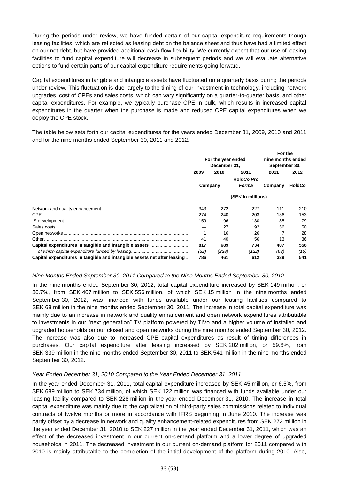During the periods under review, we have funded certain of our capital expenditure requirements though leasing facilities, which are reflected as leasing debt on the balance sheet and thus have had a limited effect on our net debt, but have provided additional cash flow flexibility. We currently expect that our use of leasing facilities to fund capital expenditure will decrease in subsequent periods and we will evaluate alternative options to fund certain parts of our capital expenditure requirements going forward.

Capital expenditures in tangible and intangible assets have fluctuated on a quarterly basis during the periods under review. This fluctuation is due largely to the timing of our investment in technology, including network upgrades, cost of CPEs and sales costs, which can vary significantly on a quarter-to-quarter basis, and other capital expenditures. For example, we typically purchase CPE in bulk, which results in increased capital expenditures in the quarter when the purchase is made and reduced CPE capital expenditures when we deploy the CPE stock.

The table below sets forth our capital expenditures for the years ended December 31, 2009, 2010 and 2011 and for the nine months ended September 30, 2011 and 2012.

|                                                                          |         |                    |                   | For the           |               |
|--------------------------------------------------------------------------|---------|--------------------|-------------------|-------------------|---------------|
|                                                                          |         | For the year ended |                   | nine months ended |               |
|                                                                          |         | December 31.       |                   | September 30,     |               |
|                                                                          | 2009    | 2010               | 2011              | 2011              | 2012          |
|                                                                          |         |                    | <b>HoldCo Pro</b> |                   |               |
|                                                                          | Company |                    | Forma             | Company           | <b>HoldCo</b> |
|                                                                          |         |                    | (SEK in millions) |                   |               |
|                                                                          | 343     | 272                | 227               | 111               | 210           |
|                                                                          | 274     | 240                | 203               | 136               | 153           |
|                                                                          | 159     | 96                 | 130               | 85                | 79            |
|                                                                          |         | 27                 | 92                | 56                | 50            |
|                                                                          |         | 16                 | 26                |                   | 28            |
|                                                                          | 41      | 40                 | 56                | 13                | 36            |
|                                                                          | 817     | 689                | 734               | 407               | 556           |
|                                                                          | (32)    | (228)              | (122)             | (68)              | (15)          |
| Capital expenditures in tangible and intangible assets net after leasing | 786     | 461                | 612               | 339               | 541           |

#### *Nine Months Ended September 30, 2011 Compared to the Nine Months Ended September 30, 2012*

In the nine months ended September 30, 2012, total capital expenditure increased by SEK 149 million, or 36.7%, from SEK 407 million to SEK 556 million, of which SEK 15 million in the nine months ended September 30, 2012, was financed with funds available under our leasing facilities compared to SEK 68 million in the nine months ended September 30, 2011. The increase in total capital expenditure was mainly due to an increase in network and quality enhancement and open network expenditures attributable to investments in our "next generation" TV platform powered by TiVo and a higher volume of installed and upgraded households on our closed and open networks during the nine months ended September 30, 2012. The increase was also due to increased CPE capital expenditures as result of timing differences in purchases. Our capital expenditure after leasing increased by SEK 202 million, or 59.6%, from SEK 339 million in the nine months ended September 30, 2011 to SEK 541 million in the nine months ended September 30, 2012.

#### *Year Ended December 31, 2010 Compared to the Year Ended December 31, 2011*

In the year ended December 31, 2011, total capital expenditure increased by SEK 45 million, or 6.5%, from SEK 689 million to SEK 734 million, of which SEK 122 million was financed with funds available under our leasing facility compared to SEK 228 million in the year ended December 31, 2010. The increase in total capital expenditure was mainly due to the capitalization of third-party sales commissions related to individual contracts of twelve months or more in accordance with IFRS beginning in June 2010. The increase was partly offset by a decrease in network and quality enhancement-related expenditures from SEK 272 million in the year ended December 31, 2010 to SEK 227 million in the year ended December 31, 2011, which was an effect of the decreased investment in our current on-demand platform and a lower degree of upgraded households in 2011. The decreased investment in our current on-demand platform for 2011 compared with 2010 is mainly attributable to the completion of the initial development of the platform during 2010. Also,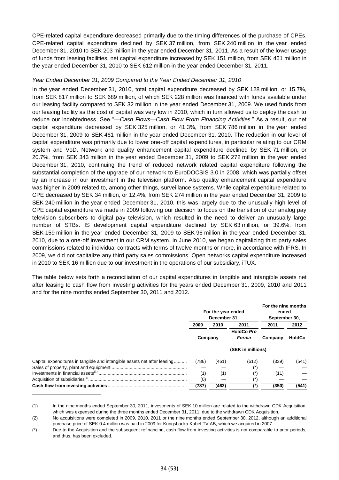CPE-related capital expenditure decreased primarily due to the timing differences of the purchase of CPEs. CPE-related capital expenditure declined by SEK 37 million, from SEK 240 million in the year ended December 31, 2010 to SEK 203 million in the year ended December 31, 2011. As a result of the lower usage of funds from leasing facilities, net capital expenditure increased by SEK 151 million, from SEK 461 million in the year ended December 31, 2010 to SEK 612 million in the year ended December 31, 2011.

### *Year Ended December 31, 2009 Compared to the Year Ended December 31, 2010*

In the year ended December 31, 2010, total capital expenditure decreased by SEK 128 million, or 15.7%, from SEK 817 million to SEK 689 million, of which SEK 228 million was financed with funds available under our leasing facility compared to SEK 32 million in the year ended December 31, 2009. We used funds from our leasing facility as the cost of capital was very low in 2010, which in turn allowed us to deploy the cash to reduce our indebtedness. See "*—Cash Flows—Cash Flow From Financing Activities*." As a result, our net capital expenditure decreased by SEK 325 million, or 41.3%, from SEK 786 million in the year ended December 31, 2009 to SEK 461 million in the year ended December 31, 2010. The reduction in our level of capital expenditure was primarily due to lower one-off capital expenditures, in particular relating to our CRM system and VoD. Network and quality enhancement capital expenditure declined by SEK 71 million, or 20.7%, from SEK 343 million in the year ended December 31, 2009 to SEK 272 million in the year ended December 31, 2010, continuing the trend of reduced network related capital expenditure following the substantial completion of the upgrade of our network to EuroDOCSIS 3.0 in 2008, which was partially offset by an increase in our investment in the television platform. Also quality enhancement capital expenditure was higher in 2009 related to, among other things, surveillance systems. While capital expenditure related to CPE decreased by SEK 34 million, or 12.4%, from SEK 274 million in the year ended December 31, 2009 to SEK 240 million in the year ended December 31, 2010, this was largely due to the unusually high level of CPE capital expenditure we made in 2009 following our decision to focus on the transition of our analog pay television subscribers to digital pay television, which resulted in the need to deliver an unusually large number of STBs. IS development capital expenditure declined by SEK 63 million, or 39.6%, from SEK 159 million in the year ended December 31, 2009 to SEK 96 million in the year ended December 31, 2010, due to a one-off investment in our CRM system. In June 2010, we began capitalizing third party sales commissions related to individual contracts with terms of twelve months or more, in accordance with IFRS. In 2009, we did not capitalize any third party sales commissions. Open networks capital expenditure increased in 2010 to SEK 16 million due to our investment in the operations of our subsidiary, iTUX.

The table below sets forth a reconciliation of our capital expenditures in tangible and intangible assets net after leasing to cash flow from investing activities for the years ended December 31, 2009, 2010 and 2011 and for the nine months ended September 30, 2011 and 2012.

|                                                                          | For the year ended<br>December 31. |       |                   | For the nine months<br>ended<br>September 30, |               |  |
|--------------------------------------------------------------------------|------------------------------------|-------|-------------------|-----------------------------------------------|---------------|--|
|                                                                          | 2009                               | 2010  | 2011              | 2011                                          | 2012          |  |
|                                                                          |                                    |       | <b>HoldCo Pro</b> |                                               |               |  |
|                                                                          | Company                            |       | Forma             | Company                                       | <b>HoldCo</b> |  |
|                                                                          |                                    |       | (SEK in millions) |                                               |               |  |
| Capital expenditures in tangible and intangible assets net after leasing | (786)                              | (461) | (612)             | (339)                                         | (541)         |  |
|                                                                          |                                    |       | (*)               |                                               |               |  |
|                                                                          | (1)                                | (1)   | (*)               | (11)                                          |               |  |
|                                                                          | (0)                                |       | (*)               |                                               |               |  |
|                                                                          | (787)                              | (462) | $^{\prime\prime}$ | (350)                                         | (541)         |  |

<sup>(1)</sup> In the nine months ended September 30, 2011, investments of SEK 10 million are related to the withdrawn CDK Acquisition, which was expensed during the three months ended December 31, 2011, due to the withdrawn CDK Acquisition.

<sup>(2)</sup> No acquisitions were completed in 2009, 2010, 2011 or the nine months ended September 30, 2012, although an additional purchase price of SEK 0.4 million was paid in 2009 for Kungsbacka Kabel-TV AB, which we acquired in 2007.

<sup>(\*)</sup> Due to the Acquisition and the subsequent refinancing, cash flow from investing activities is not comparable to prior periods, and thus, has been excluded.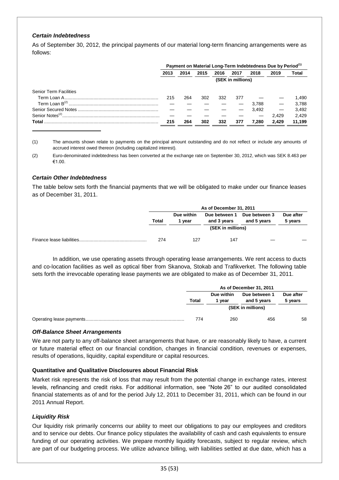#### *Certain Indebtedness*

As of September 30, 2012, the principal payments of our material long-term financing arrangements were as follows:

|                               | Payment on Material Long-Term Indebtedness Due by Period <sup>(1)</sup> |      |      |      |      |       |       |        |
|-------------------------------|-------------------------------------------------------------------------|------|------|------|------|-------|-------|--------|
|                               | 2013                                                                    | 2014 | 2015 | 2016 | 2017 | 2018  | 2019  | Total  |
|                               | (SEK in millions)                                                       |      |      |      |      |       |       |        |
| <b>Senior Term Facilities</b> |                                                                         |      |      |      |      |       |       |        |
|                               | 215                                                                     | 264  | 302  | 332  | 377  |       |       | 1.490  |
|                               |                                                                         |      |      |      |      | 3.788 |       | 3.788  |
|                               |                                                                         |      |      |      |      | 3.492 |       | 3.492  |
| Senior Notes <sup>(2)</sup> . |                                                                         |      |      |      |      |       | 2.429 | 2.429  |
| Total                         | 215                                                                     | 264  | 302  | 332  | 377  | 7.280 | 2.429 | 11,199 |

(1) The amounts shown relate to payments on the principal amount outstanding and do not reflect or include any amounts of accrued interest owed thereon (including capitalized interest).

(2) Euro-denominated indebtedness has been converted at the exchange rate on September 30, 2012, which was SEK 8.463 per €1.00.

#### *Certain Other Indebtedness*

The table below sets forth the financial payments that we will be obligated to make under our finance leases as of December 31, 2011.

| As of December 31, 2011 |                    |                              |                              |                      |  |
|-------------------------|--------------------|------------------------------|------------------------------|----------------------|--|
| Total                   | Due within<br>vear | Due between 1<br>and 3 years | Due between 3<br>and 5 years | Due after<br>5 years |  |
|                         |                    |                              |                              |                      |  |
| 274                     | 127                | 147                          |                              |                      |  |

In addition, we use operating assets through operating lease arrangements. We rent access to ducts and co-location facilities as well as optical fiber from Skanova, Stokab and Trafikverket. The following table sets forth the irrevocable operating lease payments we are obligated to make as of December 31, 2011.

| As of December 31, 2011 |                    |                              |                      |  |
|-------------------------|--------------------|------------------------------|----------------------|--|
| Total                   | Due within<br>vear | Due between 1<br>and 5 years | Due after<br>5 years |  |
|                         |                    | (SEK in millions)            |                      |  |
| 774                     | 260                | 456                          | 58                   |  |

#### *Off-Balance Sheet Arrangements*

We are not party to any off-balance sheet arrangements that have, or are reasonably likely to have, a current or future material effect on our financial condition, changes in financial condition, revenues or expenses, results of operations, liquidity, capital expenditure or capital resources.

#### **Quantitative and Qualitative Disclosures about Financial Risk**

Market risk represents the risk of loss that may result from the potential change in exchange rates, interest levels, refinancing and credit risks. For additional information, see "Note 26" to our audited consolidated financial statements as of and for the period July 12, 2011 to December 31, 2011, which can be found in our 2011 Annual Report.

#### *Liquidity Risk*

Our liquidity risk primarily concerns our ability to meet our obligations to pay our employees and creditors and to service our debts. Our finance policy stipulates the availability of cash and cash equivalents to ensure funding of our operating activities. We prepare monthly liquidity forecasts, subject to regular review, which are part of our budgeting process. We utilize advance billing, with liabilities settled at due date, which has a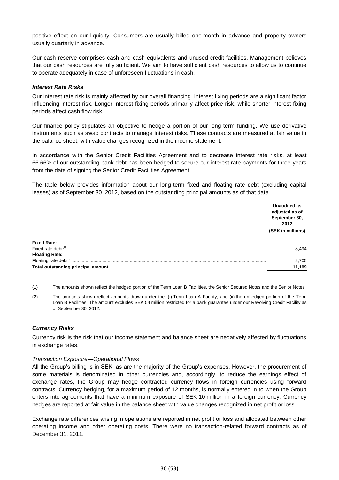positive effect on our liquidity. Consumers are usually billed one month in advance and property owners usually quarterly in advance.

Our cash reserve comprises cash and cash equivalents and unused credit facilities. Management believes that our cash resources are fully sufficient. We aim to have sufficient cash resources to allow us to continue to operate adequately in case of unforeseen fluctuations in cash.

### *Interest Rate Risks*

Our interest rate risk is mainly affected by our overall financing. Interest fixing periods are a significant factor influencing interest risk. Longer interest fixing periods primarily affect price risk, while shorter interest fixing periods affect cash flow risk.

Our finance policy stipulates an objective to hedge a portion of our long-term funding. We use derivative instruments such as swap contracts to manage interest risks. These contracts are measured at fair value in the balance sheet, with value changes recognized in the income statement.

In accordance with the Senior Credit Facilities Agreement and to decrease interest rate risks, at least 66.66% of our outstanding bank debt has been hedged to secure our interest rate payments for three years from the date of signing the Senior Credit Facilities Agreement.

The table below provides information about our long-term fixed and floating rate debt (excluding capital leases) as of September 30, 2012, based on the outstanding principal amounts as of that date.

|                       | Unaudited as<br>adjusted as of<br>September 30,<br>2012 |  |
|-----------------------|---------------------------------------------------------|--|
|                       | (SEK in millions)                                       |  |
| <b>Fixed Rate:</b>    |                                                         |  |
| Fixed rate debt $(1)$ | 8.494                                                   |  |
| <b>Floating Rate:</b> |                                                         |  |
|                       | 2,705                                                   |  |
|                       | 11.199                                                  |  |

(1) The amounts shown reflect the hedged portion of the Term Loan B Facilities, the Senior Secured Notes and the Senior Notes.

(2) The amounts shown reflect amounts drawn under the: (i) Term Loan A Facility; and (ii) the unhedged portion of the Term Loan B Facilities. The amount excludes SEK 54 million restricted for a bank guarantee under our Revolving Credit Facility as of September 30, 2012.

# *Currency Risks*

Currency risk is the risk that our income statement and balance sheet are negatively affected by fluctuations in exchange rates.

#### *Transaction Exposure—Operational Flows*

All the Group's billing is in SEK, as are the majority of the Group's expenses. However, the procurement of some materials is denominated in other currencies and, accordingly, to reduce the earnings effect of exchange rates, the Group may hedge contracted currency flows in foreign currencies using forward contracts. Currency hedging, for a maximum period of 12 months, is normally entered in to when the Group enters into agreements that have a minimum exposure of SEK 10 million in a foreign currency. Currency hedges are reported at fair value in the balance sheet with value changes recognized in net profit or loss.

Exchange rate differences arising in operations are reported in net profit or loss and allocated between other operating income and other operating costs. There were no transaction-related forward contracts as of December 31, 2011.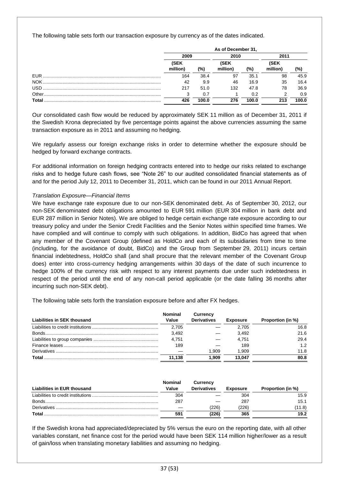The following table sets forth our transaction exposure by currency as of the dates indicated.

|            | As of December 31, |       |                         |       |                         |       |  |
|------------|--------------------|-------|-------------------------|-------|-------------------------|-------|--|
|            | 2009               |       | 2010                    |       | 2011                    |       |  |
|            | (SEK<br>million)   | (%)   | <b>(SEK</b><br>million) | (%)   | <b>(SEK</b><br>million) | (%)   |  |
| <b>EUR</b> | 164                | 38.4  | 97                      | 35.1  | 98                      | 45.9  |  |
| NOK.       | 42                 | 9.9   | 46                      | 16.9  | 35                      | 16.4  |  |
|            | 217                | 51.0  | 132                     | 47.8  | 78                      | 36.9  |  |
|            |                    | 0.7   |                         | 0.2   |                         | 0.9   |  |
| Total      | 426                | 100.0 | 276                     | 100.0 | 213                     | 100.0 |  |

Our consolidated cash flow would be reduced by approximately SEK 11 million as of December 31, 2011 if the Swedish Krona depreciated by five percentage points against the above currencies assuming the same transaction exposure as in 2011 and assuming no hedging.

We regularly assess our foreign exchange risks in order to determine whether the exposure should be hedged by forward exchange contracts.

For additional information on foreign hedging contracts entered into to hedge our risks related to exchange risks and to hedge future cash flows, see "Note 26" to our audited consolidated financial statements as of and for the period July 12, 2011 to December 31, 2011, which can be found in our 2011 Annual Report.

## *Translation Exposure—Financial Items*

We have exchange rate exposure due to our non-SEK denominated debt. As of September 30, 2012, our non-SEK denominated debt obligations amounted to EUR 591 million (EUR 304 million in bank debt and EUR 287 million in Senior Notes). We are obliged to hedge certain exchange rate exposure according to our treasury policy and under the Senior Credit Facilities and the Senior Notes within specified time frames. We have complied and will continue to comply with such obligations. In addition, BidCo has agreed that when any member of the Covenant Group (defined as HoldCo and each of its subsidiaries from time to time (including, for the avoidance of doubt, BidCo) and the Group from September 29, 2011) incurs certain financial indebtedness, HoldCo shall (and shall procure that the relevant member of the Covenant Group does) enter into cross-currency hedging arrangements within 30 days of the date of such incurrence to hedge 100% of the currency risk with respect to any interest payments due under such indebtedness in respect of the period until the end of any non-call period applicable (or the date falling 36 months after incurring such non-SEK debt).

The following table sets forth the translation exposure before and after FX hedges.

| Liabilities in SEK thousand | <b>Nominal</b><br>Value | Currency<br><b>Derivatives</b> | <b>Exposure</b> | Proportion (in %) |
|-----------------------------|-------------------------|--------------------------------|-----------------|-------------------|
|                             | 2.705                   |                                | 2.705           | 16.8              |
|                             | 3.492                   |                                | 3.492           | 21.6              |
|                             | 4.751                   |                                | 4.751           | 29.4              |
|                             | 189                     |                                | 189             | 1.2               |
|                             |                         | 1.909                          | 1.909           | 11.8              |
| Total                       | 11.138                  | 1.909                          | 13.047          | 80.8              |

| Liabilities in EUR thousand | <b>Nominal</b><br>Value | <b>Currency</b><br><b>Derivatives</b> | <b>Exposure</b> | Proportion (in %) |
|-----------------------------|-------------------------|---------------------------------------|-----------------|-------------------|
|                             | 304                     |                                       | 304             | 15.9              |
| Bonds.                      | 287                     |                                       | 287             | 15.1              |
|                             |                         | 226)                                  | 226             | (11.8)            |
| Total                       | 591                     | 226)                                  | 365             | 19.2              |

If the Swedish krona had appreciated/depreciated by 5% versus the euro on the reporting date, with all other variables constant, net finance cost for the period would have been SEK 114 million higher/lower as a result of gain/loss when translating monetary liabilities and assuming no hedging.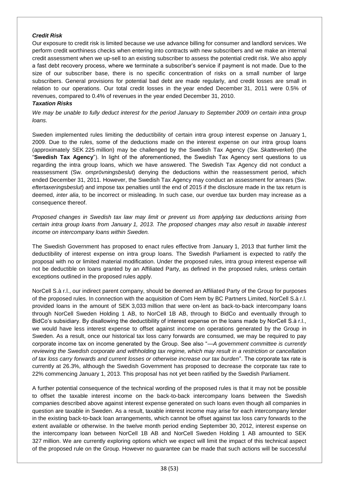#### *Credit Risk*

Our exposure to credit risk is limited because we use advance billing for consumer and landlord services. We perform credit worthiness checks when entering into contracts with new subscribers and we make an internal credit assessment when we up-sell to an existing subscriber to assess the potential credit risk. We also apply a fast debt recovery process, where we terminate a subscriber's service if payment is not made. Due to the size of our subscriber base, there is no specific concentration of risks on a small number of large subscribers. General provisions for potential bad debt are made regularly, and credit losses are small in relation to our operations. Our total credit losses in the year ended December 31, 2011 were 0.5% of revenues, compared to 0.4% of revenues in the year ended December 31, 2010.

## *Taxation Risks*

*We may be unable to fully deduct interest for the period January to September 2009 on certain intra group loans.*

Sweden implemented rules limiting the deductibility of certain intra group interest expense on January 1, 2009. Due to the rules, some of the deductions made on the interest expense on our intra group loans (approximately SEK 225 million) may be challenged by the Swedish Tax Agency (Sw. *Skatteverket*) (the "**Swedish Tax Agency**"). In light of the aforementioned, the Swedish Tax Agency sent questions to us regarding the intra group loans, which we have answered. The Swedish Tax Agency did not conduct a reassessment (Sw. *omprövningsbeslut*) denying the deductions within the reassessment period, which ended December 31, 2011. However, the Swedish Tax Agency may conduct an assessment for arrears (Sw. *eftertaxeringsbeslut*) and impose tax penalties until the end of 2015 if the disclosure made in the tax return is deemed, *inter alia*, to be incorrect or misleading. In such case, our overdue tax burden may increase as a consequence thereof.

*Proposed changes in Swedish tax law may limit or prevent us from applying tax deductions arising from certain intra group loans from January 1, 2013. The proposed changes may also result in taxable interest income on intercompany loans within Sweden.*

The Swedish Government has proposed to enact rules effective from January 1, 2013 that further limit the deductibility of interest expense on intra group loans. The Swedish Parliament is expected to ratify the proposal with no or limited material modification. Under the proposed rules, intra group interest expense will not be deductible on loans granted by an Affiliated Party, as defined in the proposed rules, unless certain exceptions outlined in the proposed rules apply.

NorCell S.à r.l., our indirect parent company, should be deemed an Affiliated Party of the Group for purposes of the proposed rules. In connection with the acquisition of Com Hem by BC Partners Limited, NorCell S.à r.l. provided loans in the amount of SEK 3,033 million that were on-lent as back-to-back intercompany loans through NorCell Sweden Holding 1 AB, to NorCell 1B AB, through to BidCo and eventually through to BidCo's subsidiary. By disallowing the deductibility of interest expense on the loans made by NorCell S.à r.l., we would have less interest expense to offset against income on operations generated by the Group in Sweden. As a result, once our historical tax loss carry forwards are consumed, we may be required to pay corporate income tax on income generated by the Group. See also "*—A government committee is currently reviewing the Swedish corporate and withholding tax regime, which may result in a restriction or cancellation of tax loss carry forwards and current losses or otherwise increase our tax burden*". The corporate tax rate is currently at 26.3%, although the Swedish Government has proposed to decrease the corporate tax rate to 22% commencing January 1, 2013. This proposal has not yet been ratified by the Swedish Parliament.

A further potential consequence of the technical wording of the proposed rules is that it may not be possible to offset the taxable interest income on the back-to-back intercompany loans between the Swedish companies described above against interest expense generated on such loans even though all companies in question are taxable in Sweden. As a result, taxable interest income may arise for each intercompany lender in the existing back-to-back loan arrangements, which cannot be offset against tax loss carry forwards to the extent available or otherwise. In the twelve month period ending September 30, 2012, interest expense on the intercompany loan between NorCell 1B AB and NorCell Sweden Holding 1 AB amounted to SEK 327 million. We are currently exploring options which we expect will limit the impact of this technical aspect of the proposed rule on the Group. However no guarantee can be made that such actions will be successful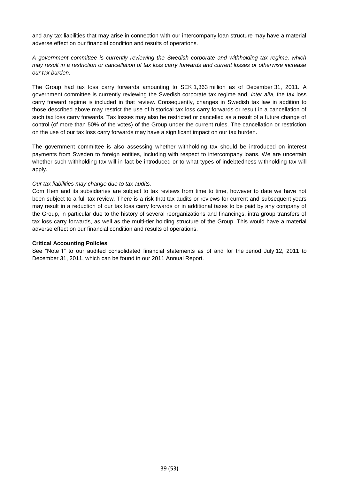and any tax liabilities that may arise in connection with our intercompany loan structure may have a material adverse effect on our financial condition and results of operations.

*A government committee is currently reviewing the Swedish corporate and withholding tax regime, which may result in a restriction or cancellation of tax loss carry forwards and current losses or otherwise increase our tax burden.*

The Group had tax loss carry forwards amounting to SEK 1,363 million as of December 31, 2011. A government committee is currently reviewing the Swedish corporate tax regime and, *inter alia*, the tax loss carry forward regime is included in that review. Consequently, changes in Swedish tax law in addition to those described above may restrict the use of historical tax loss carry forwards or result in a cancellation of such tax loss carry forwards. Tax losses may also be restricted or cancelled as a result of a future change of control (of more than 50% of the votes) of the Group under the current rules. The cancellation or restriction on the use of our tax loss carry forwards may have a significant impact on our tax burden.

The government committee is also assessing whether withholding tax should be introduced on interest payments from Sweden to foreign entities, including with respect to intercompany loans. We are uncertain whether such withholding tax will in fact be introduced or to what types of indebtedness withholding tax will apply.

## *Our tax liabilities may change due to tax audits.*

Com Hem and its subsidiaries are subject to tax reviews from time to time, however to date we have not been subject to a full tax review. There is a risk that tax audits or reviews for current and subsequent years may result in a reduction of our tax loss carry forwards or in additional taxes to be paid by any company of the Group, in particular due to the history of several reorganizations and financings, intra group transfers of tax loss carry forwards, as well as the multi-tier holding structure of the Group. This would have a material adverse effect on our financial condition and results of operations.

### **Critical Accounting Policies**

See "Note 1" to our audited consolidated financial statements as of and for the period July 12, 2011 to December 31, 2011, which can be found in our 2011 Annual Report.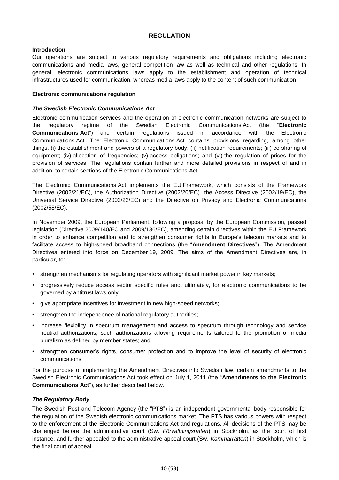# **REGULATION**

### **Introduction**

Our operations are subject to various regulatory requirements and obligations including electronic communications and media laws, general competition law as well as technical and other regulations. In general, electronic communications laws apply to the establishment and operation of technical infrastructures used for communication, whereas media laws apply to the content of such communication.

### **Electronic communications regulation**

### *The Swedish Electronic Communications Act*

Electronic communication services and the operation of electronic communication networks are subject to the regulatory regime of the Swedish Electronic Communications Act (the "**Electronic Communications Act**") and certain regulations issued in accordance with the Electronic Communications Act. The Electronic Communications Act contains provisions regarding, among other things, (i) the establishment and powers of a regulatory body; (ii) notification requirements; (iii) co-sharing of equipment; (iv) allocation of frequencies; (v) access obligations; and (vi) the regulation of prices for the provision of services. The regulations contain further and more detailed provisions in respect of and in addition to certain sections of the Electronic Communications Act.

The Electronic Communications Act implements the EU Framework, which consists of the Framework Directive (2002/21/EC), the Authorization Directive (2002/20/EC), the Access Directive (2002/19/EC), the Universal Service Directive (2002/22/EC) and the Directive on Privacy and Electronic Communications (2002/58/EC).

In November 2009, the European Parliament, following a proposal by the European Commission, passed legislation (Directive 2009/140/EC and 2009/136/EC), amending certain directives within the EU Framework in order to enhance competition and to strengthen consumer rights in Europe's telecom markets and to facilitate access to high-speed broadband connections (the "**Amendment Directives**"). The Amendment Directives entered into force on December 19, 2009. The aims of the Amendment Directives are, in particular, to:

- strengthen mechanisms for regulating operators with significant market power in key markets;
- progressively reduce access sector specific rules and, ultimately, for electronic communications to be governed by antitrust laws only;
- give appropriate incentives for investment in new high-speed networks;
- strengthen the independence of national regulatory authorities;
- increase flexibility in spectrum management and access to spectrum through technology and service neutral authorizations, such authorizations allowing requirements tailored to the promotion of media pluralism as defined by member states; and
- strengthen consumer's rights, consumer protection and to improve the level of security of electronic communications.

For the purpose of implementing the Amendment Directives into Swedish law, certain amendments to the Swedish Electronic Communications Act took effect on July 1, 2011 (the "**Amendments to the Electronic Communications Act**"), as further described below.

#### *The Regulatory Body*

The Swedish Post and Telecom Agency (the "**PTS**") is an independent governmental body responsible for the regulation of the Swedish electronic communications market. The PTS has various powers with respect to the enforcement of the Electronic Communications Act and regulations. All decisions of the PTS may be challenged before the administrative court (Sw. *Förvaltningsrätten*) in Stockholm, as the court of first instance, and further appealed to the administrative appeal court (Sw. *Kammarrätten*) in Stockholm, which is the final court of appeal.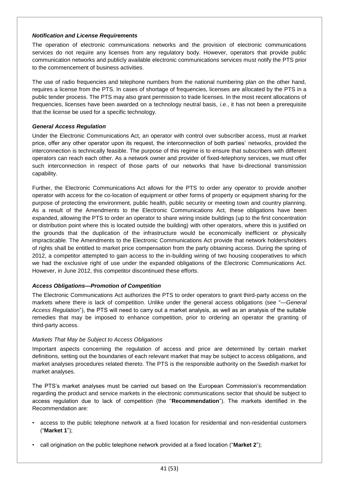### *Notification and License Requirements*

The operation of electronic communications networks and the provision of electronic communications services do not require any licenses from any regulatory body. However, operators that provide public communication networks and publicly available electronic communications services must notify the PTS prior to the commencement of business activities.

The use of radio frequencies and telephone numbers from the national numbering plan on the other hand, requires a license from the PTS. In cases of shortage of frequencies, licenses are allocated by the PTS in a public tender process. The PTS may also grant permission to trade licenses. In the most recent allocations of frequencies, licenses have been awarded on a technology neutral basis, *i.e.*, it has not been a prerequisite that the license be used for a specific technology.

# *General Access Regulation*

Under the Electronic Communications Act, an operator with control over subscriber access, must at market price, offer any other operator upon its request, the interconnection of both parties' networks, provided the interconnection is technically feasible. The purpose of this regime is to ensure that subscribers with different operators can reach each other. As a network owner and provider of fixed-telephony services, we must offer such interconnection in respect of those parts of our networks that have bi-directional transmission capability.

Further, the Electronic Communications Act allows for the PTS to order any operator to provide another operator with access for the co-location of equipment or other forms of property or equipment sharing for the purpose of protecting the environment, public health, public security or meeting town and country planning. As a result of the Amendments to the Electronic Communications Act, these obligations have been expanded, allowing the PTS to order an operator to share wiring inside buildings (up to the first concentration or distribution point where this is located outside the building) with other operators, where this is justified on the grounds that the duplication of the infrastructure would be economically inefficient or physically impracticable. The Amendments to the Electronic Communications Act provide that network holders/holders of rights shall be entitled to market price compensation from the party obtaining access. During the spring of 2012, a competitor attempted to gain access to the in-building wiring of two housing cooperatives to which we had the exclusive right of use under the expanded obligations of the Electronic Communications Act. However, in June 2012, this competitor discontinued these efforts.

# *Access Obligations—Promotion of Competition*

The Electronic Communications Act authorizes the PTS to order operators to grant third-party access on the markets where there is lack of competition. Unlike under the general access obligations (see "—*General Access Regulation*"), the PTS will need to carry out a market analysis, as well as an analysis of the suitable remedies that may be imposed to enhance competition, prior to ordering an operator the granting of third-party access.

#### *Markets That May be Subject to Access Obligations*

Important aspects concerning the regulation of access and price are determined by certain market definitions, setting out the boundaries of each relevant market that may be subject to access obligations, and market analyses procedures related thereto. The PTS is the responsible authority on the Swedish market for market analyses.

The PTS's market analyses must be carried out based on the European Commission's recommendation regarding the product and service markets in the electronic communications sector that should be subject to access regulation due to lack of competition (the "**Recommendation**"). The markets identified in the Recommendation are:

- access to the public telephone network at a fixed location for residential and non-residential customers ("**Market 1**");
- call origination on the public telephone network provided at a fixed location ("**Market 2**");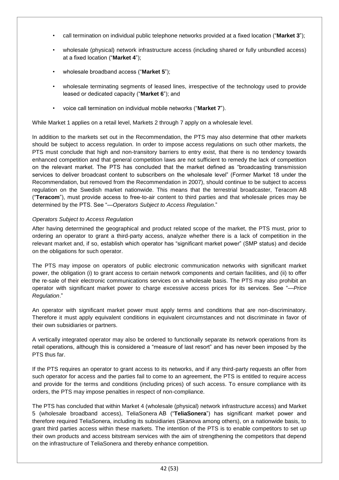- call termination on individual public telephone networks provided at a fixed location ("**Market 3**");
- wholesale (physical) network infrastructure access (including shared or fully unbundled access) at a fixed location ("**Market 4**");
- wholesale broadband access ("**Market 5**");
- wholesale terminating segments of leased lines, irrespective of the technology used to provide leased or dedicated capacity ("**Market 6**"); and
- voice call termination on individual mobile networks ("**Market 7**").

While Market 1 applies on a retail level, Markets 2 through 7 apply on a wholesale level.

In addition to the markets set out in the Recommendation, the PTS may also determine that other markets should be subject to access regulation. In order to impose access regulations on such other markets, the PTS must conclude that high and non-transitory barriers to entry exist, that there is no tendency towards enhanced competition and that general competition laws are not sufficient to remedy the lack of competition on the relevant market. The PTS has concluded that the market defined as "broadcasting transmission services to deliver broadcast content to subscribers on the wholesale level" (Former Market 18 under the Recommendation, but removed from the Recommendation in 2007), should continue to be subject to access regulation on the Swedish market nationwide. This means that the terrestrial broadcaster, Teracom AB ("**Teracom**"), must provide access to free-to-air content to third parties and that wholesale prices may be determined by the PTS. See "—*Operators Subject to Access Regulation*."

## *Operators Subject to Access Regulation*

After having determined the geographical and product related scope of the market, the PTS must, prior to ordering an operator to grant a third-party access, analyze whether there is a lack of competition in the relevant market and, if so, establish which operator has "significant market power" (SMP status) and decide on the obligations for such operator.

The PTS may impose on operators of public electronic communication networks with significant market power, the obligation (i) to grant access to certain network components and certain facilities, and (ii) to offer the re-sale of their electronic communications services on a wholesale basis. The PTS may also prohibit an operator with significant market power to charge excessive access prices for its services. See "—*Price Regulation*."

An operator with significant market power must apply terms and conditions that are non-discriminatory. Therefore it must apply equivalent conditions in equivalent circumstances and not discriminate in favor of their own subsidiaries or partners.

A vertically integrated operator may also be ordered to functionally separate its network operations from its retail operations, although this is considered a "measure of last resort" and has never been imposed by the PTS thus far.

If the PTS requires an operator to grant access to its networks, and if any third-party requests an offer from such operator for access and the parties fail to come to an agreement, the PTS is entitled to require access and provide for the terms and conditions (including prices) of such access. To ensure compliance with its orders, the PTS may impose penalties in respect of non-compliance.

The PTS has concluded that within Market 4 (wholesale (physical) network infrastructure access) and Market 5 (wholesale broadband access), TeliaSonera AB ("**TeliaSonera**") has significant market power and therefore required TeliaSonera, including its subsidiaries (Skanova among others), on a nationwide basis, to grant third parties access within these markets. The intention of the PTS is to enable competitors to set up their own products and access bitstream services with the aim of strengthening the competitors that depend on the infrastructure of TeliaSonera and thereby enhance competition.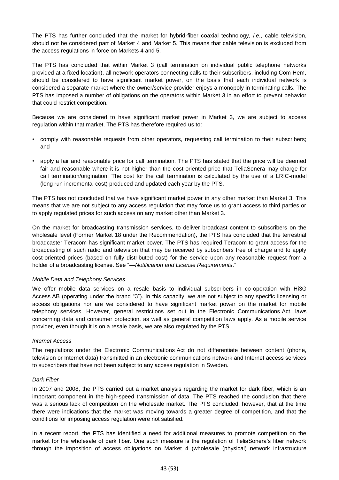The PTS has further concluded that the market for hybrid-fiber coaxial technology, *i.e.*, cable television, should not be considered part of Market 4 and Market 5. This means that cable television is excluded from the access regulations in force on Markets 4 and 5.

The PTS has concluded that within Market 3 (call termination on individual public telephone networks provided at a fixed location), all network operators connecting calls to their subscribers, including Com Hem, should be considered to have significant market power, on the basis that each individual network is considered a separate market where the owner/service provider enjoys a monopoly in terminating calls. The PTS has imposed a number of obligations on the operators within Market 3 in an effort to prevent behavior that could restrict competition.

Because we are considered to have significant market power in Market 3, we are subject to access regulation within that market. The PTS has therefore required us to:

- comply with reasonable requests from other operators, requesting call termination to their subscribers; and
- apply a fair and reasonable price for call termination. The PTS has stated that the price will be deemed fair and reasonable where it is not higher than the cost-oriented price that TeliaSonera may charge for call termination/origination. The cost for the call termination is calculated by the use of a LRIC-model (long run incremental cost) produced and updated each year by the PTS.

The PTS has not concluded that we have significant market power in any other market than Market 3. This means that we are not subject to any access regulation that may force us to grant access to third parties or to apply regulated prices for such access on any market other than Market 3.

On the market for broadcasting transmission services, to deliver broadcast content to subscribers on the wholesale level (Former Market 18 under the Recommendation), the PTS has concluded that the terrestrial broadcaster Teracom has significant market power. The PTS has required Teracom to grant access for the broadcasting of such radio and television that may be received by subscribers free of charge and to apply cost-oriented prices (based on fully distributed cost) for the service upon any reasonable request from a holder of a broadcasting license. See "—*Notification and License Requirements*."

#### *Mobile Data and Telephony Services*

We offer mobile data services on a resale basis to individual subscribers in co-operation with Hi3G Access AB (operating under the brand "3"). In this capacity, we are not subject to any specific licensing or access obligations nor are we considered to have significant market power on the market for mobile telephony services. However, general restrictions set out in the Electronic Communications Act, laws concerning data and consumer protection, as well as general competition laws apply. As a mobile service provider, even though it is on a resale basis, we are also regulated by the PTS.

#### *Internet Access*

The regulations under the Electronic Communications Act do not differentiate between content (phone, television or Internet data) transmitted in an electronic communications network and Internet access services to subscribers that have not been subject to any access regulation in Sweden.

#### *Dark Fiber*

In 2007 and 2008, the PTS carried out a market analysis regarding the market for dark fiber, which is an important component in the high-speed transmission of data. The PTS reached the conclusion that there was a serious lack of competition on the wholesale market. The PTS concluded, however, that at the time there were indications that the market was moving towards a greater degree of competition, and that the conditions for imposing access regulation were not satisfied.

In a recent report, the PTS has identified a need for additional measures to promote competition on the market for the wholesale of dark fiber. One such measure is the regulation of TeliaSonera's fiber network through the imposition of access obligations on Market 4 (wholesale (physical) network infrastructure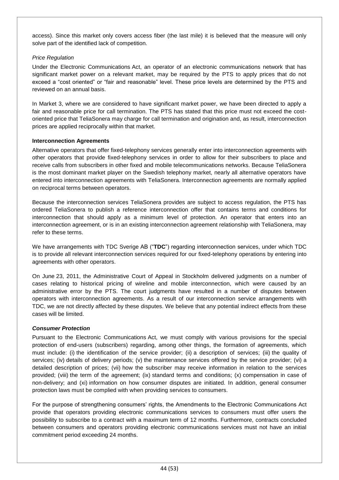access). Since this market only covers access fiber (the last mile) it is believed that the measure will only solve part of the identified lack of competition.

## *Price Regulation*

Under the Electronic Communications Act, an operator of an electronic communications network that has significant market power on a relevant market, may be required by the PTS to apply prices that do not exceed a "cost oriented" or "fair and reasonable" level. These price levels are determined by the PTS and reviewed on an annual basis.

In Market 3, where we are considered to have significant market power, we have been directed to apply a fair and reasonable price for call termination. The PTS has stated that this price must not exceed the costoriented price that TeliaSonera may charge for call termination and origination and, as result, interconnection prices are applied reciprocally within that market.

## **Interconnection Agreements**

Alternative operators that offer fixed-telephony services generally enter into interconnection agreements with other operators that provide fixed-telephony services in order to allow for their subscribers to place and receive calls from subscribers in other fixed and mobile telecommunications networks. Because TeliaSonera is the most dominant market player on the Swedish telephony market, nearly all alternative operators have entered into interconnection agreements with TeliaSonera. Interconnection agreements are normally applied on reciprocal terms between operators.

Because the interconnection services TeliaSonera provides are subject to access regulation, the PTS has ordered TeliaSonera to publish a reference interconnection offer that contains terms and conditions for interconnection that should apply as a minimum level of protection. An operator that enters into an interconnection agreement, or is in an existing interconnection agreement relationship with TeliaSonera, may refer to these terms.

We have arrangements with TDC Sverige AB ("**TDC**") regarding interconnection services, under which TDC is to provide all relevant interconnection services required for our fixed-telephony operations by entering into agreements with other operators.

On June 23, 2011, the Administrative Court of Appeal in Stockholm delivered judgments on a number of cases relating to historical pricing of wireline and mobile interconnection, which were caused by an administrative error by the PTS. The court judgments have resulted in a number of disputes between operators with interconnection agreements. As a result of our interconnection service arrangements with TDC, we are not directly affected by these disputes. We believe that any potential indirect effects from these cases will be limited.

# *Consumer Protection*

Pursuant to the Electronic Communications Act, we must comply with various provisions for the special protection of end-users (subscribers) regarding, among other things, the formation of agreements, which must include: (i) the identification of the service provider; (ii) a description of services; (iii) the quality of services; (iv) details of delivery periods; (v) the maintenance services offered by the service provider; (vi) a detailed description of prices; (vii) how the subscriber may receive information in relation to the services provided; (viii) the term of the agreement; (ix) standard terms and conditions; (x) compensation in case of non-delivery; and (xi) information on how consumer disputes are initiated. In addition, general consumer protection laws must be complied with when providing services to consumers.

For the purpose of strengthening consumers' rights, the Amendments to the Electronic Communications Act provide that operators providing electronic communications services to consumers must offer users the possibility to subscribe to a contract with a maximum term of 12 months. Furthermore, contracts concluded between consumers and operators providing electronic communications services must not have an initial commitment period exceeding 24 months.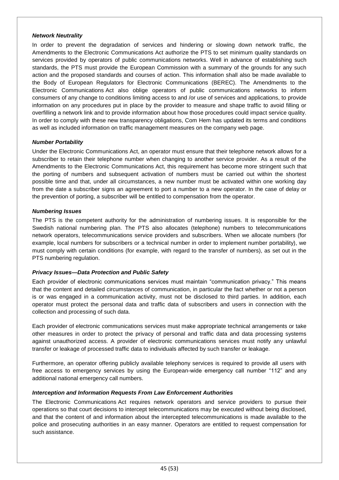#### *Network Neutrality*

In order to prevent the degradation of services and hindering or slowing down network traffic, the Amendments to the Electronic Communications Act authorize the PTS to set minimum quality standards on services provided by operators of public communications networks. Well in advance of establishing such standards, the PTS must provide the European Commission with a summary of the grounds for any such action and the proposed standards and courses of action. This information shall also be made available to the Body of European Regulators for Electronic Communications (BEREC). The Amendments to the Electronic Communications Act also oblige operators of public communications networks to inform consumers of any change to conditions limiting access to and /or use of services and applications, to provide information on any procedures put in place by the provider to measure and shape traffic to avoid filling or overfilling a network link and to provide information about how those procedures could impact service quality. In order to comply with these new transparency obligations, Com Hem has updated its terms and conditions as well as included information on traffic management measures on the company web page.

#### *Number Portability*

Under the Electronic Communications Act, an operator must ensure that their telephone network allows for a subscriber to retain their telephone number when changing to another service provider. As a result of the Amendments to the Electronic Communications Act, this requirement has become more stringent such that the porting of numbers and subsequent activation of numbers must be carried out within the shortest possible time and that, under all circumstances, a new number must be activated within one working day from the date a subscriber signs an agreement to port a number to a new operator. In the case of delay or the prevention of porting, a subscriber will be entitled to compensation from the operator.

## *Numbering Issues*

The PTS is the competent authority for the administration of numbering issues. It is responsible for the Swedish national numbering plan. The PTS also allocates (telephone) numbers to telecommunications network operators, telecommunications service providers and subscribers. When we allocate numbers (for example, local numbers for subscribers or a technical number in order to implement number portability), we must comply with certain conditions (for example, with regard to the transfer of numbers), as set out in the PTS numbering regulation.

#### *Privacy Issues—Data Protection and Public Safety*

Each provider of electronic communications services must maintain "communication privacy." This means that the content and detailed circumstances of communication, in particular the fact whether or not a person is or was engaged in a communication activity, must not be disclosed to third parties. In addition, each operator must protect the personal data and traffic data of subscribers and users in connection with the collection and processing of such data.

Each provider of electronic communications services must make appropriate technical arrangements or take other measures in order to protect the privacy of personal and traffic data and data processing systems against unauthorized access. A provider of electronic communications services must notify any unlawful transfer or leakage of processed traffic data to individuals affected by such transfer or leakage.

Furthermore, an operator offering publicly available telephony services is required to provide all users with free access to emergency services by using the European-wide emergency call number "112" and any additional national emergency call numbers.

#### *Interception and Information Requests From Law Enforcement Authorities*

The Electronic Communications Act requires network operators and service providers to pursue their operations so that court decisions to intercept telecommunications may be executed without being disclosed, and that the content of and information about the intercepted telecommunications is made available to the police and prosecuting authorities in an easy manner. Operators are entitled to request compensation for such assistance.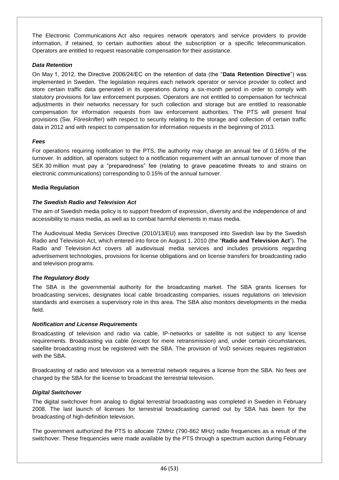The Electronic Communications Act also requires network operators and service providers to provide information, if retained, to certain authorities about the subscription or a specific telecommunication. Operators are entitled to request reasonable compensation for their assistance.

## *Data Retention*

On May 1, 2012, the Directive 2006/24/EC on the retention of data (the "**Data Retention Directive**") was implemented in Sweden. The legislation requires each network operator or service provider to collect and store certain traffic data generated in its operations during a six-month period in order to comply with statutory provisions for law enforcement purposes. Operators are not entitled to compensation for technical adjustments in their networks necessary for such collection and storage but are entitled to reasonable compensation for information requests from law enforcement authorities. The PTS will present final provisions (Sw. *Föreskrifter*) with respect to security relating to the storage and collection of certain traffic data in 2012 and with respect to compensation for information requests in the beginning of 2013.

#### *Fees*

For operations requiring notification to the PTS, the authority may charge an annual fee of 0.165% of the turnover. In addition, all operators subject to a notification requirement with an annual turnover of more than SEK 30 million must pay a "preparedness" fee (relating to grave peacetime threats to and strains on electronic communications) corresponding to 0.15% of the annual turnover.

#### **Media Regulation**

## *The Swedish Radio and Television Act*

The aim of Swedish media policy is to support freedom of expression, diversity and the independence of and accessibility to mass media, as well as to combat harmful elements in mass media.

The Audiovisual Media Services Directive (2010/13/EU) was transposed into Swedish law by the Swedish Radio and Television Act, which entered into force on August 1, 2010 (the "**Radio and Television Act**"). The Radio and Television Act covers all audiovisual media services and includes provisions regarding advertisement technologies, provisions for license obligations and on license transfers for broadcasting radio and television programs.

#### *The Regulatory Body*

The SBA is the governmental authority for the broadcasting market. The SBA grants licenses for broadcasting services, designates local cable broadcasting companies, issues regulations on television standards and exercises a supervisory role in this area. The SBA also monitors developments in the media field.

#### *Notification and License Requirements*

Broadcasting of television and radio via cable, IP-networks or satellite is not subject to any license requirements. Broadcasting via cable (except for mere retransmission) and, under certain circumstances, satellite broadcasting must be registered with the SBA. The provision of VoD services requires registration with the SBA.

Broadcasting of radio and television via a terrestrial network requires a license from the SBA. No fees are charged by the SBA for the license to broadcast the terrestrial television.

#### *Digital Switchover*

The digital switchover from analog to digital terrestrial broadcasting was completed in Sweden in February 2008. The last launch of licenses for terrestrial broadcasting carried out by SBA has been for the broadcasting of high-definition television.

The government authorized the PTS to allocate 72MHz (790-862 MHz) radio frequencies as a result of the switchover. These frequencies were made available by the PTS through a spectrum auction during February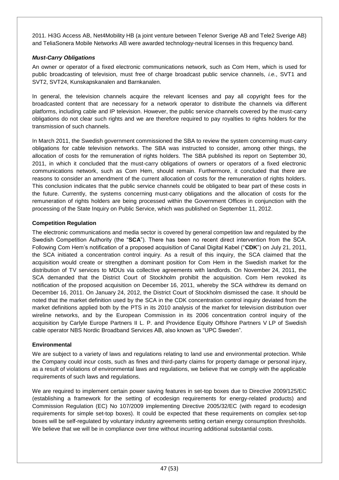2011. Hi3G Access AB, Net4Mobility HB (a joint venture between Telenor Sverige AB and Tele2 Sverige AB) and TeliaSonera Mobile Networks AB were awarded technology-neutral licenses in this frequency band.

### *Must-Carry Obligations*

An owner or operator of a fixed electronic communications network, such as Com Hem, which is used for public broadcasting of television, must free of charge broadcast public service channels, *i.e.*, SVT1 and SVT2, SVT24, Kunskapskanalen and Barnkanalen.

In general, the television channels acquire the relevant licenses and pay all copyright fees for the broadcasted content that are necessary for a network operator to distribute the channels via different platforms, including cable and IP television. However, the public service channels covered by the must-carry obligations do not clear such rights and we are therefore required to pay royalties to rights holders for the transmission of such channels.

In March 2011, the Swedish government commissioned the SBA to review the system concerning must-carry obligations for cable television networks. The SBA was instructed to consider, among other things, the allocation of costs for the remuneration of rights holders. The SBA published its report on September 30, 2011, in which it concluded that the must-carry obligations of owners or operators of a fixed electronic communications network, such as Com Hem, should remain. Furthermore, it concluded that there are reasons to consider an amendment of the current allocation of costs for the remuneration of rights holders. This conclusion indicates that the public service channels could be obligated to bear part of these costs in the future. Currently, the systems concerning must-carry obligations and the allocation of costs for the remuneration of rights holders are being processed within the Government Offices in conjunction with the processing of the State Inquiry on Public Service, which was published on September 11, 2012.

### **Competition Regulation**

The electronic communications and media sector is covered by general competition law and regulated by the Swedish Competition Authority (the "**SCA**"). There has been no recent direct intervention from the SCA. Following Com Hem's notification of a proposed acquisition of Canal Digital Kabel ("**CDK**") on July 21, 2011, the SCA initiated a concentration control inquiry. As a result of this inquiry, the SCA claimed that the acquisition would create or strengthen a dominant position for Com Hem in the Swedish market for the distribution of TV services to MDUs via collective agreements with landlords. On November 24, 2011, the SCA demanded that the District Court of Stockholm prohibit the acquisition. Com Hem revoked its notification of the proposed acquisition on December 16, 2011, whereby the SCA withdrew its demand on December 16, 2011. On January 24, 2012, the District Court of Stockholm dismissed the case. It should be noted that the market definition used by the SCA in the CDK concentration control inquiry deviated from the market definitions applied both by the PTS in its 2010 analysis of the market for television distribution over wireline networks, and by the European Commission in its 2006 concentration control inquiry of the acquisition by Carlyle Europe Partners II L. P. and Providence Equity Offshore Partners V LP of Swedish cable operator NBS Nordic Broadband Services AB, also known as "UPC Sweden".

### **Environmental**

We are subject to a variety of laws and regulations relating to land use and environmental protection. While the Company could incur costs, such as fines and third-party claims for property damage or personal injury, as a result of violations of environmental laws and regulations, we believe that we comply with the applicable requirements of such laws and regulations.

We are required to implement certain power saving features in set-top boxes due to Directive 2009/125/EC (establishing a framework for the setting of ecodesign requirements for energy-related products) and Commission Regulation (EC) No 107/2009 implementing Directive 2005/32/EC (with regard to ecodesign requirements for simple set-top boxes). It could be expected that these requirements on complex set-top boxes will be self-regulated by voluntary industry agreements setting certain energy consumption thresholds. We believe that we will be in compliance over time without incurring additional substantial costs.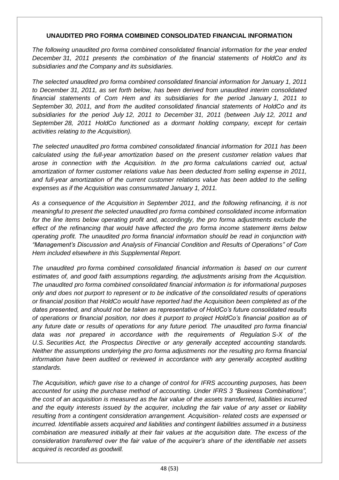# **UNAUDITED PRO FORMA COMBINED CONSOLIDATED FINANCIAL INFORMATION**

*The following unaudited pro forma combined consolidated financial information for the year ended December 31, 2011 presents the combination of the financial statements of HoldCo and its subsidiaries and the Company and its subsidiaries.*

*The selected unaudited pro forma combined consolidated financial information for January 1, 2011 to December 31, 2011, as set forth below, has been derived from unaudited interim consolidated financial statements of Com Hem and its subsidiaries for the period January 1, 2011 to September 30, 2011, and from the audited consolidated financial statements of HoldCo and its subsidiaries for the period July 12, 2011 to December 31, 2011 (between July 12, 2011 and September 28, 2011 HoldCo functioned as a dormant holding company, except for certain activities relating to the Acquisition).*

*The selected unaudited pro forma combined consolidated financial information for 2011 has been calculated using the full-year amortization based on the present customer relation values that arose in connection with the Acquisition. In the pro forma calculations carried out, actual amortization of former customer relations value has been deducted from selling expense in 2011, and full-year amortization of the current customer relations value has been added to the selling expenses as if the Acquisition was consummated January 1, 2011.*

*As a consequence of the Acquisition in September 2011, and the following refinancing, it is not meaningful to present the selected unaudited pro forma combined consolidated income information*  for the line items below operating profit and, accordingly, the pro forma adjustments exclude the *effect of the refinancing that would have affected the pro forma income statement items below operating profit. The unaudited pro forma financial information should be read in conjunction with "Management's Discussion and Analysis of Financial Condition and Results of Operations" of Com Hem included elsewhere in this Supplemental Report.*

*The unaudited pro forma combined consolidated financial information is based on our current estimates of, and good faith assumptions regarding, the adjustments arising from the Acquisition. The unaudited pro forma combined consolidated financial information is for informational purposes only and does not purport to represent or to be indicative of the consolidated results of operations or financial position that HoldCo would have reported had the Acquisition been completed as of the dates presented, and should not be taken as representative of HoldCo's future consolidated results of operations or financial position, nor does it purport to project HoldCo's financial position as of any future date or results of operations for any future period. The unaudited pro forma financial data was not prepared in accordance with the requirements of Regulation S-X of the U.S. Securities Act, the Prospectus Directive or any generally accepted accounting standards. Neither the assumptions underlying the pro forma adjustments nor the resulting pro forma financial information have been audited or reviewed in accordance with any generally accepted auditing standards.*

*The Acquisition, which gave rise to a change of control for IFRS accounting purposes, has been accounted for using the purchase method of accounting. Under IFRS 3 "Business Combinations", the cost of an acquisition is measured as the fair value of the assets transferred, liabilities incurred and the equity interests issued by the acquirer, including the fair value of any asset or liability resulting from a contingent consideration arrangement. Acquisition- related costs are expensed or incurred. Identifiable assets acquired and liabilities and contingent liabilities assumed in a business combination are measured initially at their fair values at the acquisition date. The excess of the consideration transferred over the fair value of the acquirer's share of the identifiable net assets acquired is recorded as goodwill.*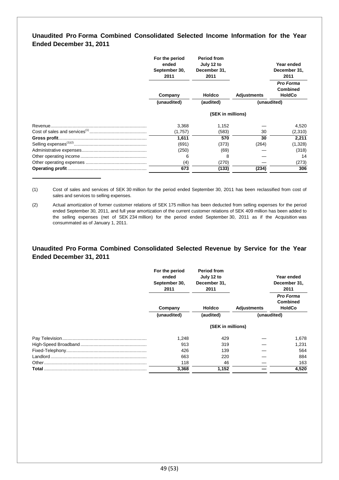# **Unaudited Pro Forma Combined Consolidated Selected Income Information for the Year Ended December 31, 2011**

| For the period<br>ended<br>September 30,<br>2011 | <b>Period from</b><br>July 12 to<br>December 31,<br>2011 |                    | Year ended<br>December 31,<br>2011                   |
|--------------------------------------------------|----------------------------------------------------------|--------------------|------------------------------------------------------|
| Company                                          | <b>Holdco</b>                                            | <b>Adjustments</b> | <b>Pro Forma</b><br><b>Combined</b><br><b>HoldCo</b> |
| (unaudited)                                      | (audited)                                                |                    | (unaudited)                                          |
|                                                  | (SEK in millions)                                        |                    |                                                      |
| 3,368                                            | 1,152                                                    |                    | 4,520                                                |
| (1,757)                                          | (583)                                                    | 30                 | (2,310)                                              |
| 1,611                                            | 570                                                      | 30                 | 2,211                                                |
| (691)                                            | (373)                                                    | (264)              | (1,328)                                              |
| (250)                                            | (69)                                                     |                    | (318)                                                |
| 6                                                | 8                                                        |                    | 14                                                   |
| (4)                                              | (270)                                                    |                    | (273)                                                |
| 673                                              | (133)                                                    | (234)              | 306                                                  |

(1) Cost of sales and services of SEK 30 million for the period ended September 30, 2011 has been reclassified from cost of sales and services to selling expenses.

(2) Actual amortization of former customer relations of SEK 175 million has been deducted from selling expenses for the period ended September 30, 2011, and full year amortization of the current customer relations of SEK 409 million has been added to the selling expenses (net of SEK 234 million) for the period ended September 30, 2011 as if the Acquisition was consummated as of January 1, 2011.

## **Unaudited Pro Forma Combined Consolidated Selected Revenue by Service for the Year Ended December 31, 2011**

|       | For the period<br>ended<br>September 30,<br>2011 | <b>Period from</b><br>July 12 to<br>December 31,<br>2011 |                    | Year ended<br>December 31,<br>2011                   |
|-------|--------------------------------------------------|----------------------------------------------------------|--------------------|------------------------------------------------------|
|       | Company                                          | <b>Holdco</b>                                            | <b>Adjustments</b> | <b>Pro Forma</b><br><b>Combined</b><br><b>HoldCo</b> |
|       | (unaudited)                                      | (audited)                                                |                    | (unaudited)                                          |
|       |                                                  | (SEK in millions)                                        |                    |                                                      |
|       | 1,248                                            | 429                                                      |                    | 1,678                                                |
|       | 913                                              | 319                                                      |                    | 1,231                                                |
|       | 426                                              | 139                                                      |                    | 564                                                  |
|       | 663                                              | 220                                                      |                    | 884                                                  |
|       | 118                                              | 46                                                       |                    | 163                                                  |
| Total | 3,368                                            | 1,152                                                    |                    | 4,520                                                |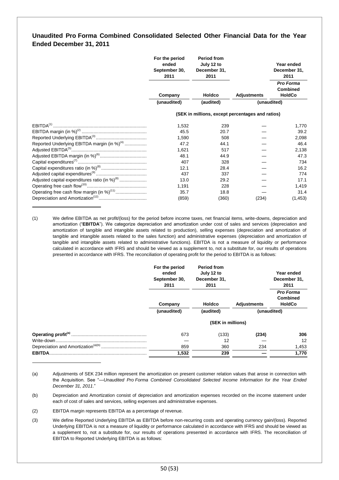# **Unaudited Pro Forma Combined Consolidated Selected Other Financial Data for the Year Ended December 31, 2011**

|                                                           | For the period<br>ended<br>September 30,<br>2011 | <b>Period from</b><br>July 12 to<br>December 31,<br>2011 |                    | Year ended<br>December 31,<br>2011 |
|-----------------------------------------------------------|--------------------------------------------------|----------------------------------------------------------|--------------------|------------------------------------|
|                                                           |                                                  |                                                          |                    | Pro Forma<br><b>Combined</b>       |
|                                                           | Company                                          | Holdco                                                   | <b>Adjustments</b> | <b>HoldCo</b>                      |
|                                                           | (unaudited)                                      | (audited)                                                |                    | (unaudited)                        |
|                                                           |                                                  | (SEK in millions, except percentages and ratios)         |                    |                                    |
|                                                           | 1,532                                            | 239                                                      |                    | 1,770                              |
|                                                           | 45.5                                             | 20.7                                                     |                    | 39.2                               |
|                                                           | 1,590                                            | 508                                                      |                    | 2,098                              |
| Reported Underlying EBITDA margin (in %) <sup>(4)</sup>   | 47.2                                             | 44.1                                                     |                    | 46.4                               |
|                                                           | 1,621                                            | 517                                                      |                    | 2,138                              |
|                                                           | 48.1                                             | 44.9                                                     |                    | 47.3                               |
|                                                           | 407                                              | 328                                                      |                    | 734                                |
|                                                           | 12.1                                             | 28.4                                                     |                    | 16.2                               |
|                                                           | 437                                              | 337                                                      |                    | 774                                |
| Adjusted capital expenditures ratio (in %) <sup>(8)</sup> | 13.0                                             | 29.2                                                     |                    | 17.1                               |
|                                                           | 1,191                                            | 228                                                      |                    | 1,419                              |
| Operating free cash flow margin (in %) <sup>(11)</sup>    | 35.7                                             | 18.8                                                     |                    | 31.4                               |
|                                                           | (859)                                            | (360)                                                    | (234)              | (1, 453)                           |

(1) We define EBITDA as net profit/(loss) for the period before income taxes, net financial items, write-downs, depreciation and amortization ("**EBITDA**"). We categorize depreciation and amortization under cost of sales and services (depreciation and amortization of tangible and intangible assets related to production), selling expenses (depreciation and amortization of tangible and intangible assets related to the sales function) and administrative expenses (depreciation and amortization of tangible and intangible assets related to administrative functions). EBITDA is not a measure of liquidity or performance calculated in accordance with IFRS and should be viewed as a supplement to, not a substitute for, our results of operations presented in accordance with IFRS. The reconciliation of operating profit for the period to EBITDA is as follows:

|               | For the period<br>ended<br>September 30,<br>2011 | <b>Period from</b><br>July 12 to<br>December 31,<br>2011 |                    | Year ended<br>December 31,<br>2011            |
|---------------|--------------------------------------------------|----------------------------------------------------------|--------------------|-----------------------------------------------|
|               | Company                                          | <b>Holdco</b>                                            | <b>Adjustments</b> | Pro Forma<br><b>Combined</b><br><b>HoldCo</b> |
|               | (unaudited)                                      | (audited)                                                |                    | (unaudited)                                   |
|               |                                                  | (SEK in millions)                                        |                    |                                               |
|               | 673                                              | (133)                                                    | (234)              | 306                                           |
|               |                                                  | 12                                                       |                    | 12                                            |
|               | 859                                              | 360                                                      | 234                | 1,453                                         |
| <b>EBITDA</b> | 1,532                                            | 239                                                      |                    | 1,770                                         |

<sup>(</sup>a) Adjustments of SEK 234 million represent the amortization on present customer relation values that arose in connection with the Acquisition. See "—*Unaudited Pro Forma Combined Consolidated Selected Income Information for the Year Ended December 31, 2011*."

- (2) EBITDA margin represents EBITDA as a percentage of revenue.
- (3) We define Reported Underlying EBITDA as EBITDA before non-recurring costs and operating currency gain/(loss). Reported Underlying EBITDA is not a measure of liquidity or performance calculated in accordance with IFRS and should be viewed as a supplement to, not a substitute for, our results of operations presented in accordance with IFRS. The reconciliation of EBITDA to Reported Underlying EBITDA is as follows:

<sup>(</sup>b) Depreciation and Amortization consist of depreciation and amortization expenses recorded on the income statement under each of cost of sales and services, selling expenses and administrative expenses.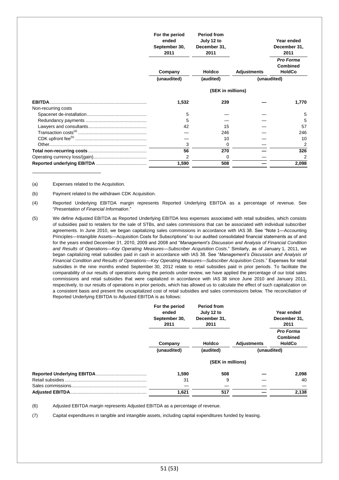|                                      | For the period<br>ended<br>September 30,<br>2011 | <b>Period from</b><br>July 12 to<br>December 31,<br>2011 |                    | Year ended<br>December 31,<br>2011                           |
|--------------------------------------|--------------------------------------------------|----------------------------------------------------------|--------------------|--------------------------------------------------------------|
|                                      | Company<br>(unaudited)                           | <b>Holdco</b><br>(audited)                               | <b>Adjustments</b> | Pro Forma<br><b>Combined</b><br><b>HoldCo</b><br>(unaudited) |
|                                      |                                                  | (SEK in millions)                                        |                    |                                                              |
| <b>EBITDA</b><br>Non-recurring costs | 1,532                                            | 239                                                      |                    | 1,770                                                        |
|                                      | 5                                                |                                                          |                    | 5                                                            |
|                                      | 5                                                |                                                          |                    | 5                                                            |
|                                      | 42                                               | 15                                                       |                    | 57                                                           |
|                                      |                                                  | 246                                                      |                    | 246                                                          |
|                                      |                                                  | 10                                                       |                    | 10                                                           |
|                                      | 3                                                | 0                                                        |                    |                                                              |
|                                      | 56                                               | 270                                                      |                    | 326                                                          |
|                                      | $\overline{2}$                                   |                                                          |                    |                                                              |
|                                      | 1,590                                            | 508                                                      |                    | 2,098                                                        |

(a) Expenses related to the Acquisition.

(b) Payment related to the withdrawn CDK Acquisition.

(4) Reported Underlying EBITDA margin represents Reported Underlying EBITDA as a percentage of revenue. See "*Presentation of Financial Information*."

(5) We define Adjusted EBITDA as Reported Underlying EBITDA less expenses associated with retail subsidies, which consists of subsidies paid to retailers for the sale of STBs, and sales commissions that can be associated with individual subscriber agreements. In June 2010, we began capitalizing sales commissions in accordance with IAS 38. See "Note 1—Accounting Principles—Intangible Assets—Acquisition Costs for Subscriptions" to our audited consolidated financial statements as of and for the years ended December 31, 2010, 2009 and 2008 and "*Management's Discussion and Analysis of Financial Condition*  and Results of Operations-Key Operating Measures-Subscriber Acquisition Costs." Similarly, as of January 1, 2011, we began capitalizing retail subsidies paid in cash in accordance with IAS 38. See "*Management's Discussion and Analysis of Financial Condition and Results of Operations—Key Operating Measures—Subscriber Acquisition Costs*." Expenses for retail subsidies in the nine months ended September 30, 2012 relate to retail subsidies paid in prior periods. To facilitate the comparability of our results of operations during the periods under review, we have applied the percentage of our total sales commissions and retail subsidies that were capitalized in accordance with IAS 38 since June 2010 and January 2011, respectively, to our results of operations in prior periods, which has allowed us to calculate the effect of such capitalization on a consistent basis and present the uncapitalized cost of retail subsidies and sales commissions below. The reconciliation of Reported Underlying EBITDA to Adjusted EBITDA is as follows:

| For the period<br>ended<br>September 30,<br>2011 | <b>Period from</b><br>July 12 to<br>December 31,<br>2011 |                    | Year ended<br>December 31,<br>2011            |
|--------------------------------------------------|----------------------------------------------------------|--------------------|-----------------------------------------------|
| Company                                          | <b>Holdco</b>                                            | <b>Adjustments</b> | Pro Forma<br><b>Combined</b><br><b>HoldCo</b> |
| (unaudited)                                      | (audited)                                                |                    | (unaudited)                                   |
|                                                  | (SEK in millions)                                        |                    |                                               |
| 1,590                                            | 508                                                      |                    | 2,098                                         |
| 31                                               | 9                                                        |                    | 40                                            |
|                                                  |                                                          |                    |                                               |
| 1,621                                            | 517                                                      |                    | 2,138                                         |

(6) Adjusted EBITDA margin represents Adjusted EBITDA as a percentage of revenue.

(7) Capital expenditures in tangible and intangible assets, including capital expenditures funded by leasing.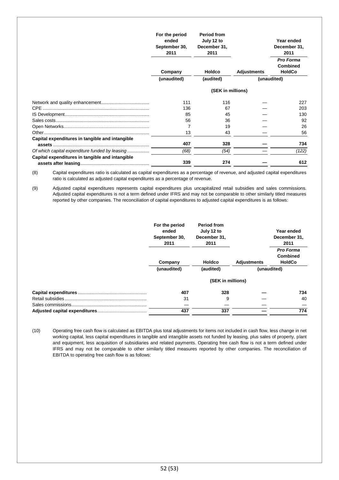|                                                 | For the period<br>ended<br>September 30,<br>2011 | <b>Period from</b><br>July 12 to<br>December 31,<br>2011 |                    | Year ended<br>December 31,<br>2011            |
|-------------------------------------------------|--------------------------------------------------|----------------------------------------------------------|--------------------|-----------------------------------------------|
|                                                 | Company                                          | <b>Holdco</b>                                            | <b>Adjustments</b> | Pro Forma<br><b>Combined</b><br><b>HoldCo</b> |
|                                                 | (unaudited)                                      | (audited)                                                |                    | (unaudited)                                   |
|                                                 |                                                  | (SEK in millions)                                        |                    |                                               |
|                                                 | 111                                              | 116                                                      |                    | 227                                           |
|                                                 | 136                                              | 67                                                       |                    | 203                                           |
|                                                 | 85                                               | 45                                                       |                    | 130                                           |
|                                                 | 56                                               | 36                                                       |                    | 92                                            |
|                                                 |                                                  | 19                                                       |                    | 26                                            |
|                                                 | 13                                               | 43                                                       |                    | 56                                            |
| Capital expenditures in tangible and intangible |                                                  |                                                          |                    |                                               |
|                                                 | 407                                              | 328                                                      |                    | 734                                           |
| Of which capital expenditure funded by leasing  | (68)                                             | (54)                                                     |                    | (122)                                         |
| Capital expenditures in tangible and intangible | 339                                              | 274                                                      |                    | 612                                           |

(8) Capital expenditures ratio is calculated as capital expenditures as a percentage of revenue, and adjusted capital expenditures ratio is calculated as adjusted capital expenditures as a percentage of revenue.

(9) Adjusted capital expenditures represents capital expenditures plus uncapitalized retail subsidies and sales commissions. Adjusted capital expenditures is not a term defined under IFRS and may not be comparable to other similarly titled measures reported by other companies. The reconciliation of capital expenditures to adjusted capital expenditures is as follows:

| For the period<br>ended<br>September 30,<br>2011 | <b>Period from</b><br>July 12 to<br>December 31,<br>2011 |                    | Year ended<br>December 31,<br>2011            |
|--------------------------------------------------|----------------------------------------------------------|--------------------|-----------------------------------------------|
| Company                                          | <b>Holdco</b>                                            | <b>Adjustments</b> | Pro Forma<br><b>Combined</b><br><b>HoldCo</b> |
| (unaudited)                                      | (audited)                                                |                    | (unaudited)                                   |
|                                                  | (SEK in millions)                                        |                    |                                               |
| 407                                              | 328                                                      |                    | 734                                           |
| 31                                               | 9                                                        |                    | 40                                            |
|                                                  |                                                          |                    |                                               |
| 437                                              | 337                                                      |                    | 774                                           |

(10) Operating free cash flow is calculated as EBITDA plus total adjustments for items not included in cash flow, less change in net working capital, less capital expenditures in tangible and intangible assets not funded by leasing, plus sales of property, plant and equipment, less acquisition of subsidiaries and related payments. Operating free cash flow is not a term defined under IFRS and may not be comparable to other similarly titled measures reported by other companies. The reconciliation of EBITDA to operating free cash flow is as follows: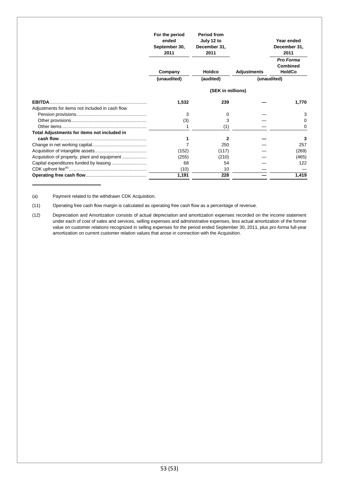|                                                 | For the period<br>ended<br>September 30,<br>2011 | <b>Period from</b><br>July 12 to<br>December 31,<br>2011 |                    | Year ended<br>December 31,<br>2011<br>Pro Forma |
|-------------------------------------------------|--------------------------------------------------|----------------------------------------------------------|--------------------|-------------------------------------------------|
|                                                 | Company                                          | Holdco                                                   | <b>Adjustments</b> | <b>Combined</b><br><b>HoldCo</b>                |
|                                                 | (unaudited)                                      | (audited)                                                |                    | (unaudited)                                     |
|                                                 |                                                  | (SEK in millions)                                        |                    |                                                 |
|                                                 | 1,532                                            | 239                                                      |                    | 1,770                                           |
| Adjustments for items not included in cash flow |                                                  |                                                          |                    |                                                 |
|                                                 | 3                                                | 0                                                        |                    | 3                                               |
|                                                 | (3)                                              | 3                                                        |                    |                                                 |
|                                                 |                                                  | (1)                                                      |                    | 0                                               |
| Total Adjustments for items not included in     |                                                  |                                                          |                    |                                                 |
|                                                 |                                                  | 2                                                        |                    | 3                                               |
|                                                 |                                                  | 250                                                      |                    | 257                                             |
|                                                 | (152)                                            | (117)                                                    |                    | (269)                                           |
|                                                 | (255)                                            | (210)                                                    |                    | (465)                                           |
|                                                 | 68                                               | 54                                                       |                    | 122                                             |
|                                                 | (10)                                             | 10                                                       |                    |                                                 |
|                                                 | 1,191                                            | 228                                                      |                    | 1,419                                           |

(a) Payment related to the withdrawn CDK Acquisition.

(11) Operating free cash flow margin is calculated as operating free cash flow as a percentage of revenue.

(12) Depreciation and Amortization consists of actual depreciation and amortization expenses recorded on the income statement under each of cost of sales and services, selling expenses and administrative expenses, less actual amortization of the former value on customer relations recognized in selling expenses for the period ended September 30, 2011, plus *pro forma* full-year amortization on current customer relation values that arose in connection with the Acquisition.